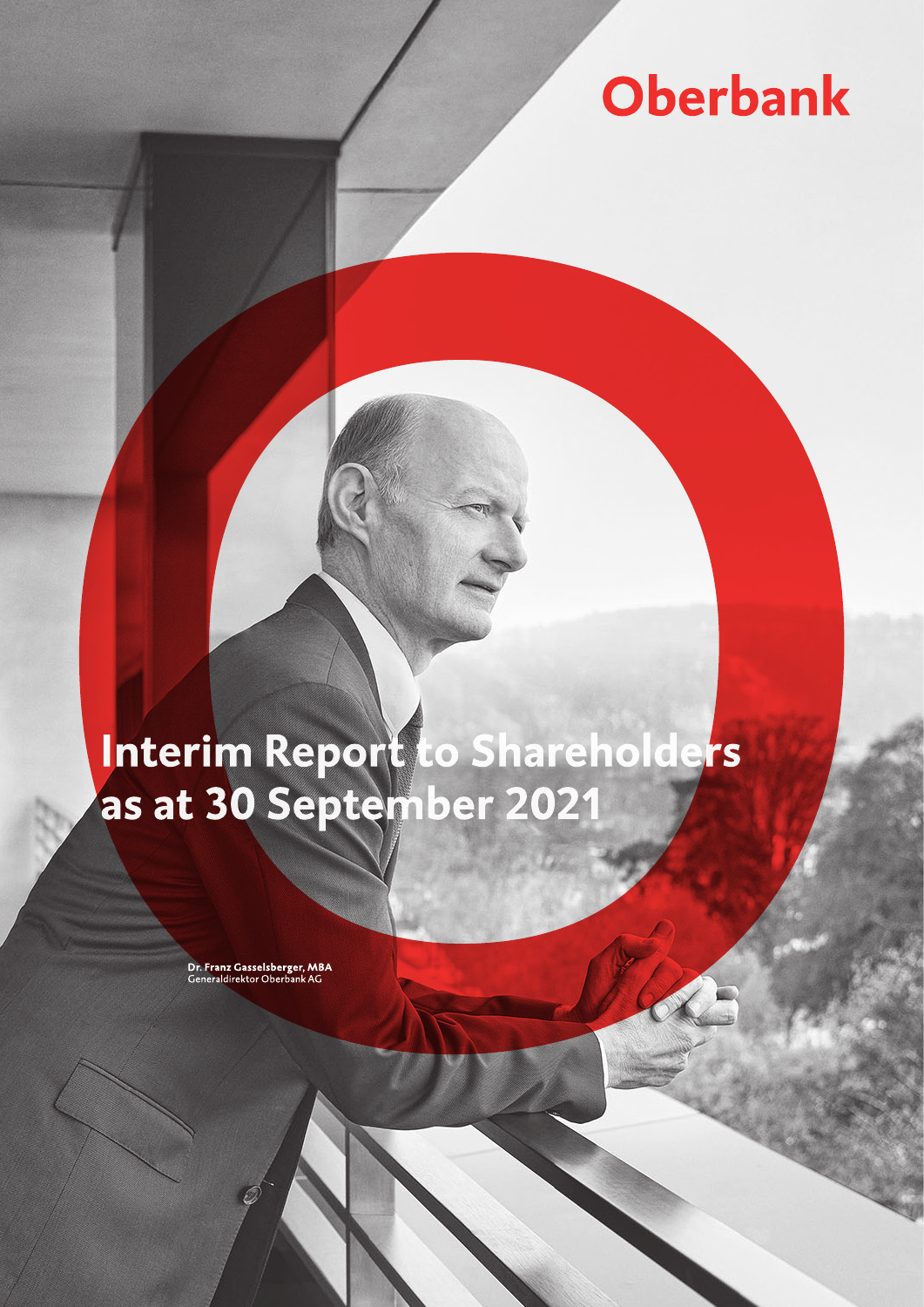# **Oberbank**

# Interim Report to Shareholders as at 30 September 2021

Dr. Franz Gasselsberger, MBA<br>Generaldirektor Oberbank AG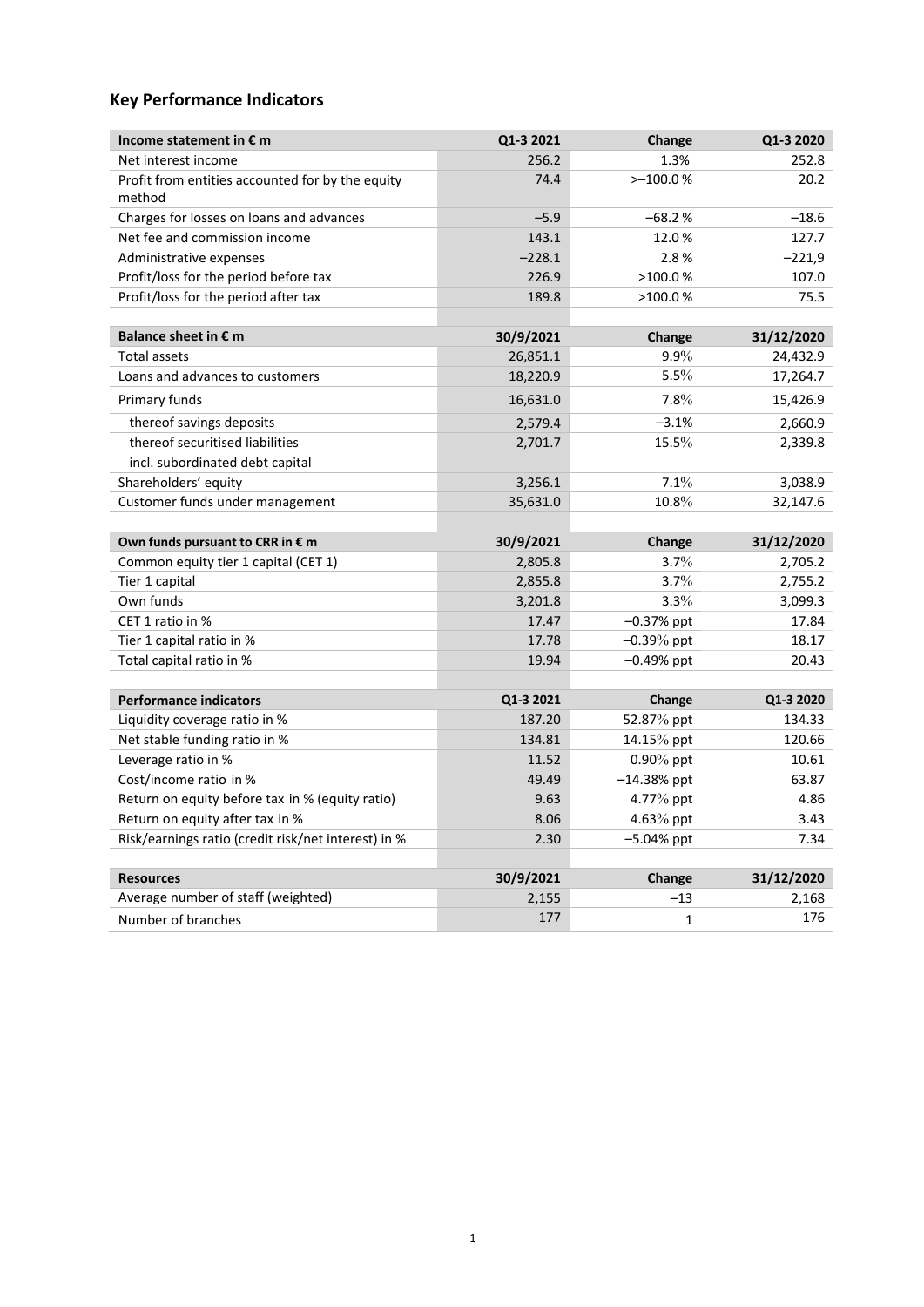# **Key Performance Indicators**

| Income statement in € m                                    | Q1-3 2021          | Change          | Q1-3 2020           |
|------------------------------------------------------------|--------------------|-----------------|---------------------|
| Net interest income                                        | 256.2              | 1.3%            | 252.8               |
| Profit from entities accounted for by the equity<br>method | 74.4               | $>-100.0%$      | 20.2                |
| Charges for losses on loans and advances                   | $-5.9$             | $-68.2%$        | $-18.6$             |
| Net fee and commission income                              | 143.1              | 12.0%           | 127.7               |
| Administrative expenses                                    | $-228.1$           | 2.8%            | $-221,9$            |
| Profit/loss for the period before tax                      | 226.9              | >100.0%         | 107.0               |
| Profit/loss for the period after tax                       | 189.8              | >100.0%         | 75.5                |
|                                                            |                    |                 |                     |
| Balance sheet in € m                                       | 30/9/2021          | Change          | 31/12/2020          |
| <b>Total assets</b>                                        | 26,851.1           | 9.9%            | 24,432.9            |
| Loans and advances to customers                            | 18,220.9           | 5.5%            | 17,264.7            |
| Primary funds                                              | 16,631.0           | 7.8%            | 15,426.9            |
| thereof savings deposits                                   | 2,579.4            | $-3.1%$         | 2,660.9             |
| thereof securitised liabilities                            | 2,701.7            | 15.5%           | 2,339.8             |
| incl. subordinated debt capital                            |                    |                 |                     |
| Shareholders' equity                                       | 3,256.1            | 7.1%            | 3,038.9             |
| Customer funds under management                            | 35,631.0           | 10.8%           | 32,147.6            |
|                                                            |                    |                 |                     |
| Own funds pursuant to CRR in € m                           | 30/9/2021          | Change          | 31/12/2020          |
| Common equity tier 1 capital (CET 1)                       | 2,805.8            | 3.7%            | 2,705.2             |
| Tier 1 capital                                             | 2,855.8            | 3.7%            | 2,755.2             |
| Own funds                                                  | 3,201.8            | 3.3%            | 3,099.3             |
| CET 1 ratio in %                                           | 17.47              | $-0.37%$ ppt    | 17.84               |
| Tier 1 capital ratio in %                                  | 17.78              |                 |                     |
|                                                            |                    | $-0.39%$ ppt    | 18.17               |
| Total capital ratio in %                                   | 19.94              | $-0.49%$ ppt    | 20.43               |
|                                                            |                    |                 |                     |
| <b>Performance indicators</b>                              | Q1-3 2021          | Change          | Q1-3 2020           |
| Liquidity coverage ratio in %                              | 187.20             | 52.87% ppt      | 134.33              |
| Net stable funding ratio in %                              | 134.81             | 14.15% ppt      | 120.66              |
| Leverage ratio in %                                        | 11.52              | $0.90\%$ ppt    | 10.61               |
| Cost/income ratio in %                                     | 49.49              | $-14.38%$ ppt   | 63.87               |
| Return on equity before tax in % (equity ratio)            | 9.63               | 4.77% ppt       | 4.86                |
| Return on equity after tax in %                            | 8.06               | 4.63% ppt       | 3.43                |
| Risk/earnings ratio (credit risk/net interest) in %        | 2.30               | $-5.04%$ ppt    | 7.34                |
|                                                            |                    |                 |                     |
| <b>Resources</b><br>Average number of staff (weighted)     | 30/9/2021<br>2,155 | Change<br>$-13$ | 31/12/2020<br>2,168 |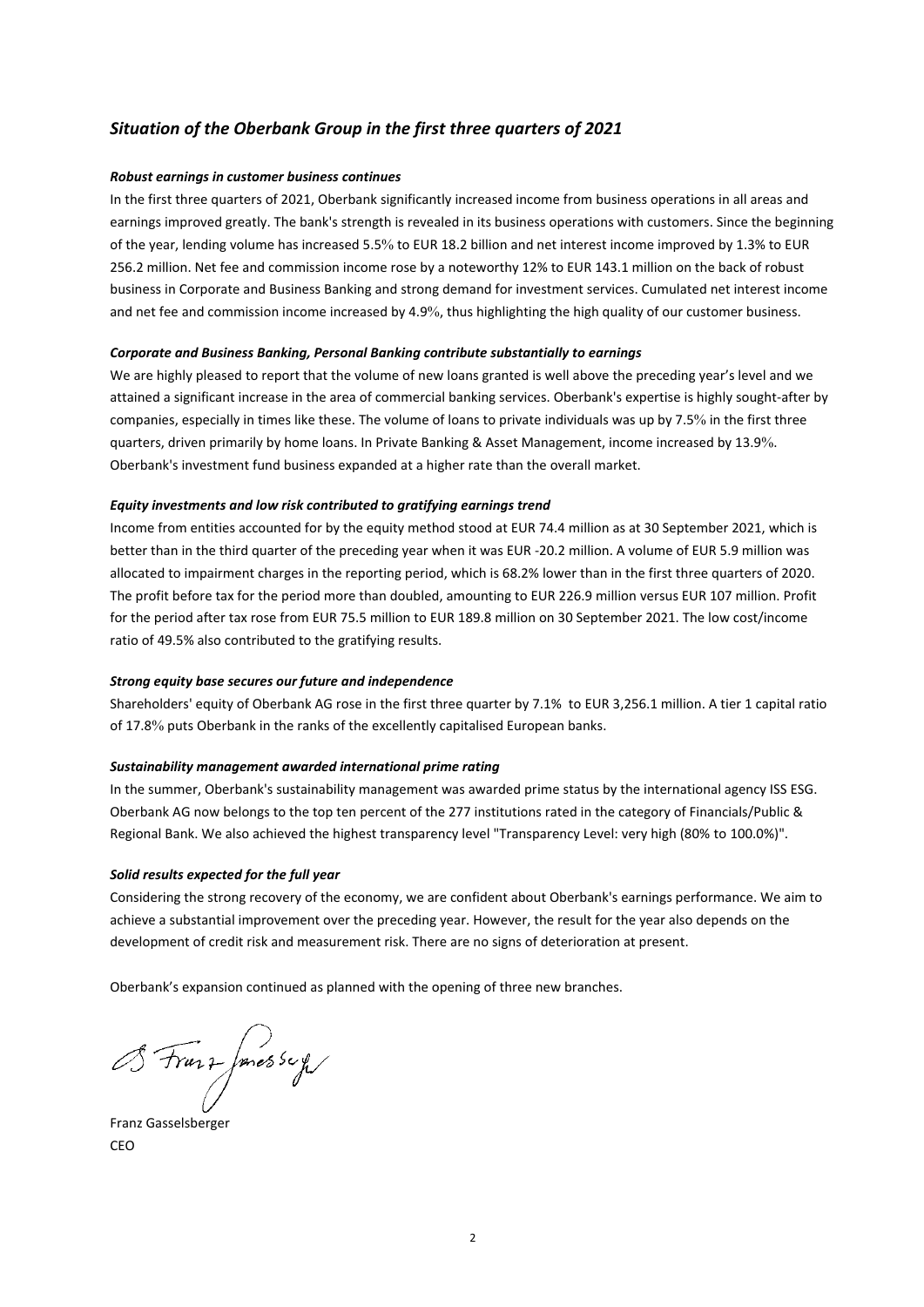# *Situation of the Oberbank Group in the first three quarters of 2021*

# *Robust earnings in customer business continues*

In the first three quarters of 2021, Oberbank significantly increased income from business operations in all areas and earnings improved greatly. The bank's strength is revealed in its business operations with customers. Since the beginning of the year, lending volume has increased 5.5% to EUR 18.2 billion and net interest income improved by 1.3% to EUR 256.2 million. Net fee and commission income rose by a noteworthy 12% to EUR 143.1 million on the back of robust business in Corporate and Business Banking and strong demand for investment services. Cumulated net interest income and net fee and commission income increased by 4.9%, thus highlighting the high quality of our customer business.

## *Corporate and Business Banking, Personal Banking contribute substantially to earnings*

We are highly pleased to report that the volume of new loans granted is well above the preceding year's level and we attained a significant increase in the area of commercial banking services. Oberbank's expertise is highly sought-after by companies, especially in times like these. The volume of loans to private individuals was up by 7.5% in the first three quarters, driven primarily by home loans. In Private Banking & Asset Management, income increased by 13.9%. Oberbank's investment fund business expanded at a higher rate than the overall market.

# *Equity investments and low risk contributed to gratifying earnings trend*

Income from entities accounted for by the equity method stood at EUR 74.4 million as at 30 September 2021, which is better than in the third quarter of the preceding year when it was EUR -20.2 million. A volume of EUR 5.9 million was allocated to impairment charges in the reporting period, which is 68.2% lower than in the first three quarters of 2020. The profit before tax for the period more than doubled, amounting to EUR 226.9 million versus EUR 107 million. Profit for the period after tax rose from EUR 75.5 million to EUR 189.8 million on 30 September 2021. The low cost/income ratio of 49.5% also contributed to the gratifying results.

# *Strong equity base secures our future and independence*

Shareholders' equity of Oberbank AG rose in the first three quarter by 7.1% to EUR 3,256.1 million. A tier 1 capital ratio of 17.8% puts Oberbank in the ranks of the excellently capitalised European banks.

## *Sustainability management awarded international prime rating*

In the summer, Oberbank's sustainability management was awarded prime status by the international agency ISS ESG. Oberbank AG now belongs to the top ten percent of the 277 institutions rated in the category of Financials/Public & Regional Bank. We also achieved the highest transparency level "Transparency Level: very high (80% to 100.0%)".

## *Solid results expected for the full year*

Considering the strong recovery of the economy, we are confident about Oberbank's earnings performance. We aim to achieve a substantial improvement over the preceding year. However, the result for the year also depends on the development of credit risk and measurement risk. There are no signs of deterioration at present.

Oberbank's expansion continued as planned with the opening of three new branches.

BFranz Jones sery

Franz Gasselsberger CEO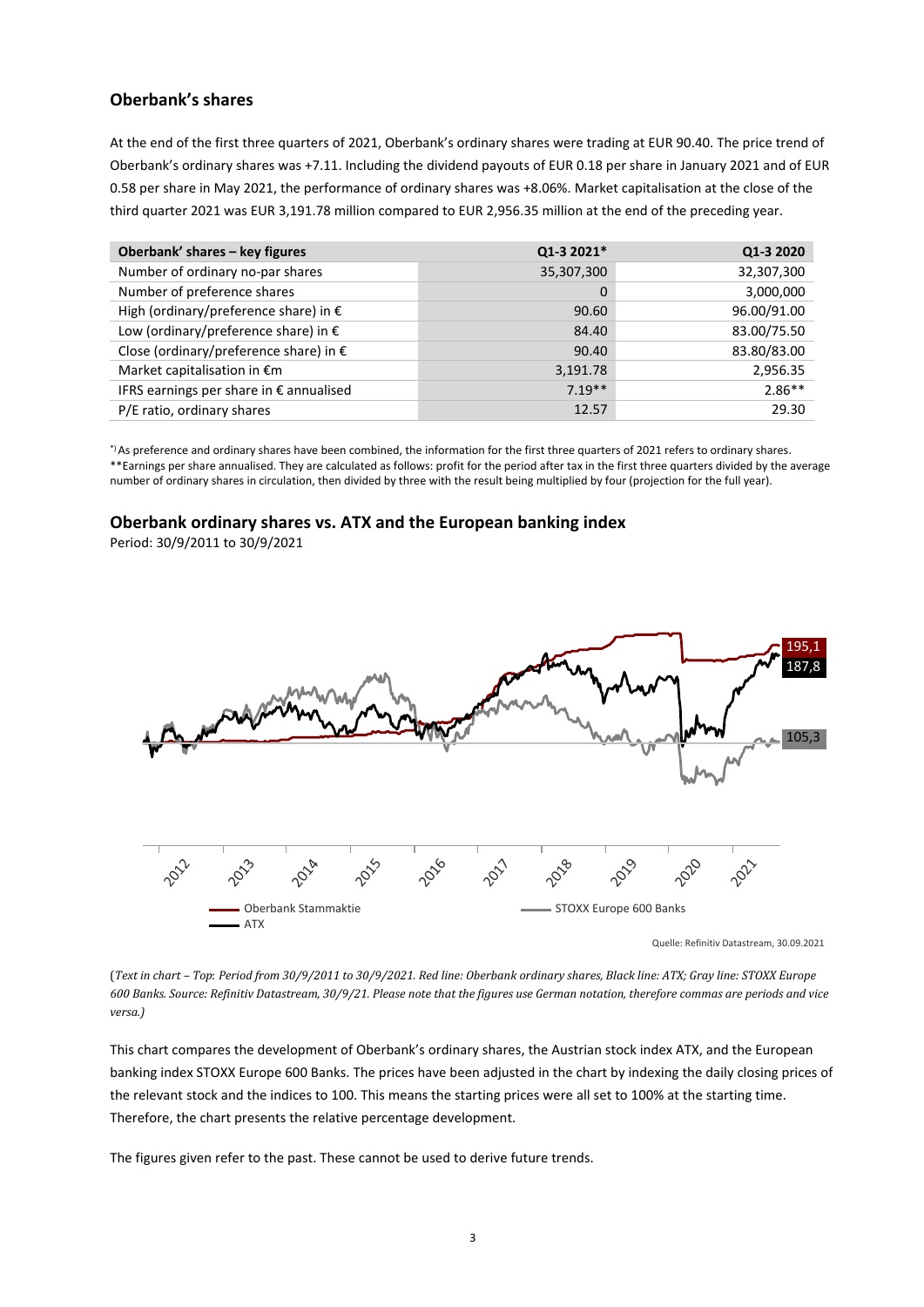# **Oberbank's shares**

At the end of the first three quarters of 2021, Oberbank's ordinary shares were trading at EUR 90.40. The price trend of Oberbank's ordinary shares was +7.11. Including the dividend payouts of EUR 0.18 per share in January 2021 and of EUR 0.58 per share in May 2021, the performance of ordinary shares was +8.06%. Market capitalisation at the close of the third quarter 2021 was EUR 3,191.78 million compared to EUR 2,956.35 million at the end of the preceding year.

| Oberbank' shares - key figures          | Q1-3 2021*  | Q1-3 2020   |
|-----------------------------------------|-------------|-------------|
| Number of ordinary no-par shares        | 35,307,300  | 32,307,300  |
| Number of preference shares             | $\mathbf 0$ | 3,000,000   |
| High (ordinary/preference share) in €   | 90.60       | 96.00/91.00 |
| Low (ordinary/preference share) in €    | 84.40       | 83.00/75.50 |
| Close (ordinary/preference share) in €  | 90.40       | 83.80/83.00 |
| Market capitalisation in €m             | 3,191.78    | 2,956.35    |
| IFRS earnings per share in € annualised | $7.19**$    | $2.86**$    |
| P/E ratio, ordinary shares              | 12.57       | 29.30       |

\*) As preference and ordinary shares have been combined, the information for the first three quarters of 2021 refers to ordinary shares. \*\*Earnings per share annualised. They are calculated as follows: profit for the period after tax in the first three quarters divided by the average number of ordinary shares in circulation, then divided by three with the result being multiplied by four (projection for the full year).

# **Oberbank ordinary shares vs. ATX and the European banking index**

Period: 30/9/2011 to 30/9/2021



(*Text in chart – Top*: *Period from 30/9/2011 to 30/9/2021. Red line: Oberbank ordinary shares, Black line: ATX; Gray line: STOXX Europe*  600 Banks. Source: Refinitiv Datastream, 30/9/21. Please note that the figures use German notation, therefore commas are periods and vice *versa.)*

This chart compares the development of Oberbank's ordinary shares, the Austrian stock index ATX, and the European banking index STOXX Europe 600 Banks. The prices have been adjusted in the chart by indexing the daily closing prices of the relevant stock and the indices to 100. This means the starting prices were all set to 100% at the starting time. Therefore, the chart presents the relative percentage development.

The figures given refer to the past. These cannot be used to derive future trends.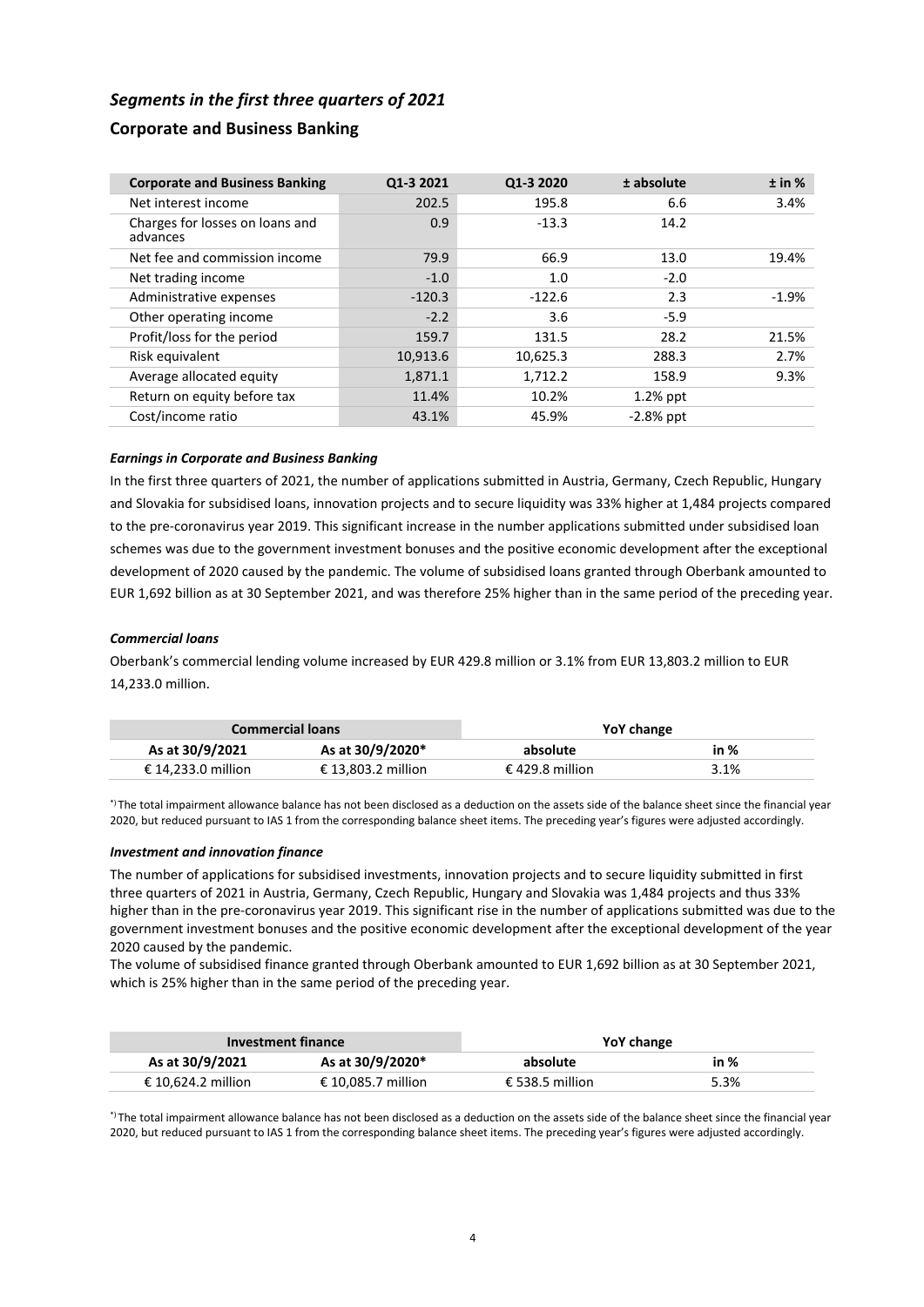# *Segments in the first three quarters of 2021*

# **Corporate and Business Banking**

| <b>Corporate and Business Banking</b>       | Q1-3 2021 | Q1-3 2020 | ± absolute  | ± in %  |
|---------------------------------------------|-----------|-----------|-------------|---------|
| Net interest income                         | 202.5     | 195.8     | 6.6         | 3.4%    |
| Charges for losses on loans and<br>advances | 0.9       | $-13.3$   | 14.2        |         |
| Net fee and commission income               | 79.9      | 66.9      | 13.0        | 19.4%   |
| Net trading income                          | $-1.0$    | 1.0       | $-2.0$      |         |
| Administrative expenses                     | $-120.3$  | $-122.6$  | 2.3         | $-1.9%$ |
| Other operating income                      | $-2.2$    | 3.6       | $-5.9$      |         |
| Profit/loss for the period                  | 159.7     | 131.5     | 28.2        | 21.5%   |
| Risk equivalent                             | 10,913.6  | 10,625.3  | 288.3       | 2.7%    |
| Average allocated equity                    | 1,871.1   | 1,712.2   | 158.9       | 9.3%    |
| Return on equity before tax                 | 11.4%     | 10.2%     | $1.2%$ ppt  |         |
| Cost/income ratio                           | 43.1%     | 45.9%     | $-2.8%$ ppt |         |

# *Earnings in Corporate and Business Banking*

In the first three quarters of 2021, the number of applications submitted in Austria, Germany, Czech Republic, Hungary and Slovakia for subsidised loans, innovation projects and to secure liquidity was 33% higher at 1,484 projects compared to the pre-coronavirus year 2019. This significant increase in the number applications submitted under subsidised loan schemes was due to the government investment bonuses and the positive economic development after the exceptional development of 2020 caused by the pandemic. The volume of subsidised loans granted through Oberbank amounted to EUR 1,692 billion as at 30 September 2021, and was therefore 25% higher than in the same period of the preceding year.

# *Commercial loans*

Oberbank's commercial lending volume increased by EUR 429.8 million or 3.1% from EUR 13,803.2 million to EUR 14,233.0 million.

|                    | <b>Commercial loans</b> | YoY change      |      |
|--------------------|-------------------------|-----------------|------|
| As at 30/9/2021    | As at 30/9/2020*        | absolute        | in % |
| € 14.233.0 million | € 13.803.2 million      | € 429.8 million | 3.1% |

\*) The total impairment allowance balance has not been disclosed as a deduction on the assets side of the balance sheet since the financial year 2020, but reduced pursuant to IAS 1 from the corresponding balance sheet items. The preceding year's figures were adjusted accordingly.

## *Investment and innovation finance*

The number of applications for subsidised investments, innovation projects and to secure liquidity submitted in first three quarters of 2021 in Austria, Germany, Czech Republic, Hungary and Slovakia was 1,484 projects and thus 33% higher than in the pre-coronavirus year 2019. This significant rise in the number of applications submitted was due to the government investment bonuses and the positive economic development after the exceptional development of the year 2020 caused by the pandemic.

The volume of subsidised finance granted through Oberbank amounted to EUR 1,692 billion as at 30 September 2021, which is 25% higher than in the same period of the preceding year.

|                    | Investment finance | YoY change      |      |
|--------------------|--------------------|-----------------|------|
| As at 30/9/2021    | As at 30/9/2020*   | absolute        | in % |
| € 10.624.2 million | € 10.085.7 million | € 538.5 million | 5.3% |

\*) The total impairment allowance balance has not been disclosed as a deduction on the assets side of the balance sheet since the financial year 2020, but reduced pursuant to IAS 1 from the corresponding balance sheet items. The preceding year's figures were adjusted accordingly.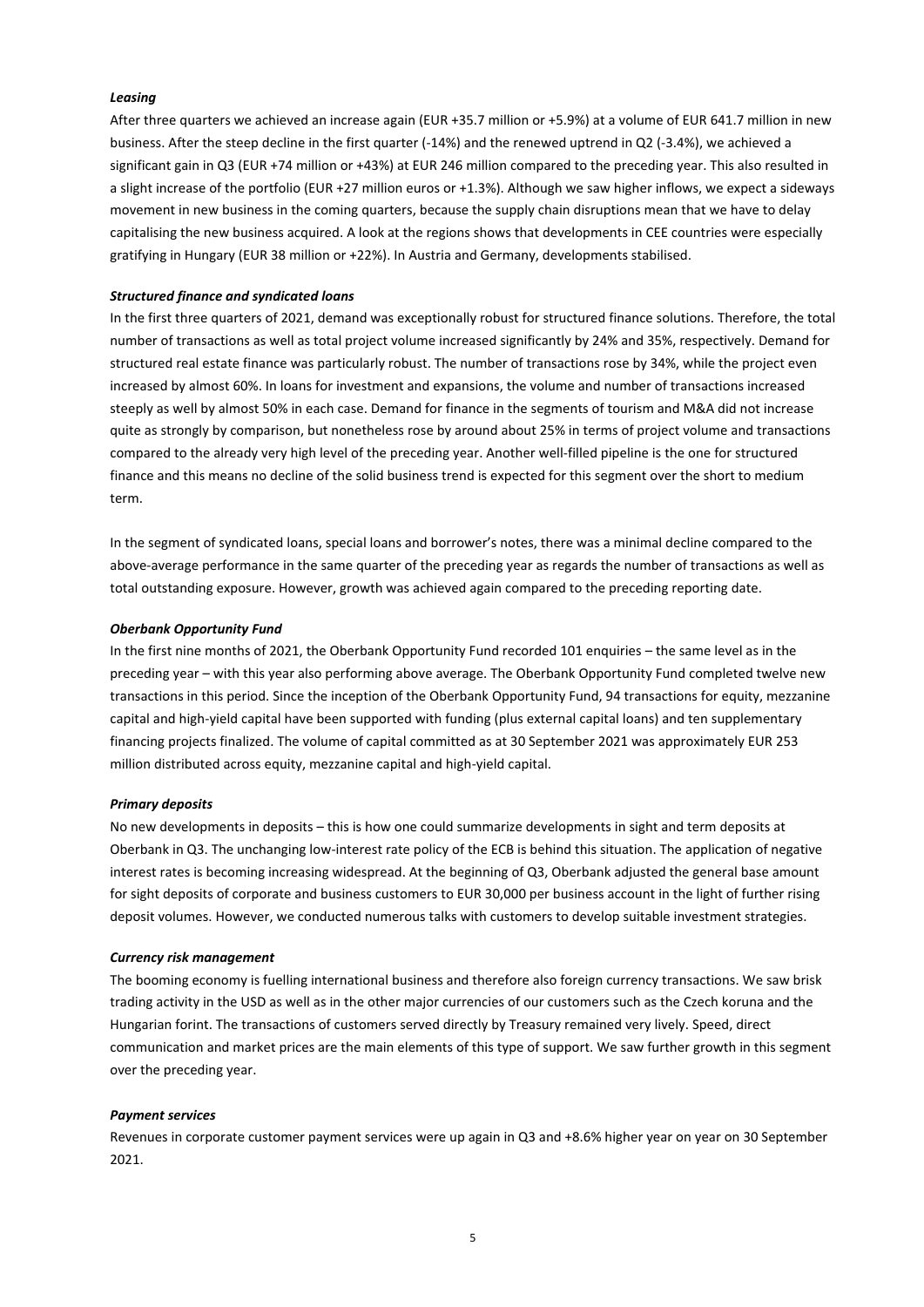#### *Leasing*

After three quarters we achieved an increase again (EUR +35.7 million or +5.9%) at a volume of EUR 641.7 million in new business. After the steep decline in the first quarter (-14%) and the renewed uptrend in Q2 (-3.4%), we achieved a significant gain in Q3 (EUR +74 million or +43%) at EUR 246 million compared to the preceding year. This also resulted in a slight increase of the portfolio (EUR +27 million euros or +1.3%). Although we saw higher inflows, we expect a sideways movement in new business in the coming quarters, because the supply chain disruptions mean that we have to delay capitalising the new business acquired. A look at the regions shows that developments in CEE countries were especially gratifying in Hungary (EUR 38 million or +22%). In Austria and Germany, developments stabilised.

#### *Structured finance and syndicated loans*

In the first three quarters of 2021, demand was exceptionally robust for structured finance solutions. Therefore, the total number of transactions as well as total project volume increased significantly by 24% and 35%, respectively. Demand for structured real estate finance was particularly robust. The number of transactions rose by 34%, while the project even increased by almost 60%. In loans for investment and expansions, the volume and number of transactions increased steeply as well by almost 50% in each case. Demand for finance in the segments of tourism and M&A did not increase quite as strongly by comparison, but nonetheless rose by around about 25% in terms of project volume and transactions compared to the already very high level of the preceding year. Another well-filled pipeline is the one for structured finance and this means no decline of the solid business trend is expected for this segment over the short to medium term.

In the segment of syndicated loans, special loans and borrower's notes, there was a minimal decline compared to the above-average performance in the same quarter of the preceding year as regards the number of transactions as well as total outstanding exposure. However, growth was achieved again compared to the preceding reporting date.

#### *Oberbank Opportunity Fund*

In the first nine months of 2021, the Oberbank Opportunity Fund recorded 101 enquiries – the same level as in the preceding year – with this year also performing above average. The Oberbank Opportunity Fund completed twelve new transactions in this period. Since the inception of the Oberbank Opportunity Fund, 94 transactions for equity, mezzanine capital and high-yield capital have been supported with funding (plus external capital loans) and ten supplementary financing projects finalized. The volume of capital committed as at 30 September 2021 was approximately EUR 253 million distributed across equity, mezzanine capital and high-yield capital.

#### *Primary deposits*

No new developments in deposits – this is how one could summarize developments in sight and term deposits at Oberbank in Q3. The unchanging low-interest rate policy of the ECB is behind this situation. The application of negative interest rates is becoming increasing widespread. At the beginning of Q3, Oberbank adjusted the general base amount for sight deposits of corporate and business customers to EUR 30,000 per business account in the light of further rising deposit volumes. However, we conducted numerous talks with customers to develop suitable investment strategies.

#### *Currency risk management*

The booming economy is fuelling international business and therefore also foreign currency transactions. We saw brisk trading activity in the USD as well as in the other major currencies of our customers such as the Czech koruna and the Hungarian forint. The transactions of customers served directly by Treasury remained very lively. Speed, direct communication and market prices are the main elements of this type of support. We saw further growth in this segment over the preceding year.

# *Payment services*

Revenues in corporate customer payment services were up again in Q3 and +8.6% higher year on year on 30 September 2021.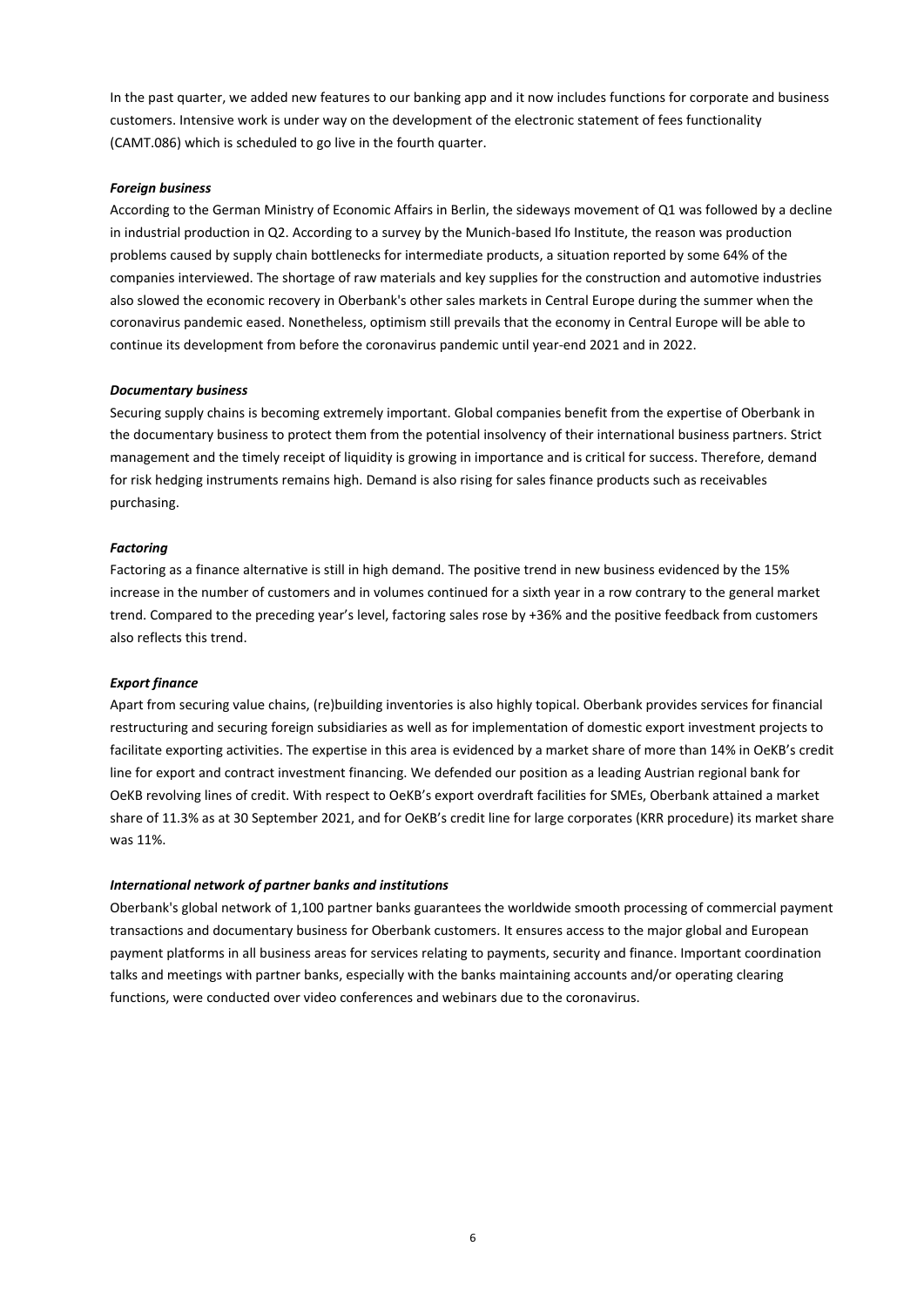In the past quarter, we added new features to our banking app and it now includes functions for corporate and business customers. Intensive work is under way on the development of the electronic statement of fees functionality (CAMT.086) which is scheduled to go live in the fourth quarter.

# *Foreign business*

According to the German Ministry of Economic Affairs in Berlin, the sideways movement of Q1 was followed by a decline in industrial production in Q2. According to a survey by the Munich-based Ifo Institute, the reason was production problems caused by supply chain bottlenecks for intermediate products, a situation reported by some 64% of the companies interviewed. The shortage of raw materials and key supplies for the construction and automotive industries also slowed the economic recovery in Oberbank's other sales markets in Central Europe during the summer when the coronavirus pandemic eased. Nonetheless, optimism still prevails that the economy in Central Europe will be able to continue its development from before the coronavirus pandemic until year-end 2021 and in 2022.

## *Documentary business*

Securing supply chains is becoming extremely important. Global companies benefit from the expertise of Oberbank in the documentary business to protect them from the potential insolvency of their international business partners. Strict management and the timely receipt of liquidity is growing in importance and is critical for success. Therefore, demand for risk hedging instruments remains high. Demand is also rising for sales finance products such as receivables purchasing.

#### *Factoring*

Factoring as a finance alternative is still in high demand. The positive trend in new business evidenced by the 15% increase in the number of customers and in volumes continued for a sixth year in a row contrary to the general market trend. Compared to the preceding year's level, factoring sales rose by +36% and the positive feedback from customers also reflects this trend.

## *Export finance*

Apart from securing value chains, (re)building inventories is also highly topical. Oberbank provides services for financial restructuring and securing foreign subsidiaries as well as for implementation of domestic export investment projects to facilitate exporting activities. The expertise in this area is evidenced by a market share of more than 14% in OeKB's credit line for export and contract investment financing. We defended our position as a leading Austrian regional bank for OeKB revolving lines of credit. With respect to OeKB's export overdraft facilities for SMEs, Oberbank attained a market share of 11.3% as at 30 September 2021, and for OeKB's credit line for large corporates (KRR procedure) its market share was 11%.

#### *International network of partner banks and institutions*

Oberbank's global network of 1,100 partner banks guarantees the worldwide smooth processing of commercial payment transactions and documentary business for Oberbank customers. It ensures access to the major global and European payment platforms in all business areas for services relating to payments, security and finance. Important coordination talks and meetings with partner banks, especially with the banks maintaining accounts and/or operating clearing functions, were conducted over video conferences and webinars due to the coronavirus.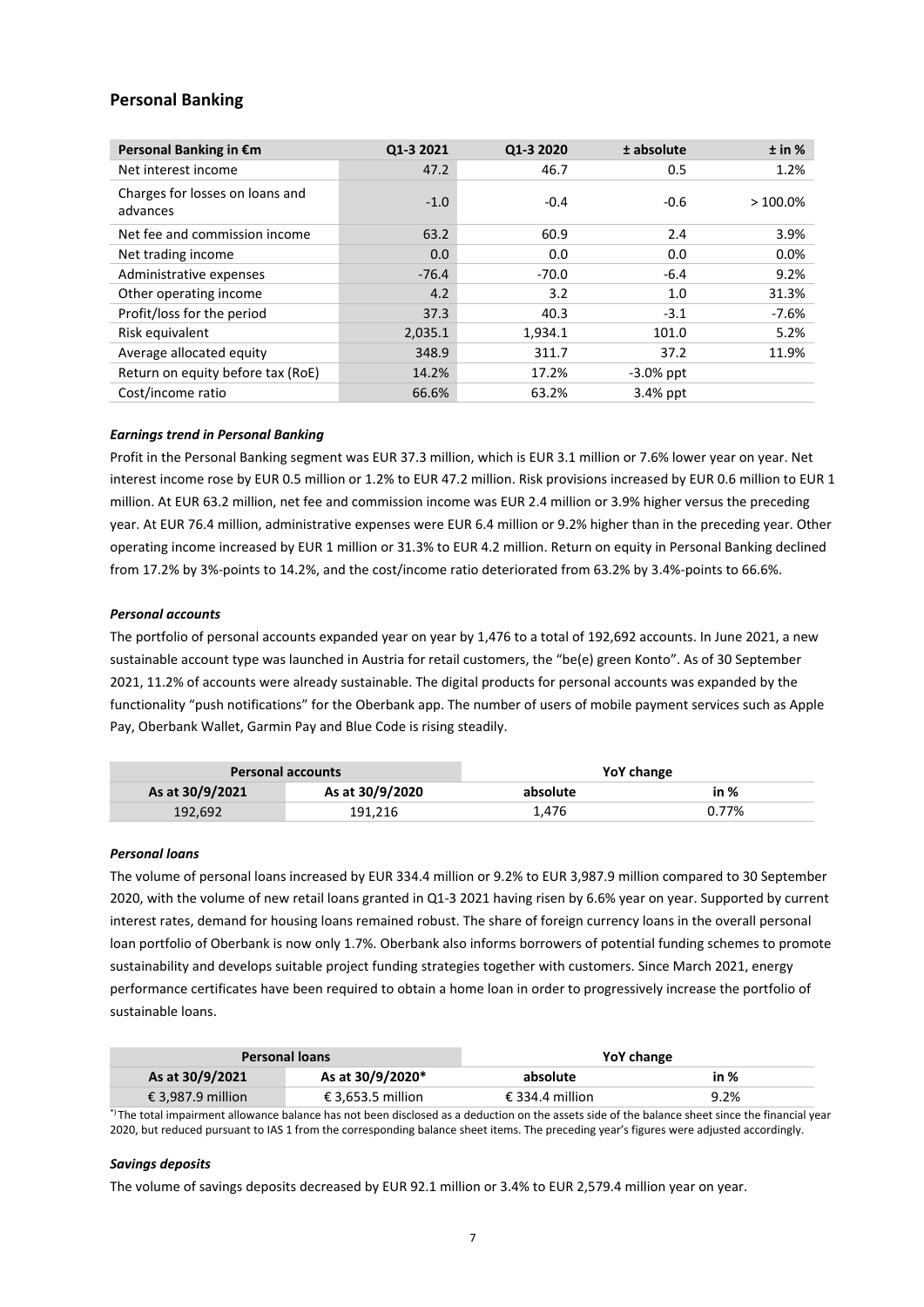# **Personal Banking**

| Personal Banking in €m                      | Q1-3 2021 | Q1-3 2020 | ± absolute   | ± in %     |
|---------------------------------------------|-----------|-----------|--------------|------------|
| Net interest income                         | 47.2      | 46.7      | 0.5          | 1.2%       |
| Charges for losses on loans and<br>advances | $-1.0$    | $-0.4$    | $-0.6$       | $>100.0\%$ |
| Net fee and commission income               | 63.2      | 60.9      | 2.4          | 3.9%       |
| Net trading income                          | 0.0       | 0.0       | 0.0          | $0.0\%$    |
| Administrative expenses                     | $-76.4$   | $-70.0$   | $-6.4$       | 9.2%       |
| Other operating income                      | 4.2       | 3.2       | 1.0          | 31.3%      |
| Profit/loss for the period                  | 37.3      | 40.3      | $-3.1$       | $-7.6%$    |
| Risk equivalent                             | 2,035.1   | 1,934.1   | 101.0        | 5.2%       |
| Average allocated equity                    | 348.9     | 311.7     | 37.2         | 11.9%      |
| Return on equity before tax (RoE)           | 14.2%     | 17.2%     | $-3.0\%$ ppt |            |
| Cost/income ratio                           | 66.6%     | 63.2%     | 3.4% ppt     |            |

# *Earnings trend in Personal Banking*

Profit in the Personal Banking segment was EUR 37.3 million, which is EUR 3.1 million or 7.6% lower year on year. Net interest income rose by EUR 0.5 million or 1.2% to EUR 47.2 million. Risk provisions increased by EUR 0.6 million to EUR 1 million. At EUR 63.2 million, net fee and commission income was EUR 2.4 million or 3.9% higher versus the preceding year. At EUR 76.4 million, administrative expenses were EUR 6.4 million or 9.2% higher than in the preceding year. Other operating income increased by EUR 1 million or 31.3% to EUR 4.2 million. Return on equity in Personal Banking declined from 17.2% by 3%-points to 14.2%, and the cost/income ratio deteriorated from 63.2% by 3.4%-points to 66.6%.

# *Personal accounts*

The portfolio of personal accounts expanded year on year by 1,476 to a total of 192,692 accounts. In June 2021, a new sustainable account type was launched in Austria for retail customers, the "be(e) green Konto". As of 30 September 2021, 11.2% of accounts were already sustainable. The digital products for personal accounts was expanded by the functionality "push notifications" for the Oberbank app. The number of users of mobile payment services such as Apple Pay, Oberbank Wallet, Garmin Pay and Blue Code is rising steadily.

|                 | <b>Personal accounts</b> | YoY change |       |
|-----------------|--------------------------|------------|-------|
| As at 30/9/2021 | As at 30/9/2020          | absolute   | in %  |
| 192.692         | 191,216                  | 1.476      | 0.77% |

## *Personal loans*

The volume of personal loans increased by EUR 334.4 million or 9.2% to EUR 3,987.9 million compared to 30 September 2020, with the volume of new retail loans granted in Q1-3 2021 having risen by 6.6% year on year. Supported by current interest rates, demand for housing loans remained robust. The share of foreign currency loans in the overall personal loan portfolio of Oberbank is now only 1.7%. Oberbank also informs borrowers of potential funding schemes to promote sustainability and develops suitable project funding strategies together with customers. Since March 2021, energy performance certificates have been required to obtain a home loan in order to progressively increase the portfolio of sustainable loans.

|                   | <b>Personal loans</b> | YoY change      |      |
|-------------------|-----------------------|-----------------|------|
| As at 30/9/2021   | As at 30/9/2020*      | absolute        | in % |
| € 3,987.9 million | € 3.653.5 million     | € 334.4 million | 9.2% |

\*) The total impairment allowance balance has not been disclosed as a deduction on the assets side of the balance sheet since the financial year 2020, but reduced pursuant to IAS 1 from the corresponding balance sheet items. The preceding year's figures were adjusted accordingly.

## *Savings deposits*

The volume of savings deposits decreased by EUR 92.1 million or 3.4% to EUR 2,579.4 million year on year.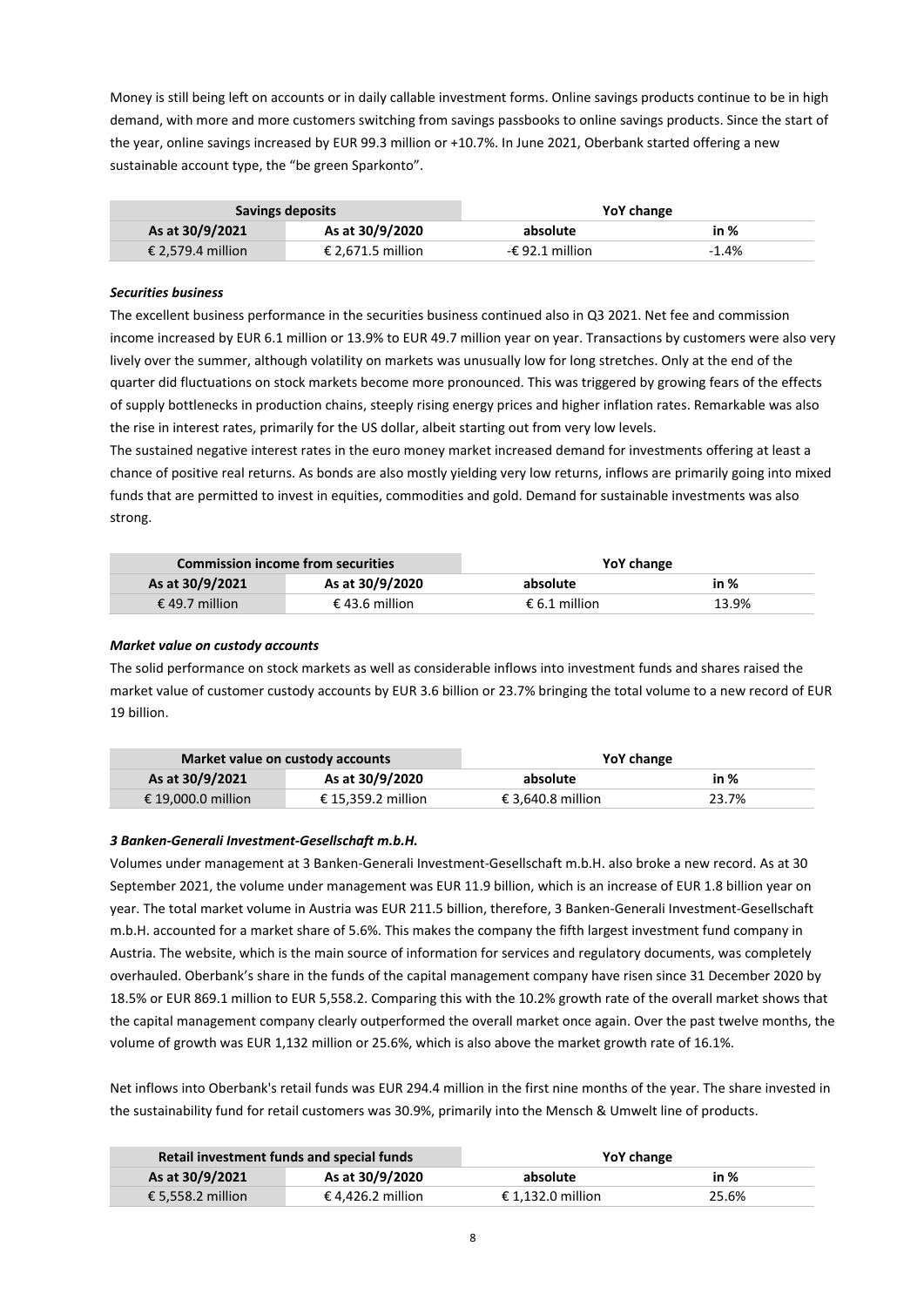Money is still being left on accounts or in daily callable investment forms. Online savings products continue to be in high demand, with more and more customers switching from savings passbooks to online savings products. Since the start of the year, online savings increased by EUR 99.3 million or +10.7%. In June 2021, Oberbank started offering a new sustainable account type, the "be green Sparkonto".

|                   | Savings deposits  | YoY change                |         |
|-------------------|-------------------|---------------------------|---------|
| As at 30/9/2021   | As at 30/9/2020   | absolute                  | in %    |
| € 2.579.4 million | € 2.671.5 million | - $\epsilon$ 92.1 million | $-1.4%$ |

# *Securities business*

The excellent business performance in the securities business continued also in Q3 2021. Net fee and commission income increased by EUR 6.1 million or 13.9% to EUR 49.7 million year on year. Transactions by customers were also very lively over the summer, although volatility on markets was unusually low for long stretches. Only at the end of the quarter did fluctuations on stock markets become more pronounced. This was triggered by growing fears of the effects of supply bottlenecks in production chains, steeply rising energy prices and higher inflation rates. Remarkable was also the rise in interest rates, primarily for the US dollar, albeit starting out from very low levels.

The sustained negative interest rates in the euro money market increased demand for investments offering at least a chance of positive real returns. As bonds are also mostly yielding very low returns, inflows are primarily going into mixed funds that are permitted to invest in equities, commodities and gold. Demand for sustainable investments was also strong.

|                 | <b>Commission income from securities</b> | YoY change    |       |
|-----------------|------------------------------------------|---------------|-------|
| As at 30/9/2021 | As at 30/9/2020                          | absolute      | in %  |
| € 49.7 million  | € 43.6 million                           | € 6.1 million | 13.9% |

# *Market value on custody accounts*

The solid performance on stock markets as well as considerable inflows into investment funds and shares raised the market value of customer custody accounts by EUR 3.6 billion or 23.7% bringing the total volume to a new record of EUR 19 billion.

|                    | Market value on custody accounts | YoY change        |       |
|--------------------|----------------------------------|-------------------|-------|
| As at 30/9/2021    | As at 30/9/2020                  | absolute          | in %  |
| € 19.000.0 million | € 15.359.2 million               | € 3.640.8 million | 23.7% |

## *3 Banken-Generali Investment-Gesellschaft m.b.H.*

Volumes under management at 3 Banken-Generali Investment-Gesellschaft m.b.H. also broke a new record. As at 30 September 2021, the volume under management was EUR 11.9 billion, which is an increase of EUR 1.8 billion year on year. The total market volume in Austria was EUR 211.5 billion, therefore, 3 Banken-Generali Investment-Gesellschaft m.b.H. accounted for a market share of 5.6%. This makes the company the fifth largest investment fund company in Austria. The website, which is the main source of information for services and regulatory documents, was completely overhauled. Oberbank's share in the funds of the capital management company have risen since 31 December 2020 by 18.5% or EUR 869.1 million to EUR 5,558.2. Comparing this with the 10.2% growth rate of the overall market shows that the capital management company clearly outperformed the overall market once again. Over the past twelve months, the volume of growth was EUR 1,132 million or 25.6%, which is also above the market growth rate of 16.1%.

Net inflows into Oberbank's retail funds was EUR 294.4 million in the first nine months of the year. The share invested in the sustainability fund for retail customers was 30.9%, primarily into the Mensch & Umwelt line of products.

|                   | Retail investment funds and special funds | YoY change        |       |
|-------------------|-------------------------------------------|-------------------|-------|
| As at 30/9/2021   | As at 30/9/2020                           | absolute          | in %  |
| € 5.558.2 million | € 4.426.2 million                         | € 1.132.0 million | 25.6% |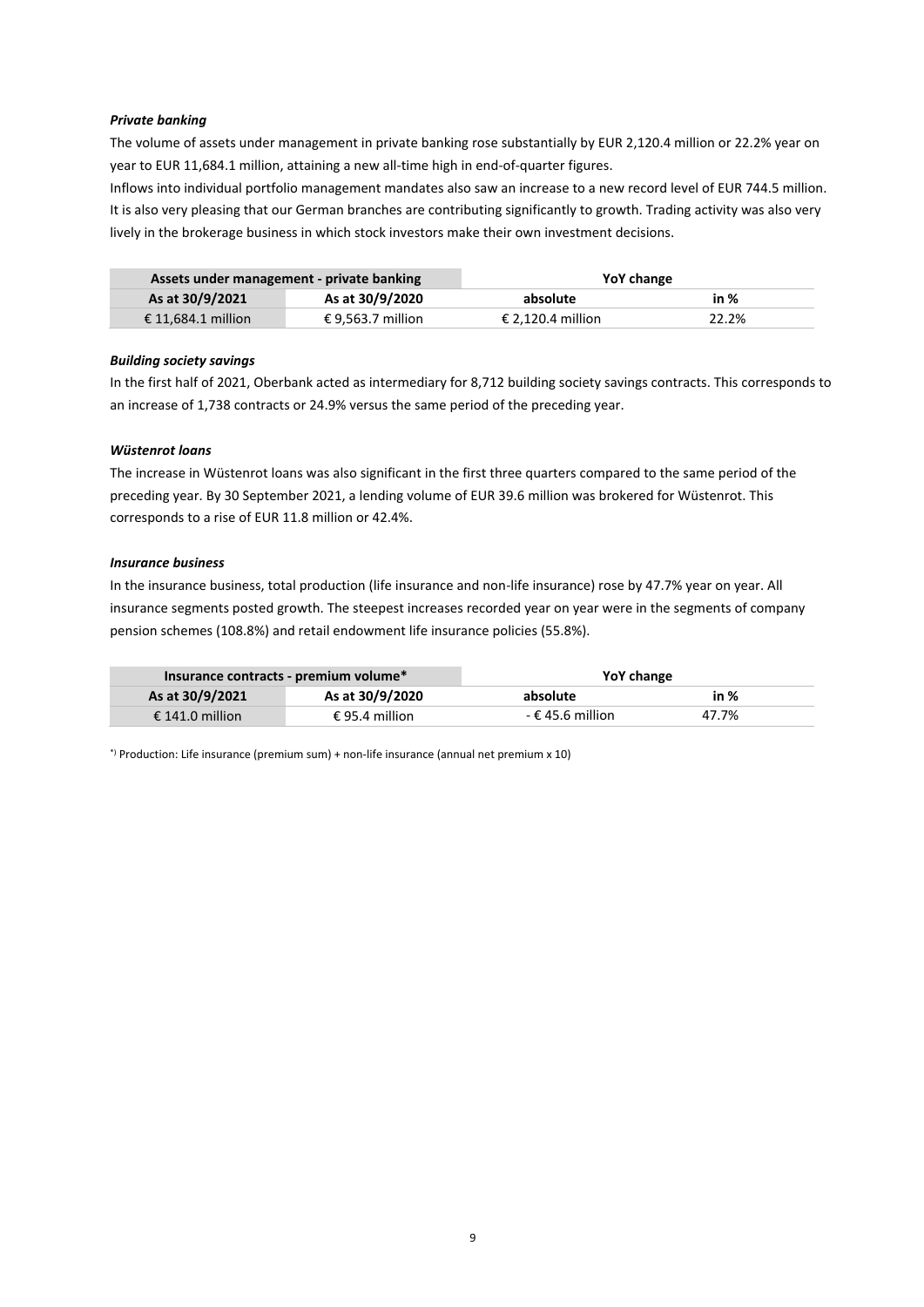## *Private banking*

The volume of assets under management in private banking rose substantially by EUR 2,120.4 million or 22.2% year on year to EUR 11,684.1 million, attaining a new all-time high in end-of-quarter figures.

Inflows into individual portfolio management mandates also saw an increase to a new record level of EUR 744.5 million. It is also very pleasing that our German branches are contributing significantly to growth. Trading activity was also very lively in the brokerage business in which stock investors make their own investment decisions.

| Assets under management - private banking |                   | YoY change        |       |
|-------------------------------------------|-------------------|-------------------|-------|
| As at 30/9/2021                           | As at 30/9/2020   | absolute          | in %  |
| € 11.684.1 million                        | € 9,563.7 million | € 2.120.4 million | 22.2% |

# *Building society savings*

In the first half of 2021, Oberbank acted as intermediary for 8,712 building society savings contracts. This corresponds to an increase of 1,738 contracts or 24.9% versus the same period of the preceding year.

# *Wüstenrot loans*

The increase in Wüstenrot loans was also significant in the first three quarters compared to the same period of the preceding year. By 30 September 2021, a lending volume of EUR 39.6 million was brokered for Wüstenrot. This corresponds to a rise of EUR 11.8 million or 42.4%.

## *Insurance business*

In the insurance business, total production (life insurance and non-life insurance) rose by 47.7% year on year. All insurance segments posted growth. The steepest increases recorded year on year were in the segments of company pension schemes (108.8%) and retail endowment life insurance policies (55.8%).

| Insurance contracts - premium volume* |                 | YoY change         |       |
|---------------------------------------|-----------------|--------------------|-------|
| As at 30/9/2021                       | As at 30/9/2020 | absolute           | in %  |
| € 141.0 million                       | € 95.4 million  | $-$ € 45.6 million | 47.7% |

\*) Production: Life insurance (premium sum) + non-life insurance (annual net premium x 10)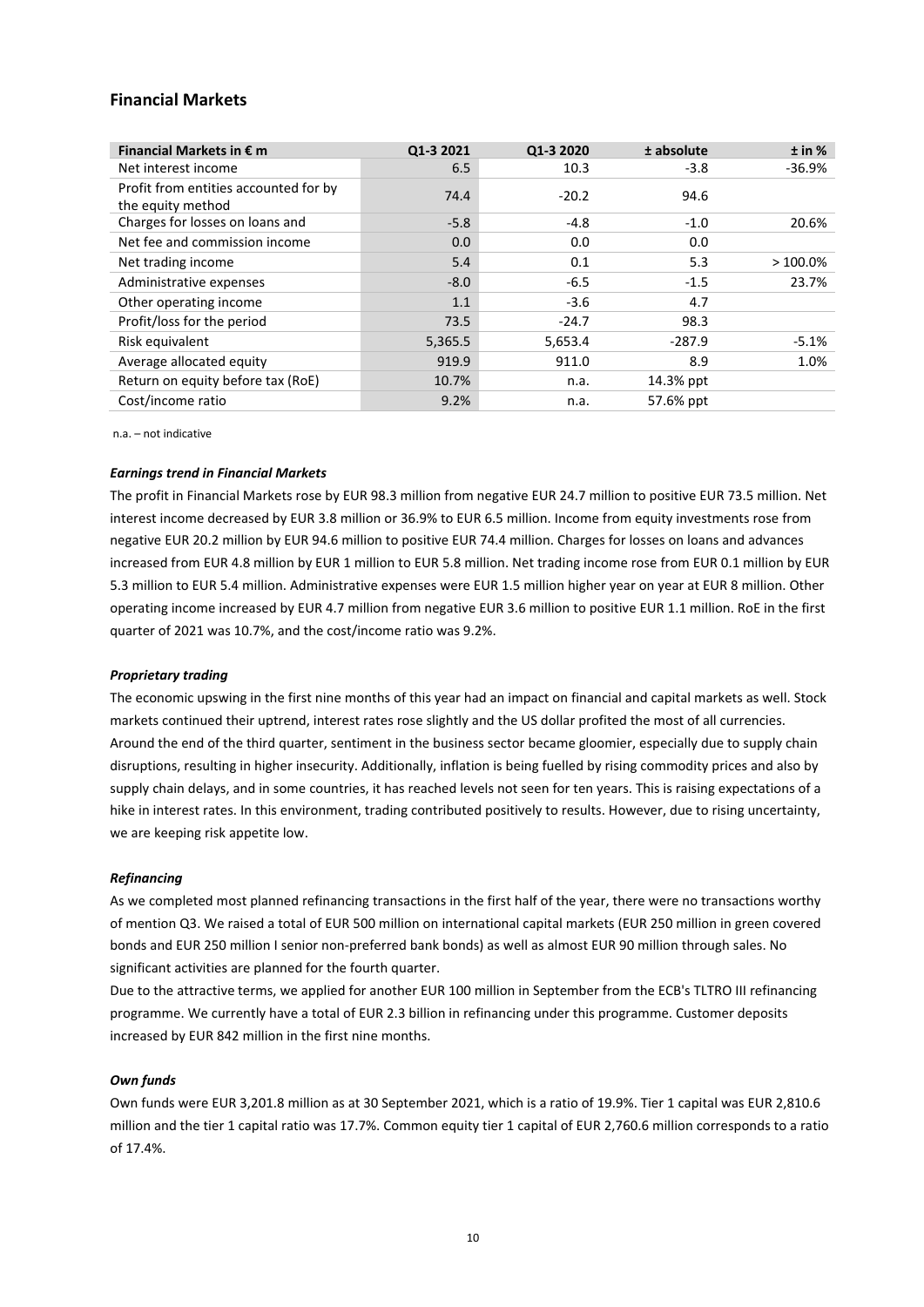# **Financial Markets**

| Financial Markets in $\epsilon$ m                          | Q1-3 2021 | Q1-3 2020 | ± absolute | ± in %     |
|------------------------------------------------------------|-----------|-----------|------------|------------|
| Net interest income                                        | 6.5       | 10.3      | $-3.8$     | $-36.9%$   |
| Profit from entities accounted for by<br>the equity method | 74.4      | $-20.2$   | 94.6       |            |
| Charges for losses on loans and                            | $-5.8$    | $-4.8$    | $-1.0$     | 20.6%      |
| Net fee and commission income                              | 0.0       | 0.0       | 0.0        |            |
| Net trading income                                         | 5.4       | 0.1       | 5.3        | $>100.0\%$ |
| Administrative expenses                                    | $-8.0$    | $-6.5$    | $-1.5$     | 23.7%      |
| Other operating income                                     | 1.1       | $-3.6$    | 4.7        |            |
| Profit/loss for the period                                 | 73.5      | $-24.7$   | 98.3       |            |
| Risk equivalent                                            | 5,365.5   | 5,653.4   | $-287.9$   | $-5.1%$    |
| Average allocated equity                                   | 919.9     | 911.0     | 8.9        | 1.0%       |
| Return on equity before tax (RoE)                          | 10.7%     | n.a.      | 14.3% ppt  |            |
| Cost/income ratio                                          | 9.2%      | n.a.      | 57.6% ppt  |            |

n.a. – not indicative

#### *Earnings trend in Financial Markets*

The profit in Financial Markets rose by EUR 98.3 million from negative EUR 24.7 million to positive EUR 73.5 million. Net interest income decreased by EUR 3.8 million or 36.9% to EUR 6.5 million. Income from equity investments rose from negative EUR 20.2 million by EUR 94.6 million to positive EUR 74.4 million. Charges for losses on loans and advances increased from EUR 4.8 million by EUR 1 million to EUR 5.8 million. Net trading income rose from EUR 0.1 million by EUR 5.3 million to EUR 5.4 million. Administrative expenses were EUR 1.5 million higher year on year at EUR 8 million. Other operating income increased by EUR 4.7 million from negative EUR 3.6 million to positive EUR 1.1 million. RoE in the first quarter of 2021 was 10.7%, and the cost/income ratio was 9.2%.

## *Proprietary trading*

The economic upswing in the first nine months of this year had an impact on financial and capital markets as well. Stock markets continued their uptrend, interest rates rose slightly and the US dollar profited the most of all currencies. Around the end of the third quarter, sentiment in the business sector became gloomier, especially due to supply chain disruptions, resulting in higher insecurity. Additionally, inflation is being fuelled by rising commodity prices and also by supply chain delays, and in some countries, it has reached levels not seen for ten years. This is raising expectations of a hike in interest rates. In this environment, trading contributed positively to results. However, due to rising uncertainty, we are keeping risk appetite low.

#### *Refinancing*

As we completed most planned refinancing transactions in the first half of the year, there were no transactions worthy of mention Q3. We raised a total of EUR 500 million on international capital markets (EUR 250 million in green covered bonds and EUR 250 million I senior non-preferred bank bonds) as well as almost EUR 90 million through sales. No significant activities are planned for the fourth quarter.

Due to the attractive terms, we applied for another EUR 100 million in September from the ECB's TLTRO III refinancing programme. We currently have a total of EUR 2.3 billion in refinancing under this programme. Customer deposits increased by EUR 842 million in the first nine months.

#### *Own funds*

Own funds were EUR 3,201.8 million as at 30 September 2021, which is a ratio of 19.9%. Tier 1 capital was EUR 2,810.6 million and the tier 1 capital ratio was 17.7%. Common equity tier 1 capital of EUR 2,760.6 million corresponds to a ratio of 17.4%.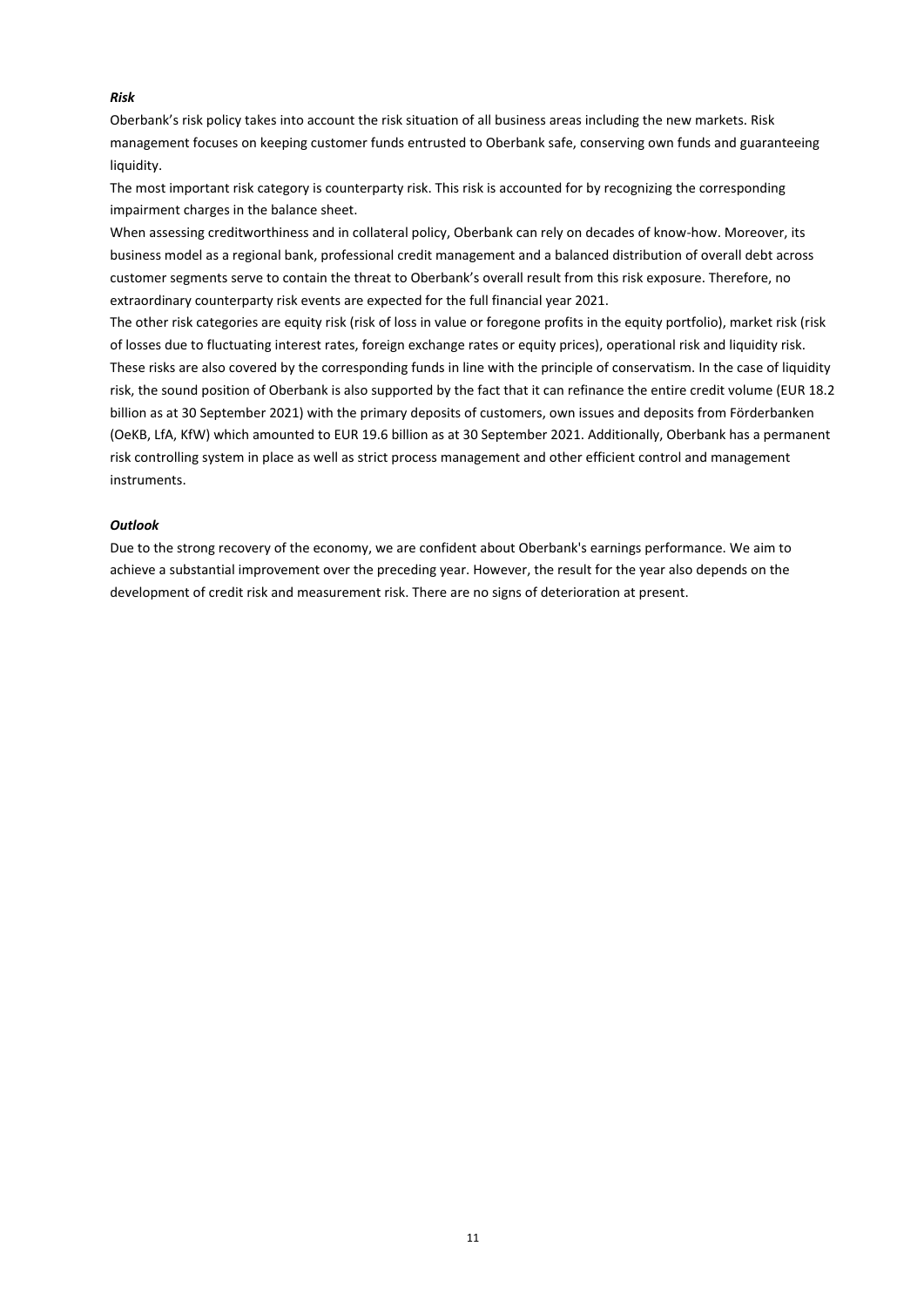# *Risk*

Oberbank's risk policy takes into account the risk situation of all business areas including the new markets. Risk management focuses on keeping customer funds entrusted to Oberbank safe, conserving own funds and guaranteeing liquidity.

The most important risk category is counterparty risk. This risk is accounted for by recognizing the corresponding impairment charges in the balance sheet.

When assessing creditworthiness and in collateral policy, Oberbank can rely on decades of know-how. Moreover, its business model as a regional bank, professional credit management and a balanced distribution of overall debt across customer segments serve to contain the threat to Oberbank's overall result from this risk exposure. Therefore, no extraordinary counterparty risk events are expected for the full financial year 2021.

The other risk categories are equity risk (risk of loss in value or foregone profits in the equity portfolio), market risk (risk of losses due to fluctuating interest rates, foreign exchange rates or equity prices), operational risk and liquidity risk. These risks are also covered by the corresponding funds in line with the principle of conservatism. In the case of liquidity risk, the sound position of Oberbank is also supported by the fact that it can refinance the entire credit volume (EUR 18.2 billion as at 30 September 2021) with the primary deposits of customers, own issues and deposits from Förderbanken (OeKB, LfA, KfW) which amounted to EUR 19.6 billion as at 30 September 2021. Additionally, Oberbank has a permanent risk controlling system in place as well as strict process management and other efficient control and management instruments.

#### *Outlook*

Due to the strong recovery of the economy, we are confident about Oberbank's earnings performance. We aim to achieve a substantial improvement over the preceding year. However, the result for the year also depends on the development of credit risk and measurement risk. There are no signs of deterioration at present.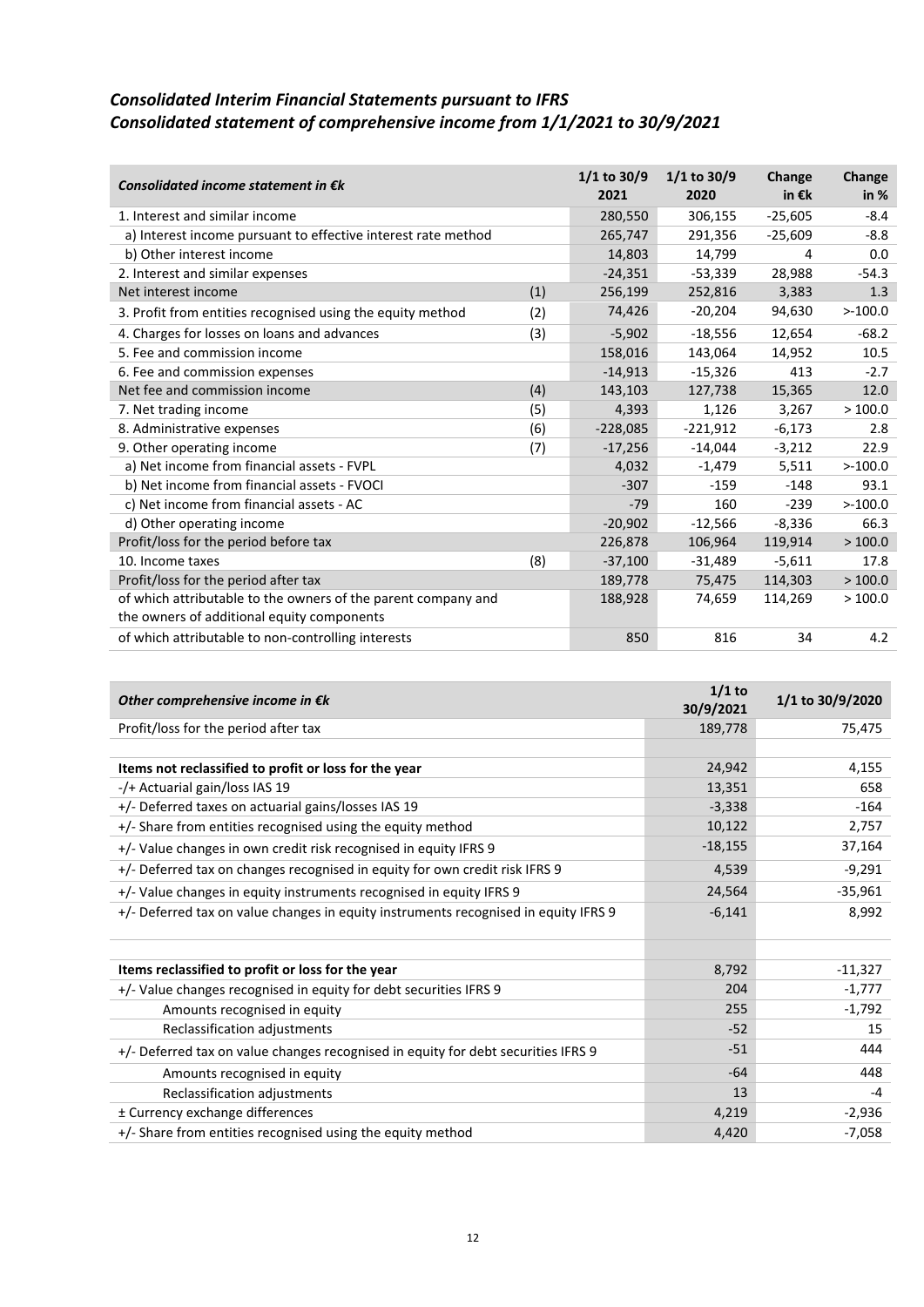# *Consolidated Interim Financial Statements pursuant to IFRS Consolidated statement of comprehensive income from 1/1/2021 to 30/9/2021*

| Consolidated income statement in $\epsilon k$                 |     | $1/1$ to 30/9<br>2021 | $1/1$ to 30/9<br>2020 | Change<br>in $\epsilon$ k | Change<br>in $%$ |
|---------------------------------------------------------------|-----|-----------------------|-----------------------|---------------------------|------------------|
| 1. Interest and similar income                                |     | 280,550               | 306,155               | $-25,605$                 | $-8.4$           |
| a) Interest income pursuant to effective interest rate method |     | 265,747               | 291,356               | $-25,609$                 | $-8.8$           |
| b) Other interest income                                      |     | 14,803                | 14,799                | 4                         | 0.0              |
| 2. Interest and similar expenses                              |     | $-24,351$             | $-53,339$             | 28,988                    | $-54.3$          |
| Net interest income                                           | (1) | 256,199               | 252,816               | 3,383                     | 1.3              |
| 3. Profit from entities recognised using the equity method    | (2) | 74,426                | $-20,204$             | 94,630                    | >100.0           |
| 4. Charges for losses on loans and advances                   | (3) | $-5,902$              | $-18,556$             | 12,654                    | $-68.2$          |
| 5. Fee and commission income                                  |     | 158,016               | 143,064               | 14,952                    | 10.5             |
| 6. Fee and commission expenses                                |     | $-14,913$             | $-15,326$             | 413                       | $-2.7$           |
| Net fee and commission income                                 | (4) | 143,103               | 127,738               | 15,365                    | 12.0             |
| 7. Net trading income                                         | (5) | 4,393                 | 1,126                 | 3,267                     | >100.0           |
| 8. Administrative expenses                                    | (6) | $-228,085$            | $-221,912$            | $-6,173$                  | 2.8              |
| 9. Other operating income                                     | (7) | $-17,256$             | $-14,044$             | $-3,212$                  | 22.9             |
| a) Net income from financial assets - FVPL                    |     | 4,032                 | $-1,479$              | 5,511                     | >100.0           |
| b) Net income from financial assets - FVOCI                   |     | $-307$                | $-159$                | $-148$                    | 93.1             |
| c) Net income from financial assets - AC                      |     | $-79$                 | 160                   | $-239$                    | >100.0           |
| d) Other operating income                                     |     | $-20,902$             | $-12,566$             | $-8,336$                  | 66.3             |
| Profit/loss for the period before tax                         |     | 226,878               | 106,964               | 119,914                   | >100.0           |
| 10. Income taxes                                              | (8) | $-37,100$             | $-31,489$             | $-5,611$                  | 17.8             |
| Profit/loss for the period after tax                          |     | 189,778               | 75,475                | 114,303                   | >100.0           |
| of which attributable to the owners of the parent company and |     | 188,928               | 74,659                | 114,269                   | >100.0           |
| the owners of additional equity components                    |     |                       |                       |                           |                  |
| of which attributable to non-controlling interests            |     | 850                   | 816                   | 34                        | 4.2              |

| Other comprehensive income in $\epsilon$ k                                          | $1/1$ to<br>30/9/2021 | 1/1 to 30/9/2020 |
|-------------------------------------------------------------------------------------|-----------------------|------------------|
| Profit/loss for the period after tax                                                | 189,778               | 75,475           |
|                                                                                     |                       |                  |
| Items not reclassified to profit or loss for the year                               | 24,942                | 4,155            |
| -/+ Actuarial gain/loss IAS 19                                                      | 13,351                | 658              |
| +/- Deferred taxes on actuarial gains/losses IAS 19                                 | $-3,338$              | $-164$           |
| +/- Share from entities recognised using the equity method                          | 10,122                | 2,757            |
| +/- Value changes in own credit risk recognised in equity IFRS 9                    | $-18,155$             | 37,164           |
| +/- Deferred tax on changes recognised in equity for own credit risk IFRS 9         | 4,539                 | $-9,291$         |
| +/- Value changes in equity instruments recognised in equity IFRS 9                 | 24,564                | $-35,961$        |
| +/- Deferred tax on value changes in equity instruments recognised in equity IFRS 9 | $-6,141$              | 8,992            |
| Items reclassified to profit or loss for the year                                   | 8,792                 | $-11,327$        |
| +/- Value changes recognised in equity for debt securities IFRS 9                   | 204                   | $-1,777$         |
| Amounts recognised in equity                                                        | 255                   | $-1,792$         |
| Reclassification adjustments                                                        | $-52$                 | 15               |
| +/- Deferred tax on value changes recognised in equity for debt securities IFRS 9   | $-51$                 | 444              |
| Amounts recognised in equity                                                        | $-64$                 | 448              |
| Reclassification adjustments                                                        | 13                    | $-4$             |
| ± Currency exchange differences                                                     | 4,219                 | $-2,936$         |
| $+/-$ Share from entities recognised using the equity method                        | 4,420                 | $-7,058$         |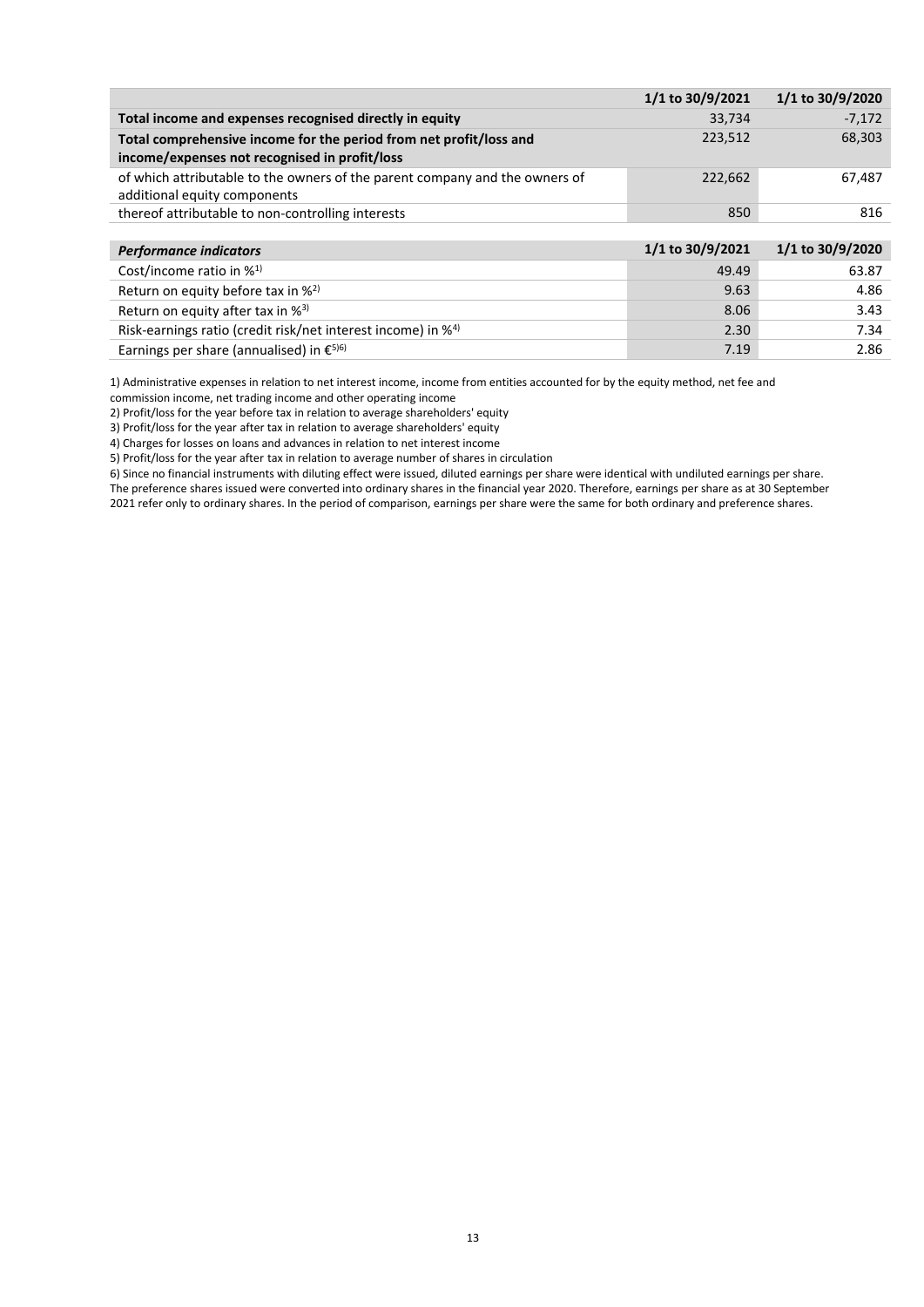|                                                                             | 1/1 to 30/9/2021 | 1/1 to 30/9/2020 |
|-----------------------------------------------------------------------------|------------------|------------------|
| Total income and expenses recognised directly in equity                     | 33,734           | $-7,172$         |
| Total comprehensive income for the period from net profit/loss and          | 223,512          | 68,303           |
| income/expenses not recognised in profit/loss                               |                  |                  |
| of which attributable to the owners of the parent company and the owners of | 222,662          | 67,487           |
| additional equity components                                                |                  |                  |
| thereof attributable to non-controlling interests                           | 850              | 816              |
|                                                                             |                  |                  |
| <b>Performance indicators</b>                                               | 1/1 to 30/9/2021 | 1/1 to 30/9/2020 |

| Cost/income ratio in $\frac{1}{2}$                                       | 49.49 | 63.87 |
|--------------------------------------------------------------------------|-------|-------|
| Return on equity before tax in % <sup>2)</sup>                           | 9.63  | 4.86  |
| Return on equity after tax in % <sup>3)</sup>                            | 8.06  | 3.43  |
| Risk-earnings ratio (credit risk/net interest income) in % <sup>4)</sup> | 2.30  | 7.34  |
| Earnings per share (annualised) in $\epsilon^{5/6}$                      | 7.19  | 2.86  |

1) Administrative expenses in relation to net interest income, income from entities accounted for by the equity method, net fee and

commission income, net trading income and other operating income

2) Profit/loss for the year before tax in relation to average shareholders' equity

3) Profit/loss for the year after tax in relation to average shareholders' equity 4) Charges for losses on loans and advances in relation to net interest income

5) Profit/loss for the year after tax in relation to average number of shares in circulation

6) Since no financial instruments with diluting effect were issued, diluted earnings per share were identical with undiluted earnings per share.

The preference shares issued were converted into ordinary shares in the financial year 2020. Therefore, earnings per share as at 30 September 2021 refer only to ordinary shares. In the period of comparison, earnings per share were the same for both ordinary and preference shares.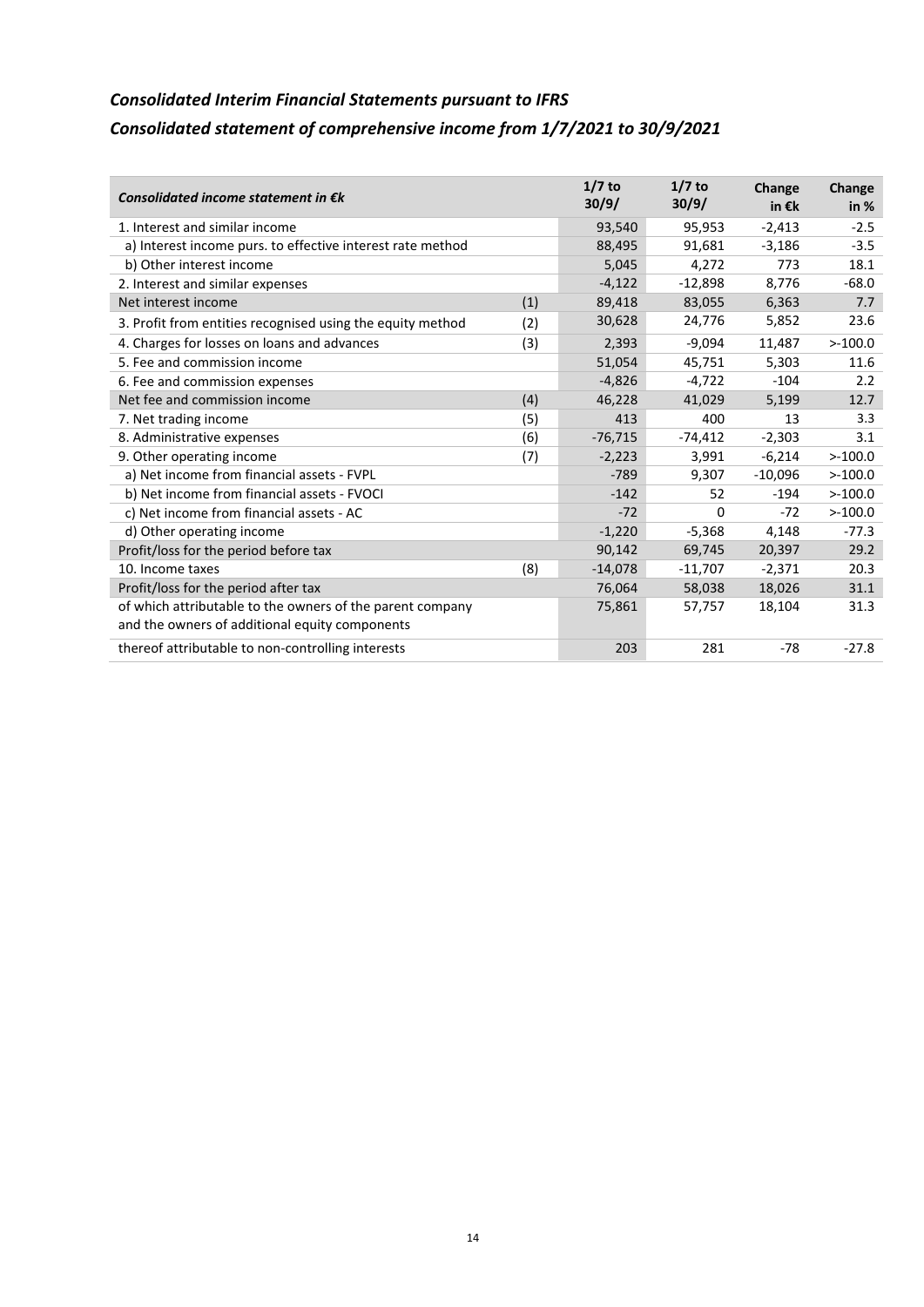# *Consolidated Interim Financial Statements pursuant to IFRS Consolidated statement of comprehensive income from 1/7/2021 to 30/9/2021*

| Consolidated income statement in $\epsilon$ k              |     | $1/7$ to<br>30/9/ | $1/7$ to<br>30/9/ | Change<br>in €k | Change<br>in $%$ |
|------------------------------------------------------------|-----|-------------------|-------------------|-----------------|------------------|
| 1. Interest and similar income                             |     | 93,540            | 95,953            | $-2,413$        | $-2.5$           |
| a) Interest income purs. to effective interest rate method |     | 88,495            | 91,681            | $-3,186$        | $-3.5$           |
| b) Other interest income                                   |     | 5,045             | 4,272             | 773             | 18.1             |
| 2. Interest and similar expenses                           |     | $-4,122$          | $-12,898$         | 8,776           | $-68.0$          |
| Net interest income                                        | (1) | 89,418            | 83,055            | 6,363           | 7.7              |
| 3. Profit from entities recognised using the equity method | (2) | 30,628            | 24,776            | 5,852           | 23.6             |
| 4. Charges for losses on loans and advances                | (3) | 2,393             | $-9,094$          | 11,487          | >100.0           |
| 5. Fee and commission income                               |     | 51,054            | 45,751            | 5,303           | 11.6             |
| 6. Fee and commission expenses                             |     | $-4,826$          | $-4,722$          | $-104$          | 2.2              |
| Net fee and commission income                              | (4) | 46,228            | 41,029            | 5,199           | 12.7             |
| 7. Net trading income                                      | (5) | 413               | 400               | 13              | 3.3              |
| 8. Administrative expenses                                 | (6) | $-76,715$         | $-74,412$         | $-2,303$        | 3.1              |
| 9. Other operating income                                  | (7) | $-2,223$          | 3,991             | $-6,214$        | >100.0           |
| a) Net income from financial assets - FVPL                 |     | $-789$            | 9,307             | $-10,096$       | >100.0           |
| b) Net income from financial assets - FVOCI                |     | $-142$            | 52                | $-194$          | >100.0           |
| c) Net income from financial assets - AC                   |     | $-72$             | 0                 | $-72$           | >100.0           |
| d) Other operating income                                  |     | $-1,220$          | $-5,368$          | 4,148           | $-77.3$          |
| Profit/loss for the period before tax                      |     | 90,142            | 69,745            | 20,397          | 29.2             |
| 10. Income taxes                                           | (8) | $-14,078$         | $-11,707$         | $-2,371$        | 20.3             |
| Profit/loss for the period after tax                       |     | 76,064            | 58,038            | 18,026          | 31.1             |
| of which attributable to the owners of the parent company  |     | 75,861            | 57,757            | 18,104          | 31.3             |
| and the owners of additional equity components             |     |                   |                   |                 |                  |
| thereof attributable to non-controlling interests          |     | 203               | 281               | $-78$           | $-27.8$          |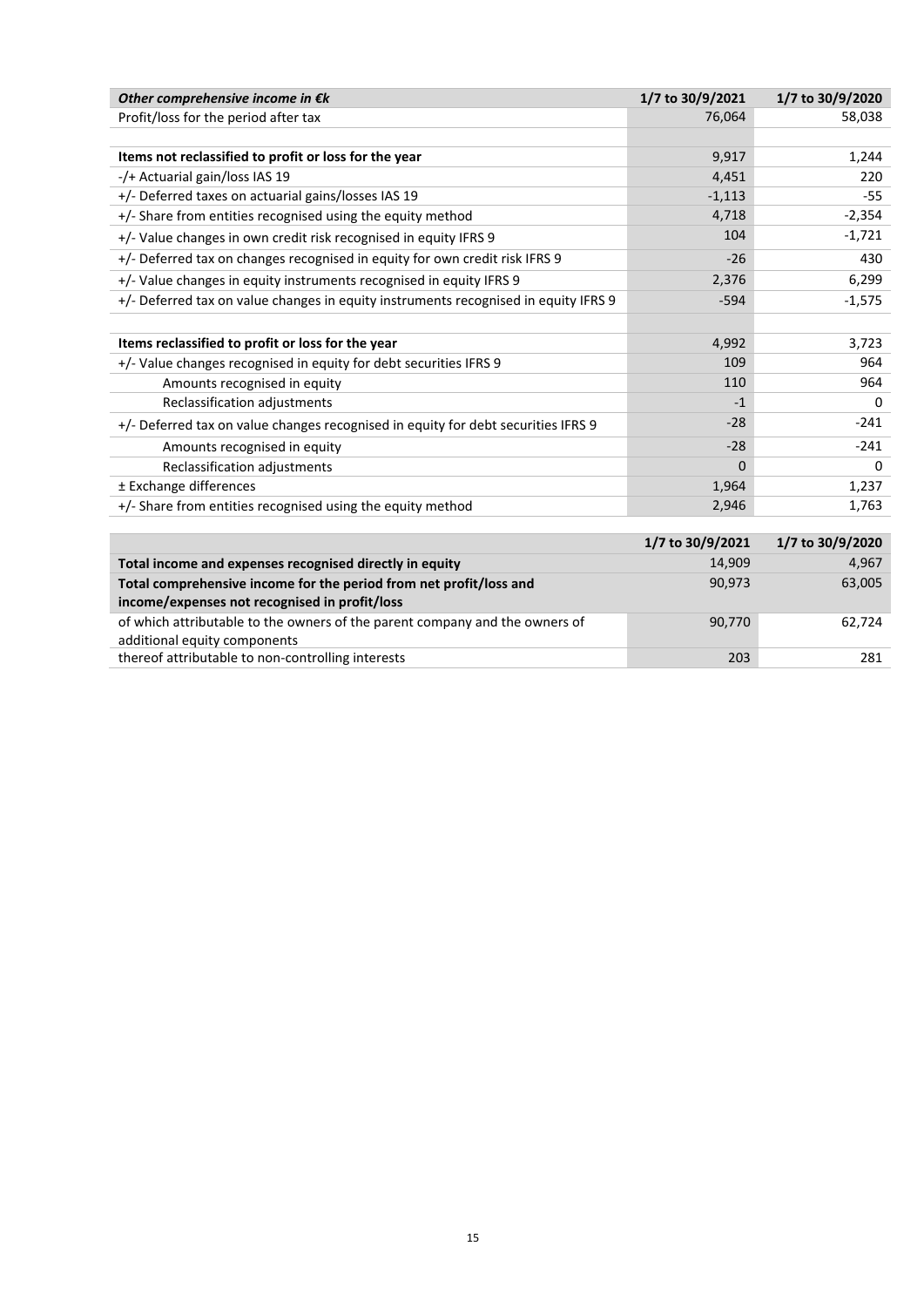| Other comprehensive income in $\epsilon k$                                                                          | 1/7 to 30/9/2021 | 1/7 to 30/9/2020 |
|---------------------------------------------------------------------------------------------------------------------|------------------|------------------|
| Profit/loss for the period after tax                                                                                | 76,064           | 58,038           |
|                                                                                                                     |                  |                  |
| Items not reclassified to profit or loss for the year                                                               | 9,917            | 1,244            |
| -/+ Actuarial gain/loss IAS 19                                                                                      | 4,451            | 220              |
| +/- Deferred taxes on actuarial gains/losses IAS 19                                                                 | $-1,113$         | -55              |
| +/- Share from entities recognised using the equity method                                                          | 4,718            | $-2,354$         |
| +/- Value changes in own credit risk recognised in equity IFRS 9                                                    | 104              | $-1,721$         |
| +/- Deferred tax on changes recognised in equity for own credit risk IFRS 9                                         | $-26$            | 430              |
| +/- Value changes in equity instruments recognised in equity IFRS 9                                                 | 2,376            | 6,299            |
| +/- Deferred tax on value changes in equity instruments recognised in equity IFRS 9                                 | $-594$           | $-1,575$         |
|                                                                                                                     |                  |                  |
| Items reclassified to profit or loss for the year                                                                   | 4,992            | 3,723            |
| +/- Value changes recognised in equity for debt securities IFRS 9                                                   | 109              | 964              |
| Amounts recognised in equity                                                                                        | 110              | 964              |
| Reclassification adjustments                                                                                        | $-1$             | 0                |
| +/- Deferred tax on value changes recognised in equity for debt securities IFRS 9                                   | $-28$            | $-241$           |
| Amounts recognised in equity                                                                                        | $-28$            | $-241$           |
| Reclassification adjustments                                                                                        | $\Omega$         | 0                |
| ± Exchange differences                                                                                              | 1,964            | 1,237            |
| +/- Share from entities recognised using the equity method                                                          | 2,946            | 1,763            |
|                                                                                                                     |                  |                  |
|                                                                                                                     | 1/7 to 30/9/2021 | 1/7 to 30/9/2020 |
| Total income and expenses recognised directly in equity                                                             | 14,909           | 4,967            |
| Total comprehensive income for the period from net profit/loss and<br>income/expenses not recognised in profit/loss | 90,973           | 63,005           |
| of which attributable to the owners of the parent company and the owners of<br>additional equity components         | 90,770           | 62,724           |

| thereof attributable to non-controlling interests | 20: | ากา |
|---------------------------------------------------|-----|-----|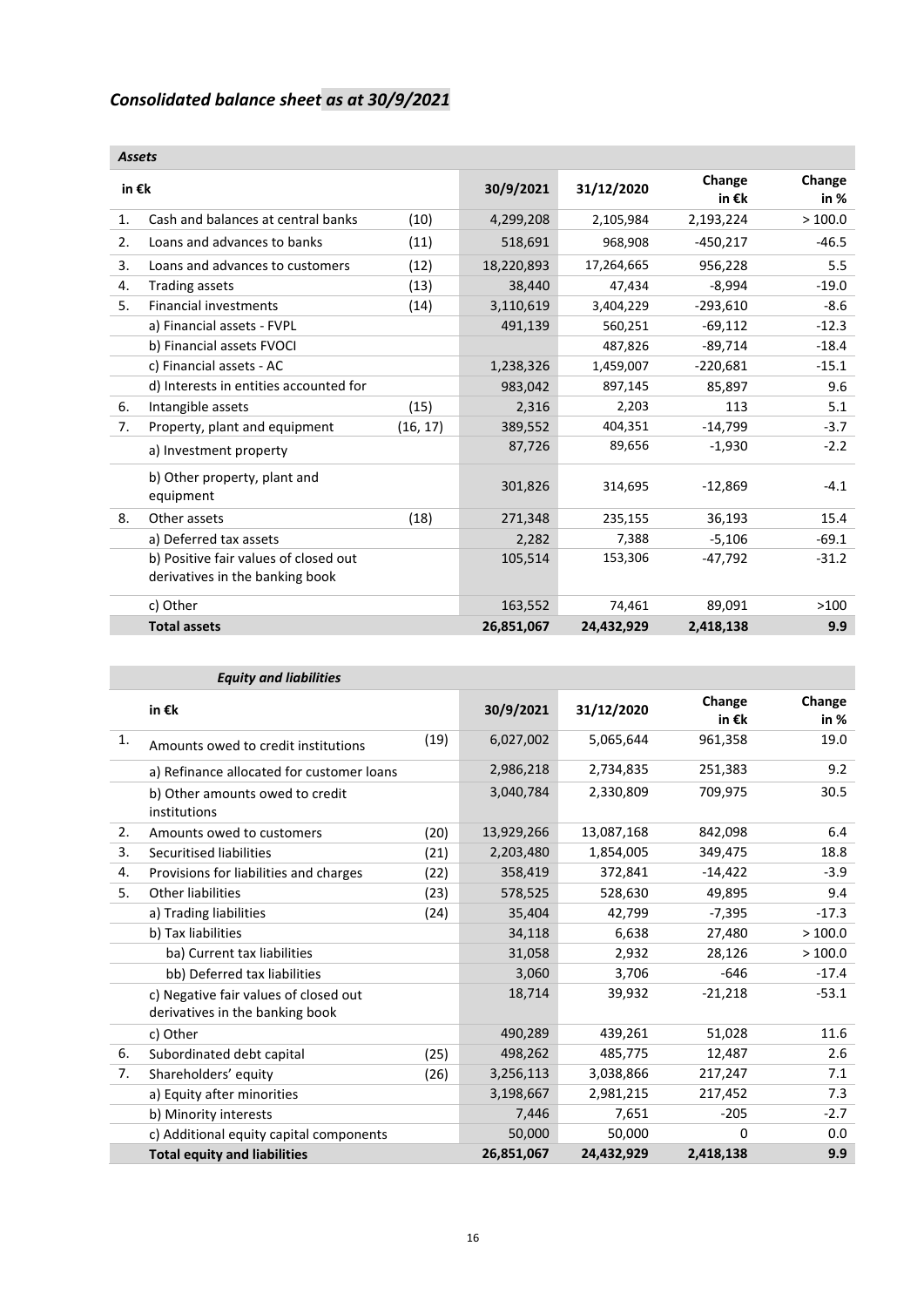# *Consolidated balance sheet as at 30/9/2021*

|                 | <b>Assets</b>                                                            |           |            |                           |                  |         |  |  |
|-----------------|--------------------------------------------------------------------------|-----------|------------|---------------------------|------------------|---------|--|--|
| in $\epsilon$ k |                                                                          | 30/9/2021 | 31/12/2020 | Change<br>in $\epsilon$ k | Change<br>in $%$ |         |  |  |
| 1.              | Cash and balances at central banks                                       | (10)      | 4,299,208  | 2,105,984                 | 2,193,224        | >100.0  |  |  |
| 2.              | Loans and advances to banks                                              | (11)      | 518,691    | 968,908                   | $-450,217$       | $-46.5$ |  |  |
| 3.              | Loans and advances to customers                                          | (12)      | 18,220,893 | 17,264,665                | 956,228          | 5.5     |  |  |
| 4.              | Trading assets                                                           | (13)      | 38,440     | 47,434                    | $-8,994$         | $-19.0$ |  |  |
| 5.              | <b>Financial investments</b>                                             | (14)      | 3,110,619  | 3,404,229                 | $-293,610$       | $-8.6$  |  |  |
|                 | a) Financial assets - FVPL                                               |           | 491,139    | 560,251                   | $-69,112$        | $-12.3$ |  |  |
|                 | b) Financial assets FVOCI                                                |           |            | 487,826                   | $-89,714$        | $-18.4$ |  |  |
|                 | c) Financial assets - AC                                                 |           | 1,238,326  | 1,459,007                 | $-220,681$       | $-15.1$ |  |  |
|                 | d) Interests in entities accounted for                                   |           | 983,042    | 897,145                   | 85,897           | 9.6     |  |  |
| 6.              | Intangible assets                                                        | (15)      | 2,316      | 2,203                     | 113              | 5.1     |  |  |
| 7.              | Property, plant and equipment                                            | (16, 17)  | 389,552    | 404,351                   | $-14,799$        | $-3.7$  |  |  |
|                 | a) Investment property                                                   |           | 87,726     | 89,656                    | $-1,930$         | $-2.2$  |  |  |
|                 | b) Other property, plant and<br>equipment                                |           | 301,826    | 314,695                   | $-12,869$        | $-4.1$  |  |  |
| 8.              | Other assets                                                             | (18)      | 271,348    | 235,155                   | 36,193           | 15.4    |  |  |
|                 | a) Deferred tax assets                                                   |           | 2,282      | 7,388                     | $-5,106$         | $-69.1$ |  |  |
|                 | b) Positive fair values of closed out<br>derivatives in the banking book |           | 105,514    | 153,306                   | $-47,792$        | $-31.2$ |  |  |
|                 | c) Other                                                                 |           | 163,552    | 74,461                    | 89,091           | >100    |  |  |
|                 | <b>Total assets</b>                                                      |           | 26,851,067 | 24,432,929                | 2,418,138        | 9.9     |  |  |

|    | <b>Equity and liabilities</b>                                            |      |            |            |                           |                  |
|----|--------------------------------------------------------------------------|------|------------|------------|---------------------------|------------------|
|    | in $\epsilon$ k                                                          |      | 30/9/2021  | 31/12/2020 | Change<br>in $\epsilon$ k | Change<br>in $%$ |
| 1. | Amounts owed to credit institutions                                      | (19) | 6,027,002  | 5,065,644  | 961,358                   | 19.0             |
|    | a) Refinance allocated for customer loans                                |      | 2,986,218  | 2,734,835  | 251,383                   | 9.2              |
|    | b) Other amounts owed to credit<br>institutions                          |      | 3,040,784  | 2,330,809  | 709,975                   | 30.5             |
| 2. | Amounts owed to customers                                                | (20) | 13,929,266 | 13,087,168 | 842,098                   | 6.4              |
| 3. | Securitised liabilities                                                  | (21) | 2,203,480  | 1,854,005  | 349,475                   | 18.8             |
| 4. | Provisions for liabilities and charges                                   | (22) | 358,419    | 372,841    | $-14,422$                 | $-3.9$           |
| 5. | Other liabilities                                                        | (23) | 578,525    | 528,630    | 49,895                    | 9.4              |
|    | a) Trading liabilities                                                   | (24) | 35,404     | 42,799     | $-7,395$                  | $-17.3$          |
|    | b) Tax liabilities                                                       |      | 34,118     | 6,638      | 27,480                    | >100.0           |
|    | ba) Current tax liabilities                                              |      | 31,058     | 2,932      | 28,126                    | >100.0           |
|    | bb) Deferred tax liabilities                                             |      | 3,060      | 3,706      | $-646$                    | $-17.4$          |
|    | c) Negative fair values of closed out<br>derivatives in the banking book |      | 18,714     | 39,932     | $-21,218$                 | $-53.1$          |
|    | c) Other                                                                 |      | 490,289    | 439,261    | 51,028                    | 11.6             |
| 6. | Subordinated debt capital                                                | (25) | 498,262    | 485,775    | 12,487                    | 2.6              |
| 7. | Shareholders' equity                                                     | (26) | 3,256,113  | 3,038,866  | 217,247                   | 7.1              |
|    | a) Equity after minorities                                               |      | 3,198,667  | 2,981,215  | 217,452                   | 7.3              |
|    | b) Minority interests                                                    |      | 7,446      | 7,651      | $-205$                    | $-2.7$           |
|    | c) Additional equity capital components                                  |      | 50,000     | 50,000     | 0                         | 0.0              |
|    | <b>Total equity and liabilities</b>                                      |      | 26,851,067 | 24,432,929 | 2,418,138                 | 9.9              |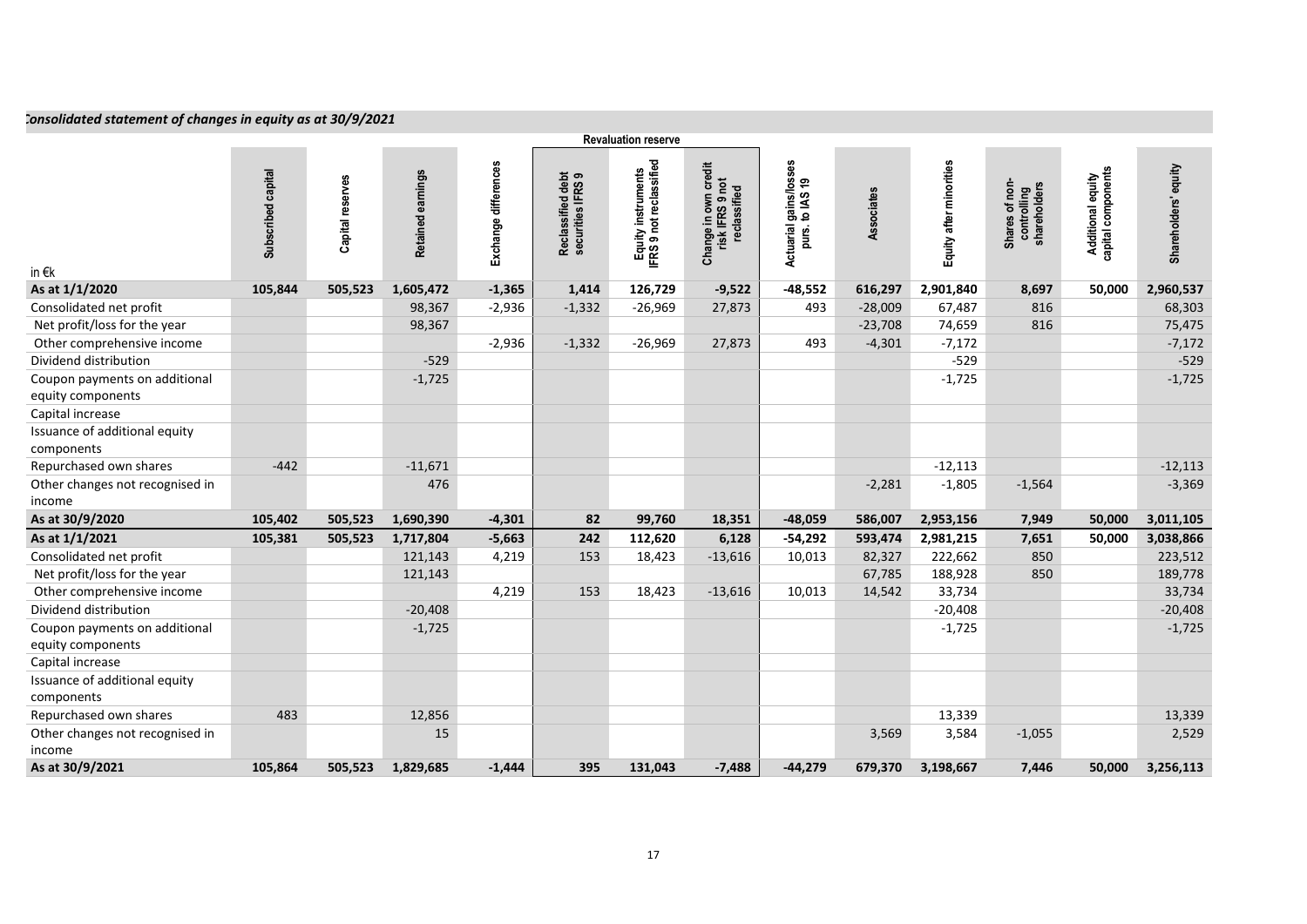# *Consolidated statement of changes in equity as at 30/9/2021*

|                                                    |                    |                  |                   |                      |                                        | <b>Revaluation reserve</b>                    |                                                                     |                                                      |            |                         |                                                         |                                         |                      |
|----------------------------------------------------|--------------------|------------------|-------------------|----------------------|----------------------------------------|-----------------------------------------------|---------------------------------------------------------------------|------------------------------------------------------|------------|-------------------------|---------------------------------------------------------|-----------------------------------------|----------------------|
| in $\epsilon$ k                                    | Subscribed capital | Capital reserves | Retained earnings | Exchange differences | Reclassified debt<br>securities IFRS 9 | Equity instruments<br>IFRS 9 not reclassified | own credit<br>Change in own crec<br>risk IFRS 9 not<br>reclassified | tuarial gains/losses<br>purs. to IAS 19<br>Actuarial | Associates | Equity after minorities | of non-<br>shareholders<br>controlling<br><b>Shares</b> | Additional equity<br>capital components | Shareholders' equity |
| As at 1/1/2020                                     | 105,844            | 505,523          | 1,605,472         | $-1,365$             | 1,414                                  | 126,729                                       | $-9,522$                                                            | $-48,552$                                            | 616,297    | 2,901,840               | 8,697                                                   | 50,000                                  | 2,960,537            |
| Consolidated net profit                            |                    |                  | 98,367            | $-2,936$             | $-1,332$                               | $-26,969$                                     | 27,873                                                              | 493                                                  | $-28,009$  | 67,487                  | 816                                                     |                                         | 68,303               |
| Net profit/loss for the year                       |                    |                  | 98,367            |                      |                                        |                                               |                                                                     |                                                      | $-23,708$  | 74,659                  | 816                                                     |                                         | 75,475               |
| Other comprehensive income                         |                    |                  |                   | $-2,936$             | $-1,332$                               | $-26,969$                                     | 27,873                                                              | 493                                                  | $-4,301$   | $-7,172$                |                                                         |                                         | $-7,172$             |
| Dividend distribution                              |                    |                  | $-529$            |                      |                                        |                                               |                                                                     |                                                      |            | $-529$                  |                                                         |                                         | $-529$               |
| Coupon payments on additional<br>equity components |                    |                  | $-1,725$          |                      |                                        |                                               |                                                                     |                                                      |            | $-1,725$                |                                                         |                                         | $-1,725$             |
| Capital increase                                   |                    |                  |                   |                      |                                        |                                               |                                                                     |                                                      |            |                         |                                                         |                                         |                      |
| Issuance of additional equity<br>components        |                    |                  |                   |                      |                                        |                                               |                                                                     |                                                      |            |                         |                                                         |                                         |                      |
| Repurchased own shares                             | $-442$             |                  | $-11,671$         |                      |                                        |                                               |                                                                     |                                                      |            | $-12,113$               |                                                         |                                         | $-12,113$            |
| Other changes not recognised in<br>income          |                    |                  | 476               |                      |                                        |                                               |                                                                     |                                                      | $-2,281$   | $-1,805$                | $-1,564$                                                |                                         | $-3,369$             |
| As at 30/9/2020                                    | 105,402            | 505,523          | 1,690,390         | $-4,301$             | 82                                     | 99,760                                        | 18,351                                                              | $-48,059$                                            | 586,007    | 2,953,156               | 7,949                                                   | 50,000                                  | 3,011,105            |
| As at 1/1/2021                                     | 105,381            | 505,523          | 1,717,804         | $-5,663$             | 242                                    | 112,620                                       | 6,128                                                               | $-54,292$                                            | 593,474    | 2,981,215               | 7,651                                                   | 50,000                                  | 3,038,866            |
| Consolidated net profit                            |                    |                  | 121,143           | 4,219                | 153                                    | 18,423                                        | $-13,616$                                                           | 10,013                                               | 82,327     | 222,662                 | 850                                                     |                                         | 223,512              |
| Net profit/loss for the year                       |                    |                  | 121,143           |                      |                                        |                                               |                                                                     |                                                      | 67,785     | 188,928                 | 850                                                     |                                         | 189,778              |
| Other comprehensive income                         |                    |                  |                   | 4,219                | 153                                    | 18,423                                        | $-13,616$                                                           | 10,013                                               | 14,542     | 33,734                  |                                                         |                                         | 33,734               |
| Dividend distribution                              |                    |                  | $-20,408$         |                      |                                        |                                               |                                                                     |                                                      |            | $-20,408$               |                                                         |                                         | $-20,408$            |
| Coupon payments on additional<br>equity components |                    |                  | $-1,725$          |                      |                                        |                                               |                                                                     |                                                      |            | $-1,725$                |                                                         |                                         | $-1,725$             |
| Capital increase                                   |                    |                  |                   |                      |                                        |                                               |                                                                     |                                                      |            |                         |                                                         |                                         |                      |
| Issuance of additional equity                      |                    |                  |                   |                      |                                        |                                               |                                                                     |                                                      |            |                         |                                                         |                                         |                      |
| components                                         |                    |                  |                   |                      |                                        |                                               |                                                                     |                                                      |            |                         |                                                         |                                         |                      |
| Repurchased own shares                             | 483                |                  | 12,856            |                      |                                        |                                               |                                                                     |                                                      |            | 13,339                  |                                                         |                                         | 13,339               |
| Other changes not recognised in                    |                    |                  | 15                |                      |                                        |                                               |                                                                     |                                                      | 3,569      | 3,584                   | $-1,055$                                                |                                         | 2,529                |
| income                                             |                    |                  |                   |                      |                                        |                                               |                                                                     |                                                      |            |                         |                                                         |                                         |                      |
| As at 30/9/2021                                    | 105,864            | 505,523          | 1,829,685         | $-1,444$             | 395                                    | 131,043                                       | $-7,488$                                                            | $-44,279$                                            | 679,370    | 3,198,667               | 7,446                                                   | 50,000                                  | 3,256,113            |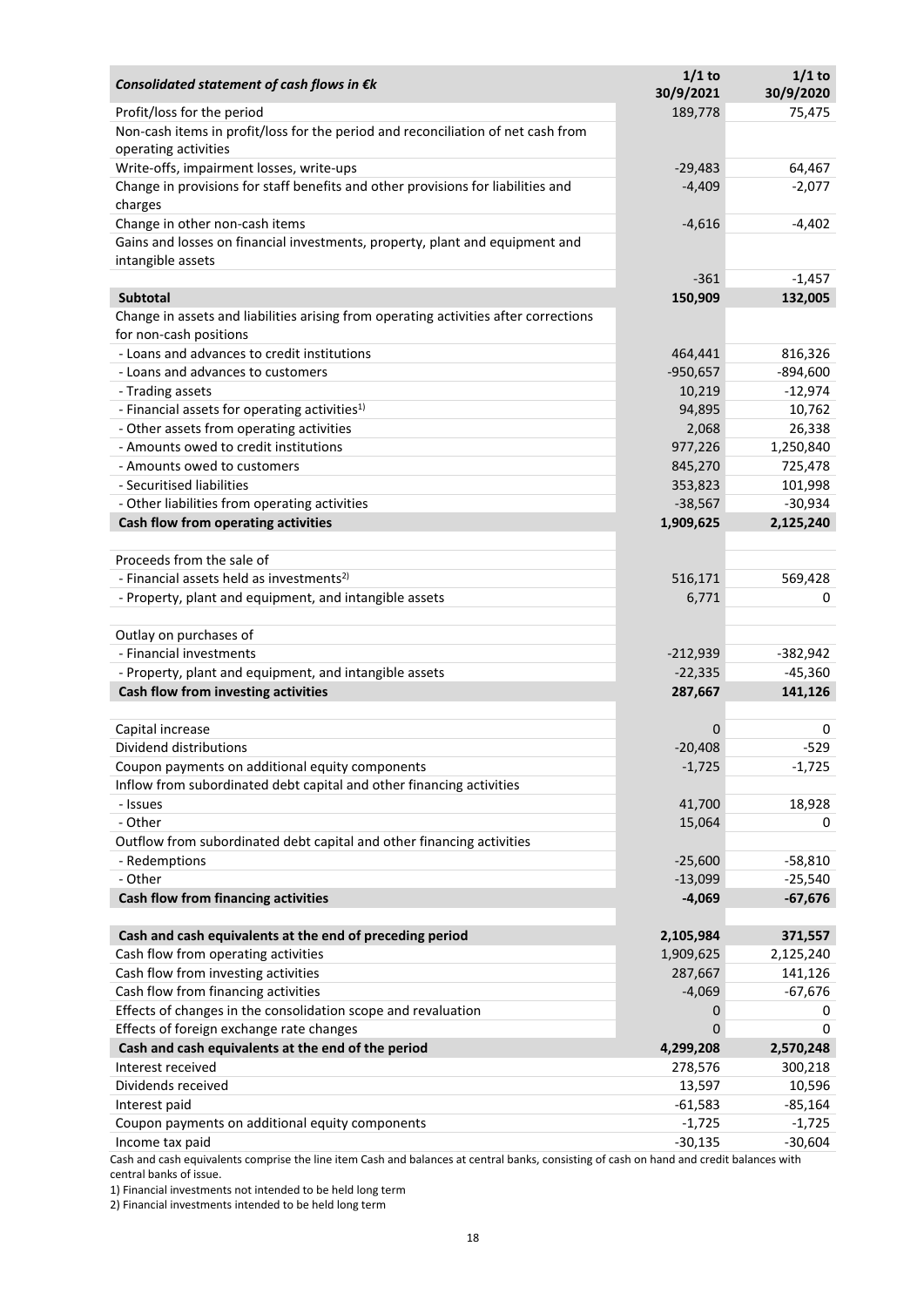| Consolidated statement of cash flows in $\epsilon$ k                                                                                       | $1/1$ to<br>30/9/2021 | $1/1$ to<br>30/9/2020 |
|--------------------------------------------------------------------------------------------------------------------------------------------|-----------------------|-----------------------|
| Profit/loss for the period                                                                                                                 | 189,778               | 75,475                |
| Non-cash items in profit/loss for the period and reconciliation of net cash from<br>operating activities                                   |                       |                       |
| Write-offs, impairment losses, write-ups                                                                                                   | $-29,483$             | 64,467                |
| Change in provisions for staff benefits and other provisions for liabilities and<br>charges                                                | $-4,409$              | $-2,077$              |
| Change in other non-cash items                                                                                                             | $-4,616$              | $-4,402$              |
| Gains and losses on financial investments, property, plant and equipment and                                                               |                       |                       |
| intangible assets                                                                                                                          | $-361$                | $-1,457$              |
| <b>Subtotal</b>                                                                                                                            | 150,909               | 132,005               |
| Change in assets and liabilities arising from operating activities after corrections                                                       |                       |                       |
| for non-cash positions                                                                                                                     |                       |                       |
| - Loans and advances to credit institutions                                                                                                | 464,441               | 816,326               |
| - Loans and advances to customers                                                                                                          | $-950,657$            | $-894,600$            |
| - Trading assets                                                                                                                           | 10,219                | $-12,974$             |
| - Financial assets for operating activities <sup>1)</sup>                                                                                  | 94,895                | 10,762                |
| - Other assets from operating activities                                                                                                   | 2,068                 | 26,338                |
| - Amounts owed to credit institutions                                                                                                      | 977,226               | 1,250,840             |
| - Amounts owed to customers                                                                                                                | 845,270               | 725,478               |
| - Securitised liabilities                                                                                                                  | 353,823               | 101,998               |
| - Other liabilities from operating activities                                                                                              | $-38,567$             | $-30,934$             |
| Cash flow from operating activities                                                                                                        | 1,909,625             | 2,125,240             |
|                                                                                                                                            |                       |                       |
| Proceeds from the sale of                                                                                                                  |                       |                       |
| - Financial assets held as investments <sup>2)</sup>                                                                                       | 516,171               | 569,428               |
| - Property, plant and equipment, and intangible assets                                                                                     | 6,771                 | 0                     |
| Outlay on purchases of                                                                                                                     |                       |                       |
| - Financial investments                                                                                                                    | $-212,939$            | $-382,942$            |
| - Property, plant and equipment, and intangible assets                                                                                     | $-22,335$             | $-45,360$             |
| Cash flow from investing activities                                                                                                        | 287,667               | 141,126               |
|                                                                                                                                            |                       |                       |
| Capital increase                                                                                                                           | 0                     | 0                     |
| Dividend distributions                                                                                                                     | $-20,408$             | $-529$                |
| Coupon payments on additional equity components                                                                                            | $-1,725$              | $-1,725$              |
| Inflow from subordinated debt capital and other financing activities                                                                       |                       |                       |
| - Issues                                                                                                                                   | 41,700                | 18,928                |
| - Other                                                                                                                                    | 15,064                | 0                     |
| Outflow from subordinated debt capital and other financing activities                                                                      |                       |                       |
| - Redemptions                                                                                                                              | $-25,600$             | $-58,810$             |
| - Other                                                                                                                                    | $-13,099$             | $-25,540$             |
| Cash flow from financing activities                                                                                                        | $-4,069$              | $-67,676$             |
|                                                                                                                                            |                       |                       |
| Cash and cash equivalents at the end of preceding period                                                                                   | 2,105,984             | 371,557               |
| Cash flow from operating activities                                                                                                        | 1,909,625             | 2,125,240             |
| Cash flow from investing activities                                                                                                        | 287,667               | 141,126               |
| Cash flow from financing activities                                                                                                        | $-4,069$              | $-67,676$             |
| Effects of changes in the consolidation scope and revaluation                                                                              | 0                     | 0                     |
| Effects of foreign exchange rate changes                                                                                                   | 0                     | $\Omega$              |
| Cash and cash equivalents at the end of the period                                                                                         | 4,299,208             | 2,570,248             |
| Interest received                                                                                                                          | 278,576               | 300,218               |
| Dividends received                                                                                                                         | 13,597                | 10,596                |
| Interest paid                                                                                                                              | $-61,583$             | -85,164               |
| Coupon payments on additional equity components                                                                                            | $-1,725$              | $-1,725$              |
| Income tax paid<br>ivalents comprise the line item Cash and balances at sentral banks, consisting of sash on band and sredit balances with | $-30,135$             | $-30,604$             |

Cash and cash equivalents comprise the line item Cash and balances at central banks, consisting of cash on hand and credit balances with central banks of issue.

1) Financial investments not intended to be held long term

2) Financial investments intended to be held long term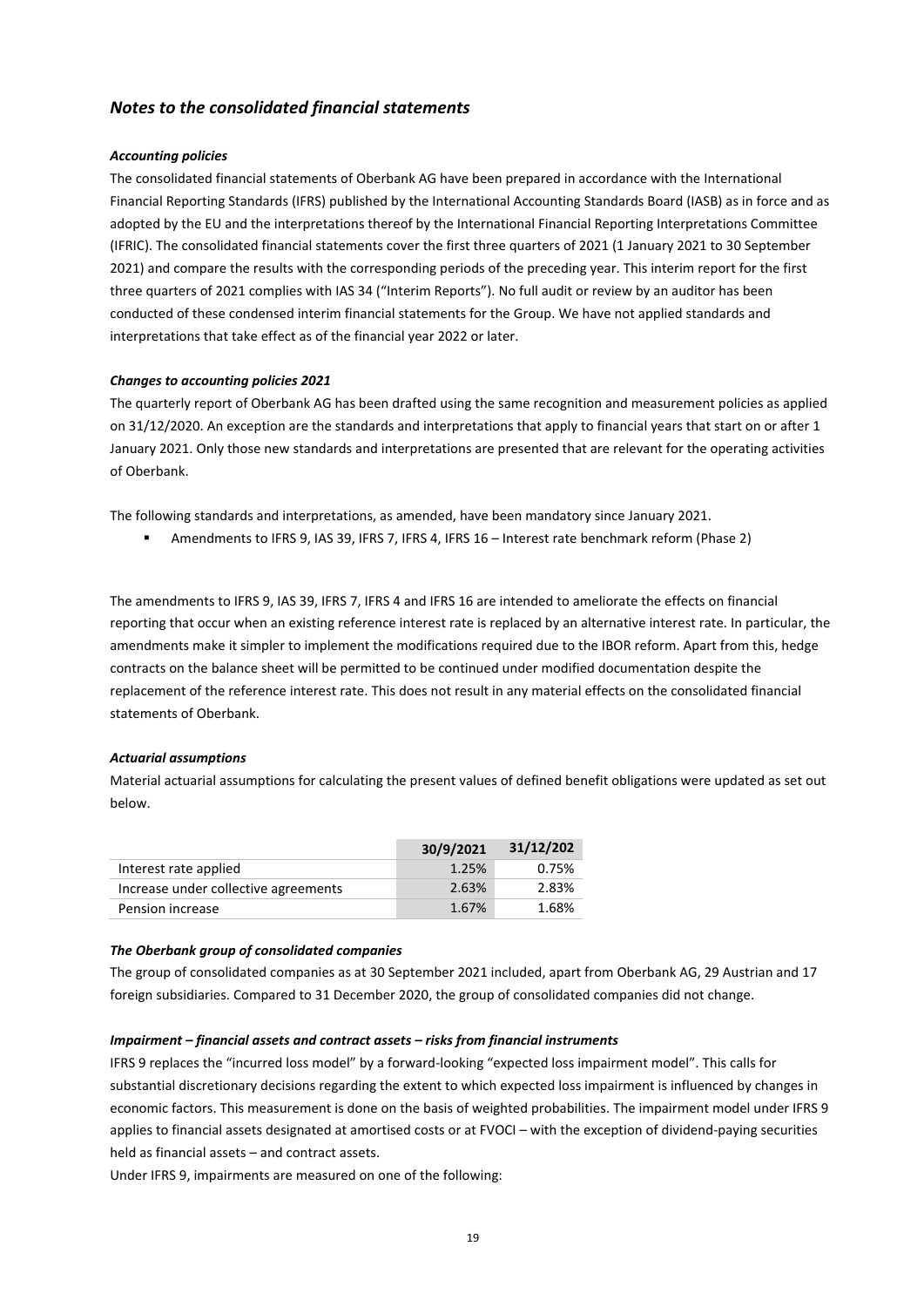# *Notes to the consolidated financial statements*

# *Accounting policies*

The consolidated financial statements of Oberbank AG have been prepared in accordance with the International Financial Reporting Standards (IFRS) published by the International Accounting Standards Board (IASB) as in force and as adopted by the EU and the interpretations thereof by the International Financial Reporting Interpretations Committee (IFRIC). The consolidated financial statements cover the first three quarters of 2021 (1 January 2021 to 30 September 2021) and compare the results with the corresponding periods of the preceding year. This interim report for the first three quarters of 2021 complies with IAS 34 ("Interim Reports"). No full audit or review by an auditor has been conducted of these condensed interim financial statements for the Group. We have not applied standards and interpretations that take effect as of the financial year 2022 or later.

# *Changes to accounting policies 2021*

The quarterly report of Oberbank AG has been drafted using the same recognition and measurement policies as applied on 31/12/2020. An exception are the standards and interpretations that apply to financial years that start on or after 1 January 2021. Only those new standards and interpretations are presented that are relevant for the operating activities of Oberbank.

The following standards and interpretations, as amended, have been mandatory since January 2021.

Amendments to IFRS 9, IAS 39, IFRS 7, IFRS 4, IFRS 16 – Interest rate benchmark reform (Phase 2)

The amendments to IFRS 9, IAS 39, IFRS 7, IFRS 4 and IFRS 16 are intended to ameliorate the effects on financial reporting that occur when an existing reference interest rate is replaced by an alternative interest rate. In particular, the amendments make it simpler to implement the modifications required due to the IBOR reform. Apart from this, hedge contracts on the balance sheet will be permitted to be continued under modified documentation despite the replacement of the reference interest rate. This does not result in any material effects on the consolidated financial statements of Oberbank.

# *Actuarial assumptions*

Material actuarial assumptions for calculating the present values of defined benefit obligations were updated as set out below.

|                                      | 30/9/2021 | 31/12/202 |
|--------------------------------------|-----------|-----------|
| Interest rate applied                | 1.25%     | 0.75%     |
| Increase under collective agreements | 2.63%     | 2.83%     |
| Pension increase                     | 1.67%     | 1.68%     |

## *The Oberbank group of consolidated companies*

The group of consolidated companies as at 30 September 2021 included, apart from Oberbank AG, 29 Austrian and 17 foreign subsidiaries. Compared to 31 December 2020, the group of consolidated companies did not change.

## *Impairment – financial assets and contract assets – risks from financial instruments*

IFRS 9 replaces the "incurred loss model" by a forward-looking "expected loss impairment model". This calls for substantial discretionary decisions regarding the extent to which expected loss impairment is influenced by changes in economic factors. This measurement is done on the basis of weighted probabilities. The impairment model under IFRS 9 applies to financial assets designated at amortised costs or at FVOCI – with the exception of dividend-paying securities held as financial assets – and contract assets.

Under IFRS 9, impairments are measured on one of the following: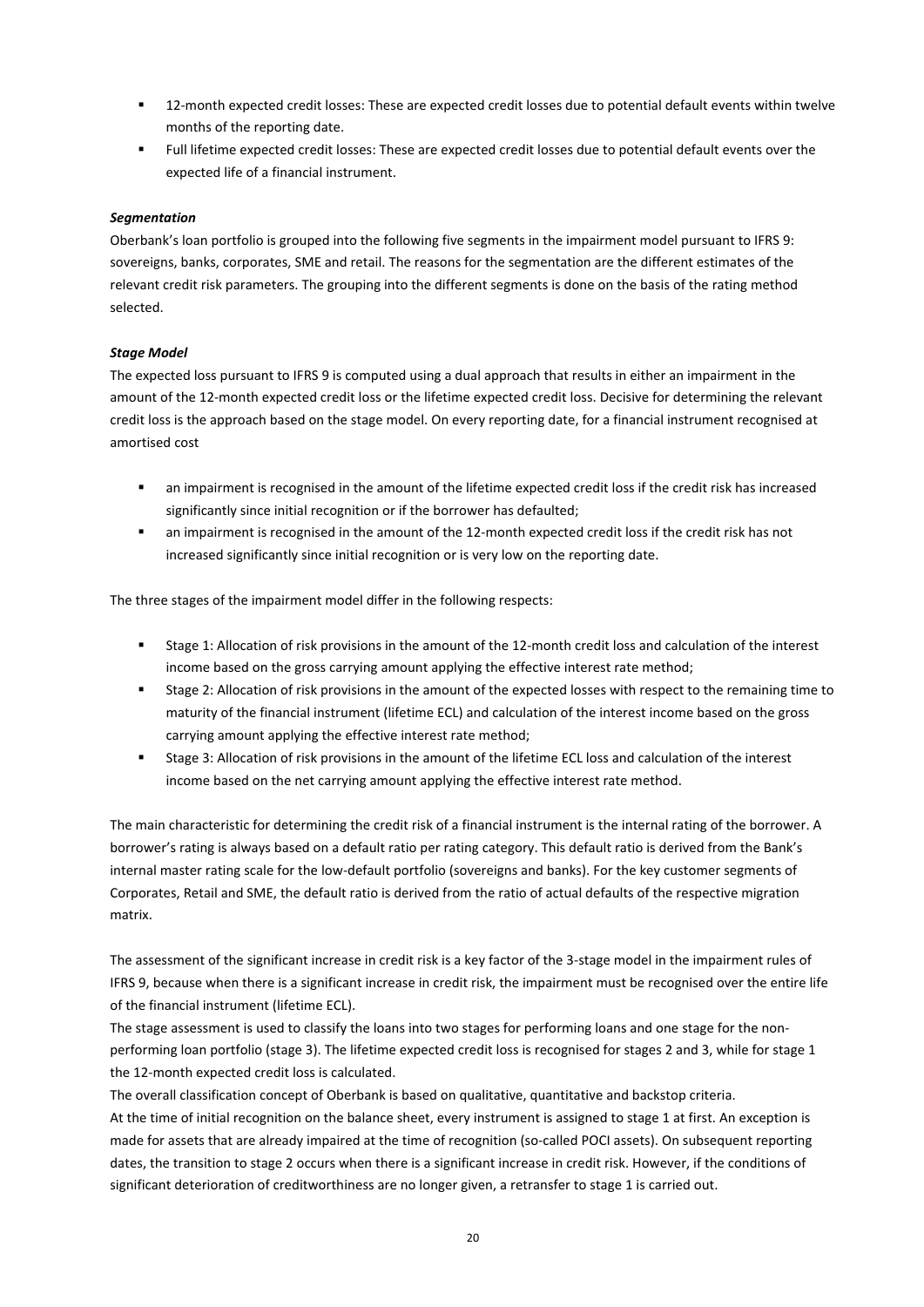- 12-month expected credit losses: These are expected credit losses due to potential default events within twelve months of the reporting date.
- Full lifetime expected credit losses: These are expected credit losses due to potential default events over the expected life of a financial instrument.

# *Segmentation*

Oberbank's loan portfolio is grouped into the following five segments in the impairment model pursuant to IFRS 9: sovereigns, banks, corporates, SME and retail. The reasons for the segmentation are the different estimates of the relevant credit risk parameters. The grouping into the different segments is done on the basis of the rating method selected.

# *Stage Model*

The expected loss pursuant to IFRS 9 is computed using a dual approach that results in either an impairment in the amount of the 12-month expected credit loss or the lifetime expected credit loss. Decisive for determining the relevant credit loss is the approach based on the stage model. On every reporting date, for a financial instrument recognised at amortised cost

- an impairment is recognised in the amount of the lifetime expected credit loss if the credit risk has increased significantly since initial recognition or if the borrower has defaulted;
- an impairment is recognised in the amount of the 12-month expected credit loss if the credit risk has not increased significantly since initial recognition or is very low on the reporting date.

The three stages of the impairment model differ in the following respects:

- Stage 1: Allocation of risk provisions in the amount of the 12-month credit loss and calculation of the interest income based on the gross carrying amount applying the effective interest rate method;
- Stage 2: Allocation of risk provisions in the amount of the expected losses with respect to the remaining time to maturity of the financial instrument (lifetime ECL) and calculation of the interest income based on the gross carrying amount applying the effective interest rate method;
- Stage 3: Allocation of risk provisions in the amount of the lifetime ECL loss and calculation of the interest income based on the net carrying amount applying the effective interest rate method.

The main characteristic for determining the credit risk of a financial instrument is the internal rating of the borrower. A borrower's rating is always based on a default ratio per rating category. This default ratio is derived from the Bank's internal master rating scale for the low-default portfolio (sovereigns and banks). For the key customer segments of Corporates, Retail and SME, the default ratio is derived from the ratio of actual defaults of the respective migration matrix.

The assessment of the significant increase in credit risk is a key factor of the 3-stage model in the impairment rules of IFRS 9, because when there is a significant increase in credit risk, the impairment must be recognised over the entire life of the financial instrument (lifetime ECL).

The stage assessment is used to classify the loans into two stages for performing loans and one stage for the nonperforming loan portfolio (stage 3). The lifetime expected credit loss is recognised for stages 2 and 3, while for stage 1 the 12-month expected credit loss is calculated.

The overall classification concept of Oberbank is based on qualitative, quantitative and backstop criteria. At the time of initial recognition on the balance sheet, every instrument is assigned to stage 1 at first. An exception is made for assets that are already impaired at the time of recognition (so-called POCI assets). On subsequent reporting dates, the transition to stage 2 occurs when there is a significant increase in credit risk. However, if the conditions of significant deterioration of creditworthiness are no longer given, a retransfer to stage 1 is carried out.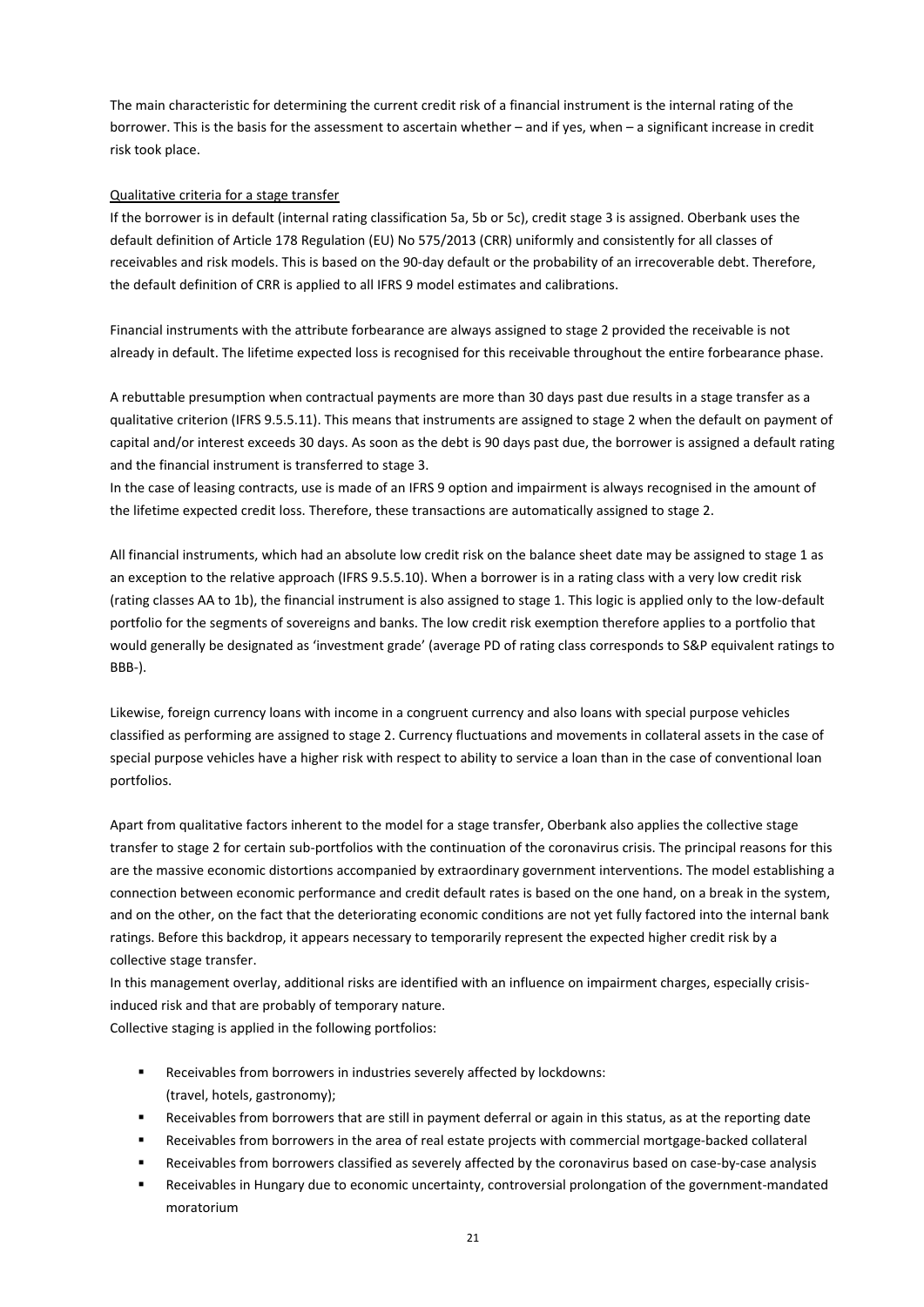The main characteristic for determining the current credit risk of a financial instrument is the internal rating of the borrower. This is the basis for the assessment to ascertain whether – and if yes, when – a significant increase in credit risk took place.

# Qualitative criteria for a stage transfer

If the borrower is in default (internal rating classification 5a, 5b or 5c), credit stage 3 is assigned. Oberbank uses the default definition of Article 178 Regulation (EU) No 575/2013 (CRR) uniformly and consistently for all classes of receivables and risk models. This is based on the 90-day default or the probability of an irrecoverable debt. Therefore, the default definition of CRR is applied to all IFRS 9 model estimates and calibrations.

Financial instruments with the attribute forbearance are always assigned to stage 2 provided the receivable is not already in default. The lifetime expected loss is recognised for this receivable throughout the entire forbearance phase.

A rebuttable presumption when contractual payments are more than 30 days past due results in a stage transfer as a qualitative criterion (IFRS 9.5.5.11). This means that instruments are assigned to stage 2 when the default on payment of capital and/or interest exceeds 30 days. As soon as the debt is 90 days past due, the borrower is assigned a default rating and the financial instrument is transferred to stage 3.

In the case of leasing contracts, use is made of an IFRS 9 option and impairment is always recognised in the amount of the lifetime expected credit loss. Therefore, these transactions are automatically assigned to stage 2.

All financial instruments, which had an absolute low credit risk on the balance sheet date may be assigned to stage 1 as an exception to the relative approach (IFRS 9.5.5.10). When a borrower is in a rating class with a very low credit risk (rating classes AA to 1b), the financial instrument is also assigned to stage 1. This logic is applied only to the low-default portfolio for the segments of sovereigns and banks. The low credit risk exemption therefore applies to a portfolio that would generally be designated as 'investment grade' (average PD of rating class corresponds to S&P equivalent ratings to BBB-).

Likewise, foreign currency loans with income in a congruent currency and also loans with special purpose vehicles classified as performing are assigned to stage 2. Currency fluctuations and movements in collateral assets in the case of special purpose vehicles have a higher risk with respect to ability to service a loan than in the case of conventional loan portfolios.

Apart from qualitative factors inherent to the model for a stage transfer, Oberbank also applies the collective stage transfer to stage 2 for certain sub-portfolios with the continuation of the coronavirus crisis. The principal reasons for this are the massive economic distortions accompanied by extraordinary government interventions. The model establishing a connection between economic performance and credit default rates is based on the one hand, on a break in the system, and on the other, on the fact that the deteriorating economic conditions are not yet fully factored into the internal bank ratings. Before this backdrop, it appears necessary to temporarily represent the expected higher credit risk by a collective stage transfer.

In this management overlay, additional risks are identified with an influence on impairment charges, especially crisisinduced risk and that are probably of temporary nature. Collective staging is applied in the following portfolios:

- Receivables from borrowers in industries severely affected by lockdowns: (travel, hotels, gastronomy);
- Receivables from borrowers that are still in payment deferral or again in this status, as at the reporting date
- Receivables from borrowers in the area of real estate projects with commercial mortgage-backed collateral
- Receivables from borrowers classified as severely affected by the coronavirus based on case-by-case analysis
- Receivables in Hungary due to economic uncertainty, controversial prolongation of the government-mandated moratorium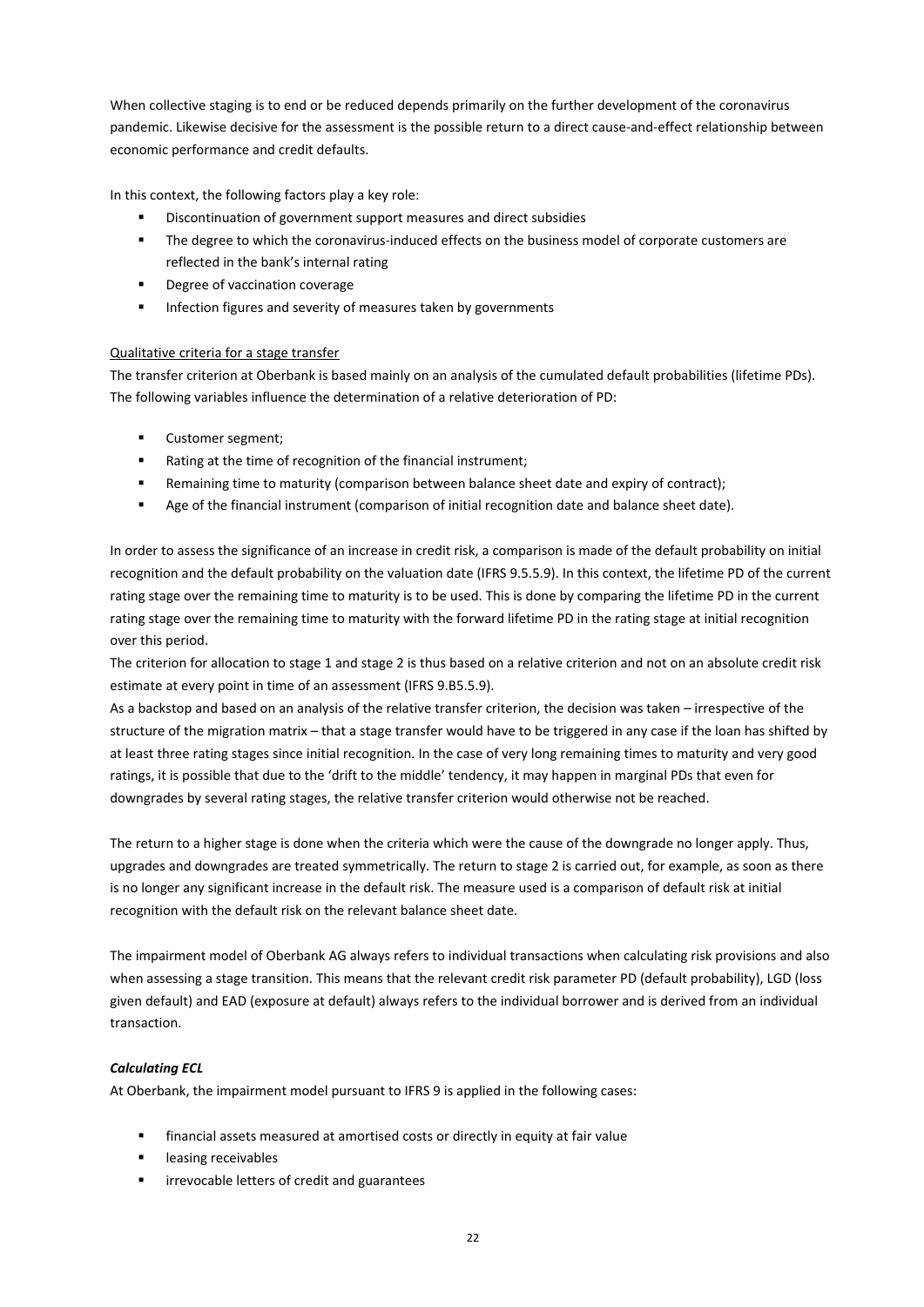When collective staging is to end or be reduced depends primarily on the further development of the coronavirus pandemic. Likewise decisive for the assessment is the possible return to a direct cause-and-effect relationship between economic performance and credit defaults.

In this context, the following factors play a key role:

- Discontinuation of government support measures and direct subsidies
- The degree to which the coronavirus-induced effects on the business model of corporate customers are reflected in the bank's internal rating
- **Paragement Coverage**
- **Infection figures and severity of measures taken by governments**

# Qualitative criteria for a stage transfer

The transfer criterion at Oberbank is based mainly on an analysis of the cumulated default probabilities (lifetime PDs). The following variables influence the determination of a relative deterioration of PD:

- **•** Customer segment;
- Rating at the time of recognition of the financial instrument;
- Remaining time to maturity (comparison between balance sheet date and expiry of contract);
- **Age of the financial instrument (comparison of initial recognition date and balance sheet date).**

In order to assess the significance of an increase in credit risk, a comparison is made of the default probability on initial recognition and the default probability on the valuation date (IFRS 9.5.5.9). In this context, the lifetime PD of the current rating stage over the remaining time to maturity is to be used. This is done by comparing the lifetime PD in the current rating stage over the remaining time to maturity with the forward lifetime PD in the rating stage at initial recognition over this period.

The criterion for allocation to stage 1 and stage 2 is thus based on a relative criterion and not on an absolute credit risk estimate at every point in time of an assessment (IFRS 9.B5.5.9).

As a backstop and based on an analysis of the relative transfer criterion, the decision was taken – irrespective of the structure of the migration matrix – that a stage transfer would have to be triggered in any case if the loan has shifted by at least three rating stages since initial recognition. In the case of very long remaining times to maturity and very good ratings, it is possible that due to the 'drift to the middle' tendency, it may happen in marginal PDs that even for downgrades by several rating stages, the relative transfer criterion would otherwise not be reached.

The return to a higher stage is done when the criteria which were the cause of the downgrade no longer apply. Thus, upgrades and downgrades are treated symmetrically. The return to stage 2 is carried out, for example, as soon as there is no longer any significant increase in the default risk. The measure used is a comparison of default risk at initial recognition with the default risk on the relevant balance sheet date.

The impairment model of Oberbank AG always refers to individual transactions when calculating risk provisions and also when assessing a stage transition. This means that the relevant credit risk parameter PD (default probability), LGD (loss given default) and EAD (exposure at default) always refers to the individual borrower and is derived from an individual transaction.

# *Calculating ECL*

At Oberbank, the impairment model pursuant to IFRS 9 is applied in the following cases:

- financial assets measured at amortised costs or directly in equity at fair value
- leasing receivables
- irrevocable letters of credit and guarantees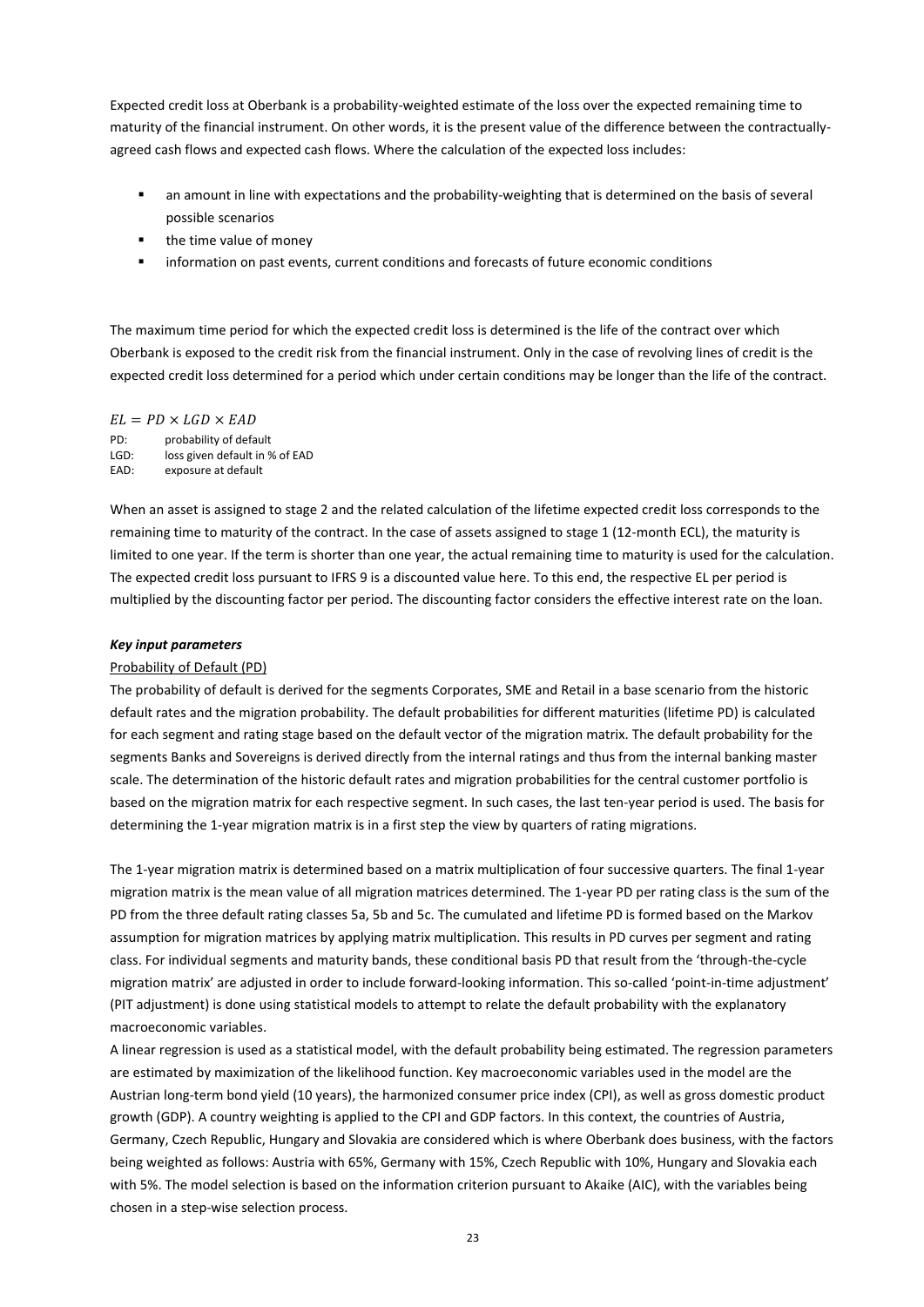Expected credit loss at Oberbank is a probability-weighted estimate of the loss over the expected remaining time to maturity of the financial instrument. On other words, it is the present value of the difference between the contractuallyagreed cash flows and expected cash flows. Where the calculation of the expected loss includes:

- an amount in line with expectations and the probability-weighting that is determined on the basis of several possible scenarios
- **•** the time value of money
- information on past events, current conditions and forecasts of future economic conditions

The maximum time period for which the expected credit loss is determined is the life of the contract over which Oberbank is exposed to the credit risk from the financial instrument. Only in the case of revolving lines of credit is the expected credit loss determined for a period which under certain conditions may be longer than the life of the contract.

 $EL = PD \times LGD \times EAD$ 

PD: probability of default LGD: loss given default in % of EAD EAD: exposure at default

When an asset is assigned to stage 2 and the related calculation of the lifetime expected credit loss corresponds to the remaining time to maturity of the contract. In the case of assets assigned to stage 1 (12-month ECL), the maturity is limited to one year. If the term is shorter than one year, the actual remaining time to maturity is used for the calculation. The expected credit loss pursuant to IFRS 9 is a discounted value here. To this end, the respective EL per period is multiplied by the discounting factor per period. The discounting factor considers the effective interest rate on the loan.

#### *Key input parameters*

## Probability of Default (PD)

The probability of default is derived for the segments Corporates, SME and Retail in a base scenario from the historic default rates and the migration probability. The default probabilities for different maturities (lifetime PD) is calculated for each segment and rating stage based on the default vector of the migration matrix. The default probability for the segments Banks and Sovereigns is derived directly from the internal ratings and thus from the internal banking master scale. The determination of the historic default rates and migration probabilities for the central customer portfolio is based on the migration matrix for each respective segment. In such cases, the last ten-year period is used. The basis for determining the 1-year migration matrix is in a first step the view by quarters of rating migrations.

The 1-year migration matrix is determined based on a matrix multiplication of four successive quarters. The final 1-year migration matrix is the mean value of all migration matrices determined. The 1-year PD per rating class is the sum of the PD from the three default rating classes 5a, 5b and 5c. The cumulated and lifetime PD is formed based on the Markov assumption for migration matrices by applying matrix multiplication. This results in PD curves per segment and rating class. For individual segments and maturity bands, these conditional basis PD that result from the 'through-the-cycle migration matrix' are adjusted in order to include forward-looking information. This so-called 'point-in-time adjustment' (PIT adjustment) is done using statistical models to attempt to relate the default probability with the explanatory macroeconomic variables.

A linear regression is used as a statistical model, with the default probability being estimated. The regression parameters are estimated by maximization of the likelihood function. Key macroeconomic variables used in the model are the Austrian long-term bond yield (10 years), the harmonized consumer price index (CPI), as well as gross domestic product growth (GDP). A country weighting is applied to the CPI and GDP factors. In this context, the countries of Austria, Germany, Czech Republic, Hungary and Slovakia are considered which is where Oberbank does business, with the factors being weighted as follows: Austria with 65%, Germany with 15%, Czech Republic with 10%, Hungary and Slovakia each with 5%. The model selection is based on the information criterion pursuant to Akaike (AIC), with the variables being chosen in a step-wise selection process.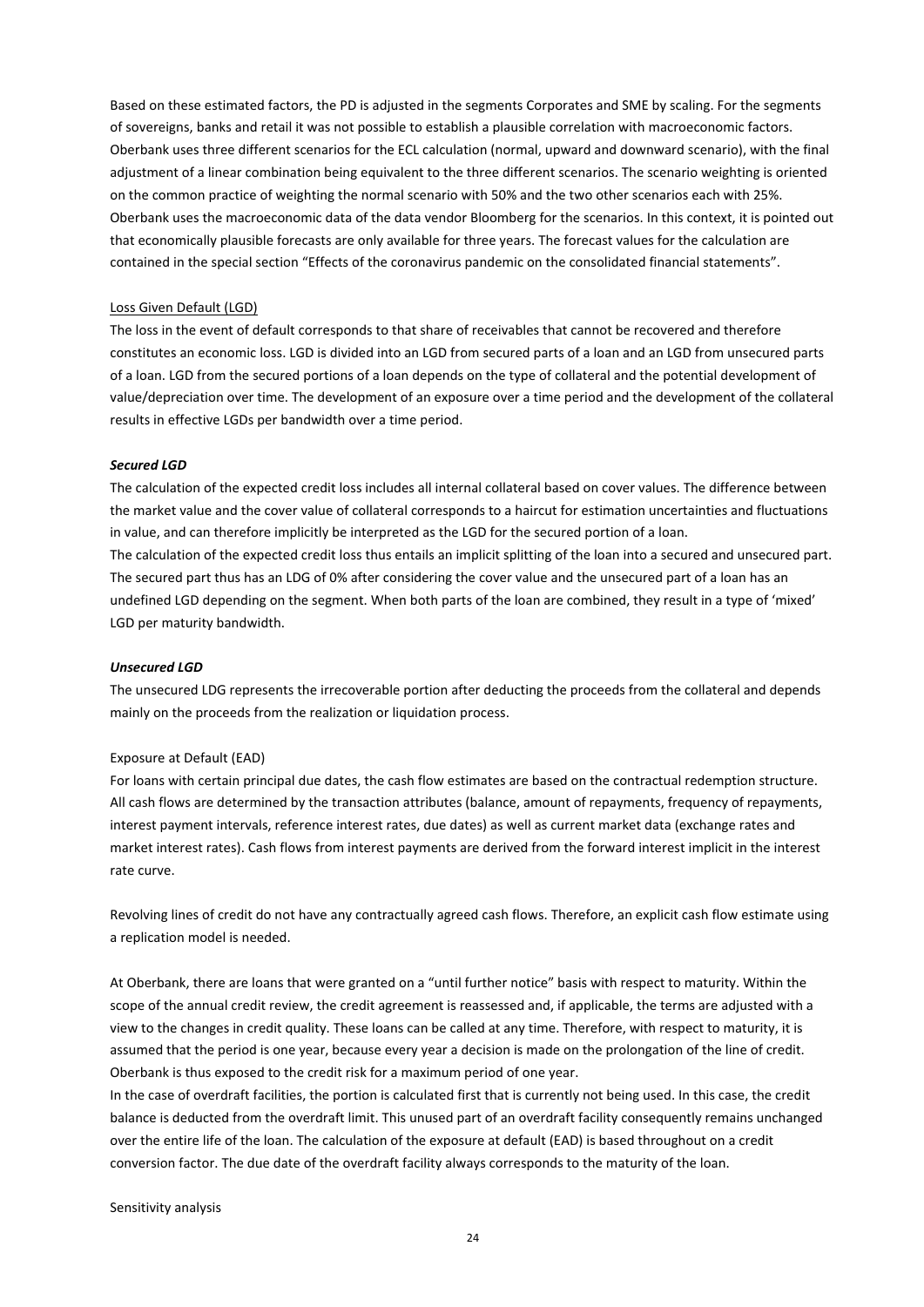Based on these estimated factors, the PD is adjusted in the segments Corporates and SME by scaling. For the segments of sovereigns, banks and retail it was not possible to establish a plausible correlation with macroeconomic factors. Oberbank uses three different scenarios for the ECL calculation (normal, upward and downward scenario), with the final adjustment of a linear combination being equivalent to the three different scenarios. The scenario weighting is oriented on the common practice of weighting the normal scenario with 50% and the two other scenarios each with 25%. Oberbank uses the macroeconomic data of the data vendor Bloomberg for the scenarios. In this context, it is pointed out that economically plausible forecasts are only available for three years. The forecast values for the calculation are contained in the special section "Effects of the coronavirus pandemic on the consolidated financial statements".

#### Loss Given Default (LGD)

The loss in the event of default corresponds to that share of receivables that cannot be recovered and therefore constitutes an economic loss. LGD is divided into an LGD from secured parts of a loan and an LGD from unsecured parts of a loan. LGD from the secured portions of a loan depends on the type of collateral and the potential development of value/depreciation over time. The development of an exposure over a time period and the development of the collateral results in effective LGDs per bandwidth over a time period.

#### *Secured LGD*

The calculation of the expected credit loss includes all internal collateral based on cover values. The difference between the market value and the cover value of collateral corresponds to a haircut for estimation uncertainties and fluctuations in value, and can therefore implicitly be interpreted as the LGD for the secured portion of a loan. The calculation of the expected credit loss thus entails an implicit splitting of the loan into a secured and unsecured part. The secured part thus has an LDG of 0% after considering the cover value and the unsecured part of a loan has an undefined LGD depending on the segment. When both parts of the loan are combined, they result in a type of 'mixed' LGD per maturity bandwidth.

#### *Unsecured LGD*

The unsecured LDG represents the irrecoverable portion after deducting the proceeds from the collateral and depends mainly on the proceeds from the realization or liquidation process.

#### Exposure at Default (EAD)

For loans with certain principal due dates, the cash flow estimates are based on the contractual redemption structure. All cash flows are determined by the transaction attributes (balance, amount of repayments, frequency of repayments, interest payment intervals, reference interest rates, due dates) as well as current market data (exchange rates and market interest rates). Cash flows from interest payments are derived from the forward interest implicit in the interest rate curve.

Revolving lines of credit do not have any contractually agreed cash flows. Therefore, an explicit cash flow estimate using a replication model is needed.

At Oberbank, there are loans that were granted on a "until further notice" basis with respect to maturity. Within the scope of the annual credit review, the credit agreement is reassessed and, if applicable, the terms are adjusted with a view to the changes in credit quality. These loans can be called at any time. Therefore, with respect to maturity, it is assumed that the period is one year, because every year a decision is made on the prolongation of the line of credit. Oberbank is thus exposed to the credit risk for a maximum period of one year.

In the case of overdraft facilities, the portion is calculated first that is currently not being used. In this case, the credit balance is deducted from the overdraft limit. This unused part of an overdraft facility consequently remains unchanged over the entire life of the loan. The calculation of the exposure at default (EAD) is based throughout on a credit conversion factor. The due date of the overdraft facility always corresponds to the maturity of the loan.

Sensitivity analysis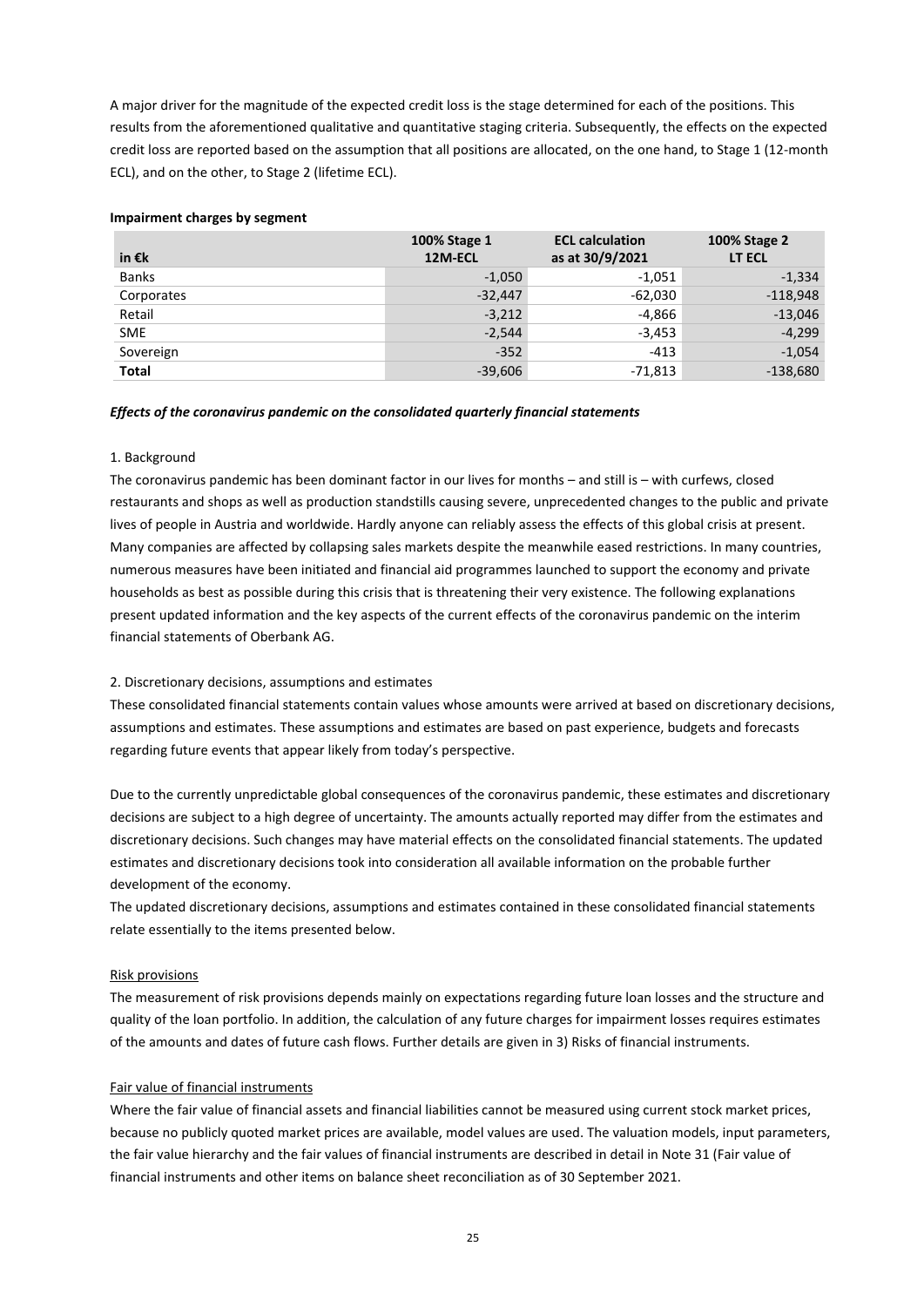A major driver for the magnitude of the expected credit loss is the stage determined for each of the positions. This results from the aforementioned qualitative and quantitative staging criteria. Subsequently, the effects on the expected credit loss are reported based on the assumption that all positions are allocated, on the one hand, to Stage 1 (12-month ECL), and on the other, to Stage 2 (lifetime ECL).

# **Impairment charges by segment**

| in $\epsilon$ k | 100% Stage 1<br>12M-ECL | <b>ECL calculation</b><br>as at 30/9/2021 | 100% Stage 2<br>LT ECL |
|-----------------|-------------------------|-------------------------------------------|------------------------|
| <b>Banks</b>    | $-1,050$                | -1,051                                    | $-1,334$               |
| Corporates      | $-32,447$               | $-62,030$                                 | $-118,948$             |
| Retail          | $-3,212$                | -4,866                                    | $-13,046$              |
| <b>SME</b>      | $-2,544$                | $-3,453$                                  | $-4,299$               |
| Sovereign       | $-352$                  | $-413$                                    | $-1,054$               |
| <b>Total</b>    | $-39,606$               | -71,813                                   | $-138,680$             |

## *Effects of the coronavirus pandemic on the consolidated quarterly financial statements*

# 1. Background

The coronavirus pandemic has been dominant factor in our lives for months – and still is – with curfews, closed restaurants and shops as well as production standstills causing severe, unprecedented changes to the public and private lives of people in Austria and worldwide. Hardly anyone can reliably assess the effects of this global crisis at present. Many companies are affected by collapsing sales markets despite the meanwhile eased restrictions. In many countries, numerous measures have been initiated and financial aid programmes launched to support the economy and private households as best as possible during this crisis that is threatening their very existence. The following explanations present updated information and the key aspects of the current effects of the coronavirus pandemic on the interim financial statements of Oberbank AG.

# 2. Discretionary decisions, assumptions and estimates

These consolidated financial statements contain values whose amounts were arrived at based on discretionary decisions, assumptions and estimates. These assumptions and estimates are based on past experience, budgets and forecasts regarding future events that appear likely from today's perspective.

Due to the currently unpredictable global consequences of the coronavirus pandemic, these estimates and discretionary decisions are subject to a high degree of uncertainty. The amounts actually reported may differ from the estimates and discretionary decisions. Such changes may have material effects on the consolidated financial statements. The updated estimates and discretionary decisions took into consideration all available information on the probable further development of the economy.

The updated discretionary decisions, assumptions and estimates contained in these consolidated financial statements relate essentially to the items presented below.

# Risk provisions

The measurement of risk provisions depends mainly on expectations regarding future loan losses and the structure and quality of the loan portfolio. In addition, the calculation of any future charges for impairment losses requires estimates of the amounts and dates of future cash flows. Further details are given in 3) Risks of financial instruments.

# Fair value of financial instruments

Where the fair value of financial assets and financial liabilities cannot be measured using current stock market prices, because no publicly quoted market prices are available, model values are used. The valuation models, input parameters, the fair value hierarchy and the fair values of financial instruments are described in detail in Note 31 (Fair value of financial instruments and other items on balance sheet reconciliation as of 30 September 2021.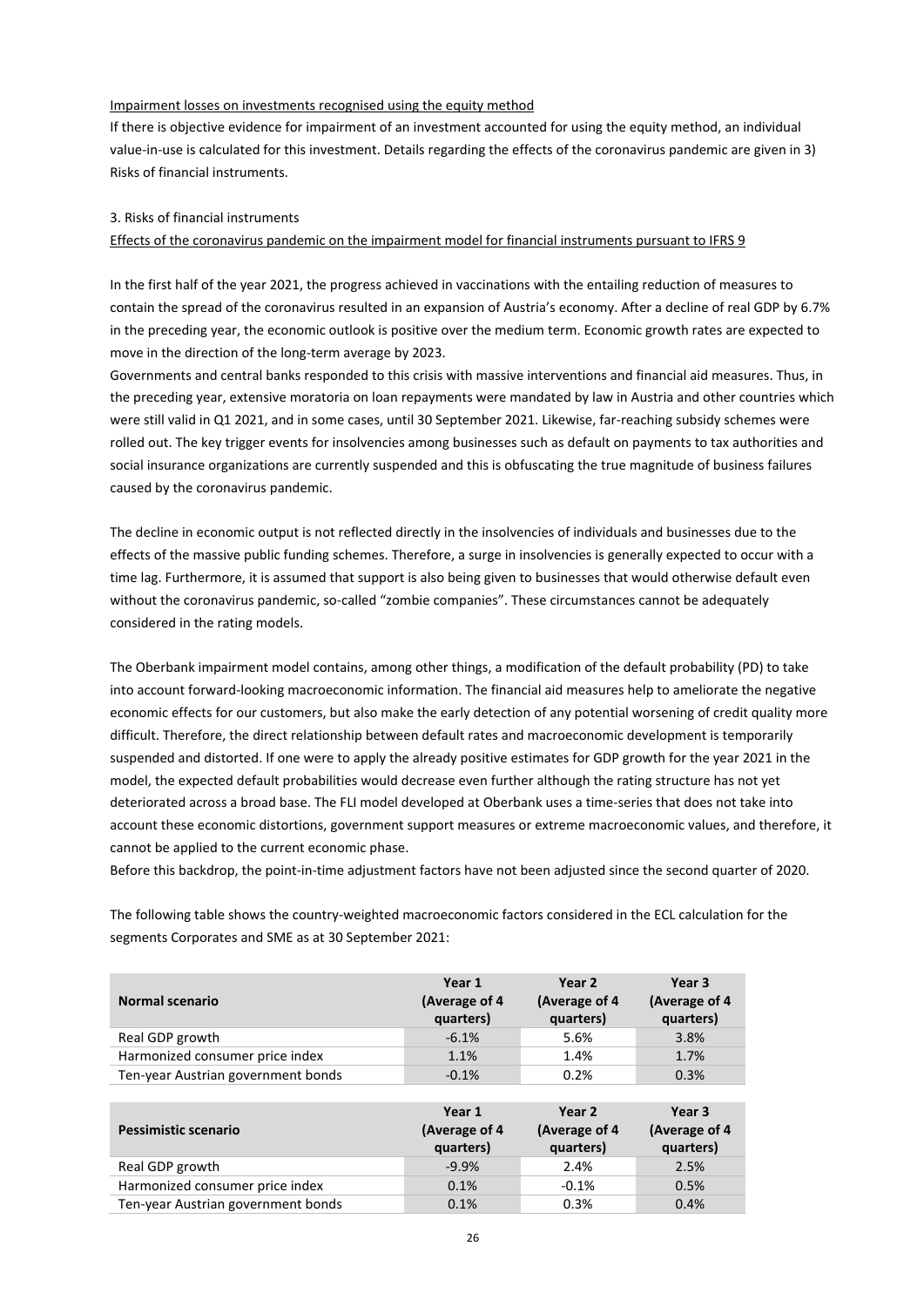### Impairment losses on investments recognised using the equity method

If there is objective evidence for impairment of an investment accounted for using the equity method, an individual value-in-use is calculated for this investment. Details regarding the effects of the coronavirus pandemic are given in 3) Risks of financial instruments.

#### 3. Risks of financial instruments

## Effects of the coronavirus pandemic on the impairment model for financial instruments pursuant to IFRS 9

In the first half of the year 2021, the progress achieved in vaccinations with the entailing reduction of measures to contain the spread of the coronavirus resulted in an expansion of Austria's economy. After a decline of real GDP by 6.7% in the preceding year, the economic outlook is positive over the medium term. Economic growth rates are expected to move in the direction of the long-term average by 2023.

Governments and central banks responded to this crisis with massive interventions and financial aid measures. Thus, in the preceding year, extensive moratoria on loan repayments were mandated by law in Austria and other countries which were still valid in Q1 2021, and in some cases, until 30 September 2021. Likewise, far-reaching subsidy schemes were rolled out. The key trigger events for insolvencies among businesses such as default on payments to tax authorities and social insurance organizations are currently suspended and this is obfuscating the true magnitude of business failures caused by the coronavirus pandemic.

The decline in economic output is not reflected directly in the insolvencies of individuals and businesses due to the effects of the massive public funding schemes. Therefore, a surge in insolvencies is generally expected to occur with a time lag. Furthermore, it is assumed that support is also being given to businesses that would otherwise default even without the coronavirus pandemic, so-called "zombie companies". These circumstances cannot be adequately considered in the rating models.

The Oberbank impairment model contains, among other things, a modification of the default probability (PD) to take into account forward-looking macroeconomic information. The financial aid measures help to ameliorate the negative economic effects for our customers, but also make the early detection of any potential worsening of credit quality more difficult. Therefore, the direct relationship between default rates and macroeconomic development is temporarily suspended and distorted. If one were to apply the already positive estimates for GDP growth for the year 2021 in the model, the expected default probabilities would decrease even further although the rating structure has not yet deteriorated across a broad base. The FLI model developed at Oberbank uses a time-series that does not take into account these economic distortions, government support measures or extreme macroeconomic values, and therefore, it cannot be applied to the current economic phase.

Before this backdrop, the point-in-time adjustment factors have not been adjusted since the second quarter of 2020.

The following table shows the country-weighted macroeconomic factors considered in the ECL calculation for the segments Corporates and SME as at 30 September 2021:

| Normal scenario                    | Year 1<br>(Average of 4<br>quarters) | Year <sub>2</sub><br>(Average of 4<br>quarters) | Year <sub>3</sub><br>(Average of 4<br>quarters) |
|------------------------------------|--------------------------------------|-------------------------------------------------|-------------------------------------------------|
| Real GDP growth                    | $-6.1%$                              | 5.6%                                            | 3.8%                                            |
| Harmonized consumer price index    | 1.1%                                 | 1.4%                                            | 1.7%                                            |
| Ten-year Austrian government bonds | $-0.1%$                              | 0.2%                                            | 0.3%                                            |
|                                    |                                      |                                                 |                                                 |
|                                    |                                      |                                                 |                                                 |
| Pessimistic scenario               | Year 1<br>(Average of 4<br>quarters) | Year 2<br>(Average of 4<br>quarters)            | Year 3<br>(Average of 4<br>quarters)            |
| Real GDP growth                    | $-9.9%$                              | 2.4%                                            | 2.5%                                            |
| Harmonized consumer price index    | 0.1%                                 | $-0.1%$                                         | 0.5%                                            |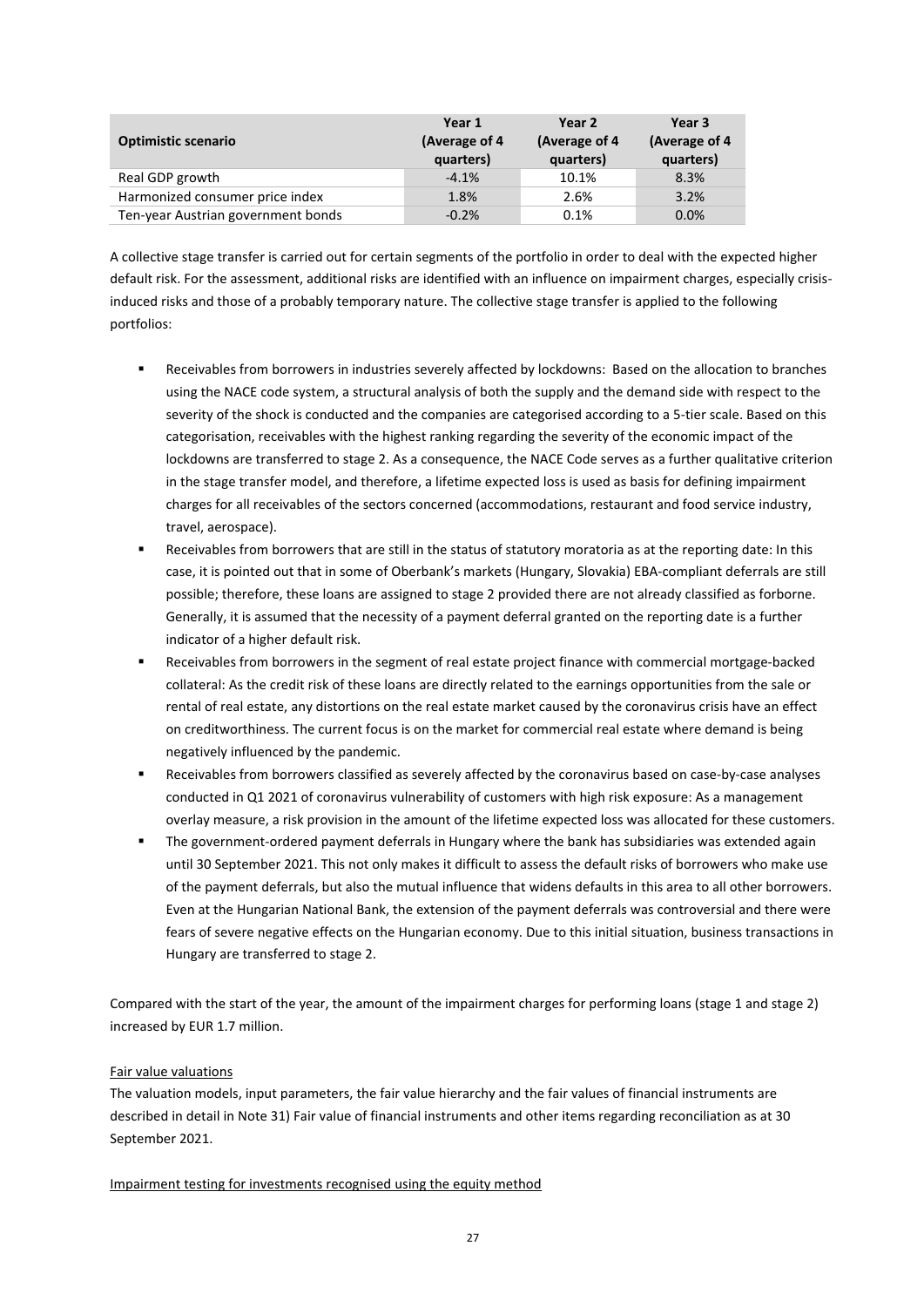| <b>Optimistic scenario</b>         | Year 1<br>(Average of 4)<br>quarters) | Year 2<br>(Average of 4<br>quarters) | Year 3<br>(Average of 4<br>quarters) |
|------------------------------------|---------------------------------------|--------------------------------------|--------------------------------------|
| Real GDP growth                    | $-4.1%$                               | 10.1%                                | 8.3%                                 |
| Harmonized consumer price index    | 1.8%                                  | 2.6%                                 | 3.2%                                 |
| Ten-year Austrian government bonds | $-0.2%$                               | 0.1%                                 | 0.0%                                 |

A collective stage transfer is carried out for certain segments of the portfolio in order to deal with the expected higher default risk. For the assessment, additional risks are identified with an influence on impairment charges, especially crisisinduced risks and those of a probably temporary nature. The collective stage transfer is applied to the following portfolios:

- Receivables from borrowers in industries severely affected by lockdowns: Based on the allocation to branches using the NACE code system, a structural analysis of both the supply and the demand side with respect to the severity of the shock is conducted and the companies are categorised according to a 5-tier scale. Based on this categorisation, receivables with the highest ranking regarding the severity of the economic impact of the lockdowns are transferred to stage 2. As a consequence, the NACE Code serves as a further qualitative criterion in the stage transfer model, and therefore, a lifetime expected loss is used as basis for defining impairment charges for all receivables of the sectors concerned (accommodations, restaurant and food service industry, travel, aerospace).
- Receivables from borrowers that are still in the status of statutory moratoria as at the reporting date: In this case, it is pointed out that in some of Oberbank's markets (Hungary, Slovakia) EBA-compliant deferrals are still possible; therefore, these loans are assigned to stage 2 provided there are not already classified as forborne. Generally, it is assumed that the necessity of a payment deferral granted on the reporting date is a further indicator of a higher default risk.
- Receivables from borrowers in the segment of real estate project finance with commercial mortgage-backed collateral: As the credit risk of these loans are directly related to the earnings opportunities from the sale or rental of real estate, any distortions on the real estate market caused by the coronavirus crisis have an effect on creditworthiness. The current focus is on the market for commercial real estate where demand is being negatively influenced by the pandemic.
- Receivables from borrowers classified as severely affected by the coronavirus based on case-by-case analyses conducted in Q1 2021 of coronavirus vulnerability of customers with high risk exposure: As a management overlay measure, a risk provision in the amount of the lifetime expected loss was allocated for these customers.
- The government-ordered payment deferrals in Hungary where the bank has subsidiaries was extended again until 30 September 2021. This not only makes it difficult to assess the default risks of borrowers who make use of the payment deferrals, but also the mutual influence that widens defaults in this area to all other borrowers. Even at the Hungarian National Bank, the extension of the payment deferrals was controversial and there were fears of severe negative effects on the Hungarian economy. Due to this initial situation, business transactions in Hungary are transferred to stage 2.

Compared with the start of the year, the amount of the impairment charges for performing loans (stage 1 and stage 2) increased by EUR 1.7 million.

# Fair value valuations

The valuation models, input parameters, the fair value hierarchy and the fair values of financial instruments are described in detail in Note 31) Fair value of financial instruments and other items regarding reconciliation as at 30 September 2021.

## Impairment testing for investments recognised using the equity method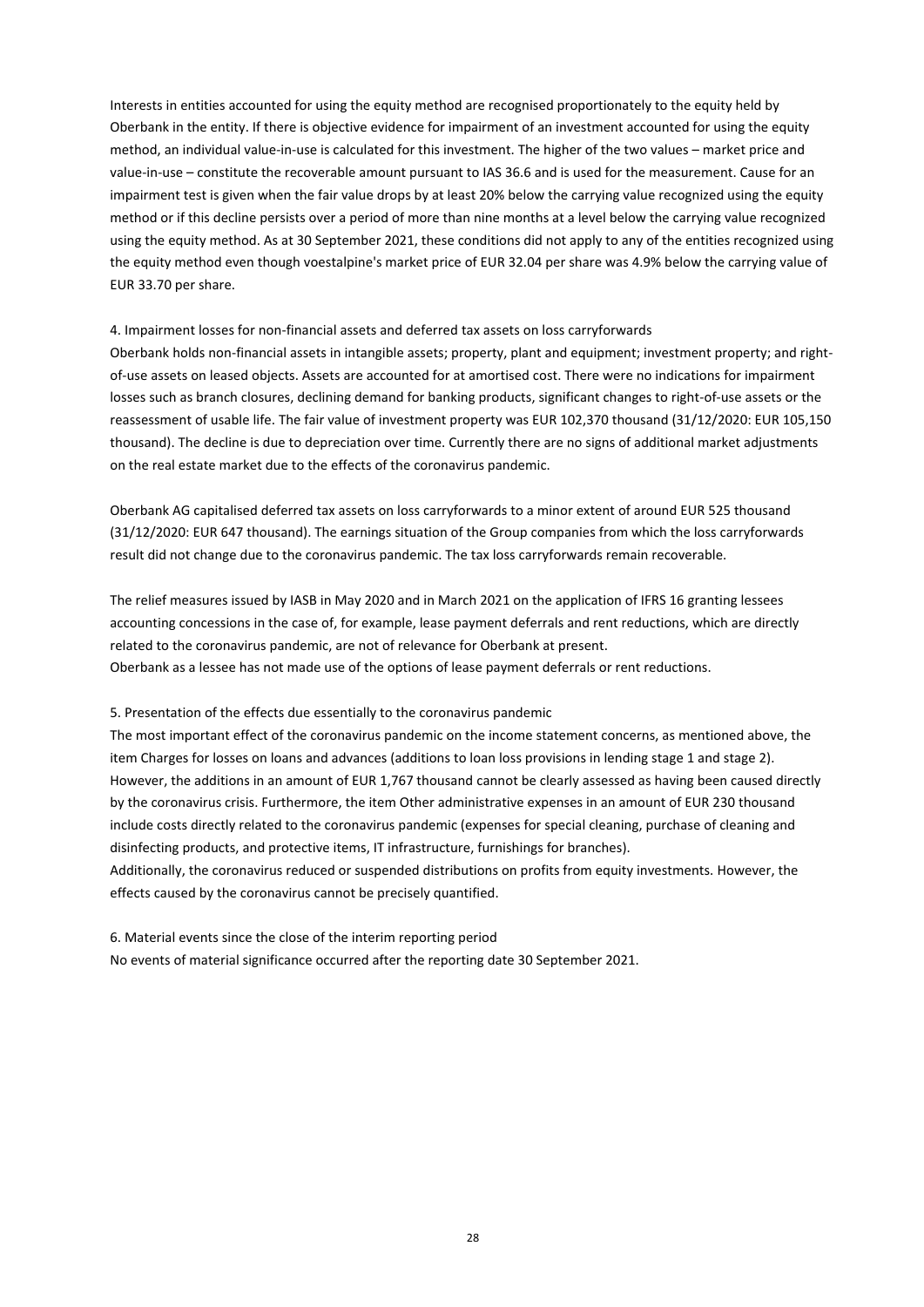Interests in entities accounted for using the equity method are recognised proportionately to the equity held by Oberbank in the entity. If there is objective evidence for impairment of an investment accounted for using the equity method, an individual value-in-use is calculated for this investment. The higher of the two values – market price and value-in-use – constitute the recoverable amount pursuant to IAS 36.6 and is used for the measurement. Cause for an impairment test is given when the fair value drops by at least 20% below the carrying value recognized using the equity method or if this decline persists over a period of more than nine months at a level below the carrying value recognized using the equity method. As at 30 September 2021, these conditions did not apply to any of the entities recognized using the equity method even though voestalpine's market price of EUR 32.04 per share was 4.9% below the carrying value of EUR 33.70 per share.

#### 4. Impairment losses for non-financial assets and deferred tax assets on loss carryforwards

Oberbank holds non-financial assets in intangible assets; property, plant and equipment; investment property; and rightof-use assets on leased objects. Assets are accounted for at amortised cost. There were no indications for impairment losses such as branch closures, declining demand for banking products, significant changes to right-of-use assets or the reassessment of usable life. The fair value of investment property was EUR 102,370 thousand (31/12/2020: EUR 105,150 thousand). The decline is due to depreciation over time. Currently there are no signs of additional market adjustments on the real estate market due to the effects of the coronavirus pandemic.

Oberbank AG capitalised deferred tax assets on loss carryforwards to a minor extent of around EUR 525 thousand (31/12/2020: EUR 647 thousand). The earnings situation of the Group companies from which the loss carryforwards result did not change due to the coronavirus pandemic. The tax loss carryforwards remain recoverable.

The relief measures issued by IASB in May 2020 and in March 2021 on the application of IFRS 16 granting lessees accounting concessions in the case of, for example, lease payment deferrals and rent reductions, which are directly related to the coronavirus pandemic, are not of relevance for Oberbank at present. Oberbank as a lessee has not made use of the options of lease payment deferrals or rent reductions.

## 5. Presentation of the effects due essentially to the coronavirus pandemic

The most important effect of the coronavirus pandemic on the income statement concerns, as mentioned above, the item Charges for losses on loans and advances (additions to loan loss provisions in lending stage 1 and stage 2). However, the additions in an amount of EUR 1,767 thousand cannot be clearly assessed as having been caused directly by the coronavirus crisis. Furthermore, the item Other administrative expenses in an amount of EUR 230 thousand include costs directly related to the coronavirus pandemic (expenses for special cleaning, purchase of cleaning and disinfecting products, and protective items, IT infrastructure, furnishings for branches).

Additionally, the coronavirus reduced or suspended distributions on profits from equity investments. However, the effects caused by the coronavirus cannot be precisely quantified.

6. Material events since the close of the interim reporting period No events of material significance occurred after the reporting date 30 September 2021.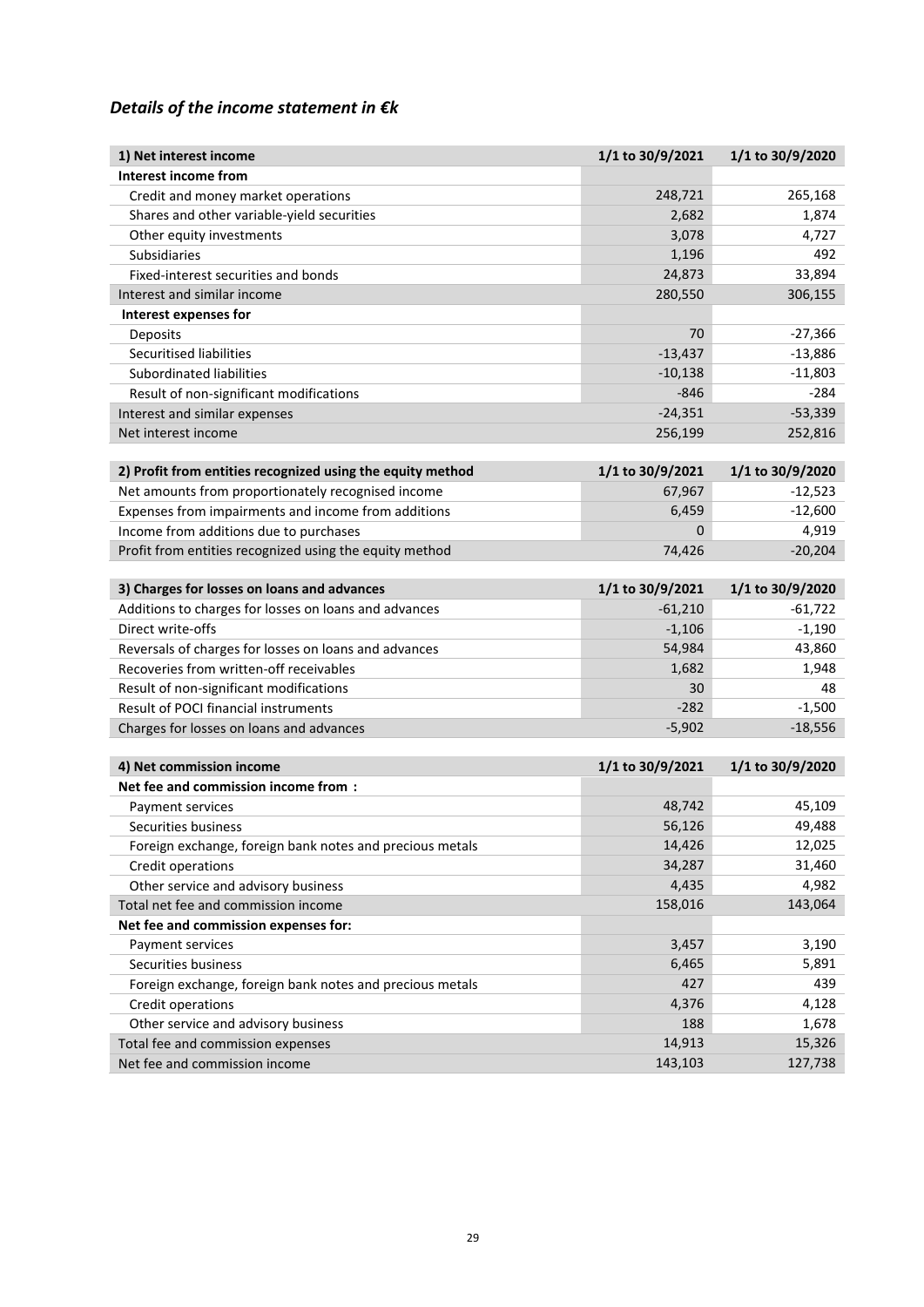# *Details of the income statement in €k*

| 1) Net interest income                                     | 1/1 to 30/9/2021 | 1/1 to 30/9/2020 |
|------------------------------------------------------------|------------------|------------------|
| <b>Interest income from</b>                                |                  |                  |
| Credit and money market operations                         | 248,721          | 265,168          |
| Shares and other variable-yield securities                 | 2,682            | 1,874            |
| Other equity investments                                   | 3,078            | 4,727            |
| <b>Subsidiaries</b>                                        | 1,196            | 492              |
| Fixed-interest securities and bonds                        | 24,873           | 33,894           |
| Interest and similar income                                | 280,550          | 306,155          |
| Interest expenses for                                      |                  |                  |
| Deposits                                                   | 70               | $-27,366$        |
| Securitised liabilities                                    | $-13,437$        | $-13,886$        |
| Subordinated liabilities                                   | $-10,138$        | $-11,803$        |
| Result of non-significant modifications                    | $-846$           | $-284$           |
| Interest and similar expenses                              | $-24,351$        | $-53,339$        |
| Net interest income                                        | 256,199          | 252,816          |
|                                                            |                  |                  |
| 2) Profit from entities recognized using the equity method | 1/1 to 30/9/2021 | 1/1 to 30/9/2020 |
| Net amounts from proportionately recognised income         | 67,967           | $-12,523$        |
| Expenses from impairments and income from additions        | 6,459            | $-12,600$        |
| Income from additions due to purchases                     | 0                | 4,919            |
| Profit from entities recognized using the equity method    | 74,426           | $-20,204$        |
| 3) Charges for losses on loans and advances                | 1/1 to 30/9/2021 | 1/1 to 30/9/2020 |
| Additions to charges for losses on loans and advances      | $-61,210$        | $-61,722$        |
| Direct write-offs                                          | $-1,106$         | $-1,190$         |
| Reversals of charges for losses on loans and advances      | 54,984           | 43,860           |
| Recoveries from written-off receivables                    | 1,682            | 1,948            |
| Result of non-significant modifications                    | 30               | 48               |
| Result of POCI financial instruments                       | $-282$           | $-1,500$         |
| Charges for losses on loans and advances                   | $-5,902$         | $-18,556$        |
|                                                            |                  |                  |
| 4) Net commission income                                   | 1/1 to 30/9/2021 | 1/1 to 30/9/2020 |
| Net fee and commission income from:                        |                  |                  |
| Payment services                                           | 48,742           | 45,109           |
| Securities business                                        | 56,126           | 49,488           |
| Foreign exchange, foreign bank notes and precious metals   | 14,426           | 12,025           |
| Credit operations                                          | 34,287           | 31,460           |
| Other service and advisory business                        | 4,435            | 4,982            |
| Total net fee and commission income                        | 158,016          | 143,064          |
| Net fee and commission expenses for:                       |                  |                  |
| Payment services                                           | 3,457            | 3,190            |
| Securities business                                        | 6,465            | 5,891            |
| Foreign exchange, foreign bank notes and precious metals   | 427              | 439              |
| Credit operations                                          | 4,376            | 4,128            |
| Other service and advisory business                        | 188              | 1,678            |
| Total fee and commission expenses                          | 14,913           | 15,326           |
| Net fee and commission income                              | 143,103          | 127,738          |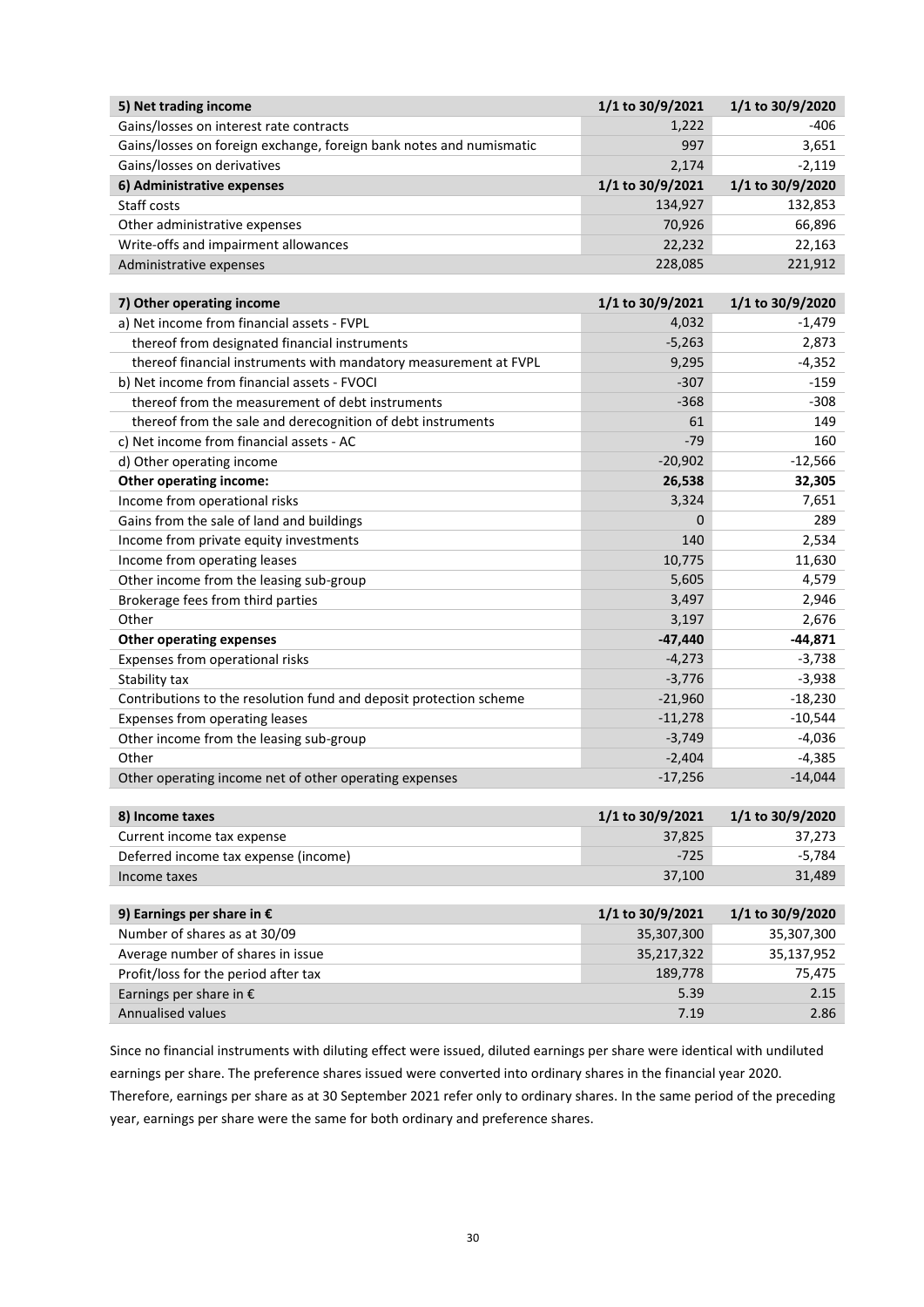| 5) Net trading income                                               | 1/1 to 30/9/2021 | 1/1 to 30/9/2020 |
|---------------------------------------------------------------------|------------------|------------------|
| Gains/losses on interest rate contracts                             | 1,222            | $-406$           |
| Gains/losses on foreign exchange, foreign bank notes and numismatic | 997              | 3,651            |
| Gains/losses on derivatives                                         | 2,174            | $-2,119$         |
| 6) Administrative expenses                                          | 1/1 to 30/9/2021 | 1/1 to 30/9/2020 |
| Staff costs                                                         | 134,927          | 132,853          |
| Other administrative expenses                                       | 70,926           | 66,896           |
| Write-offs and impairment allowances                                | 22,232           | 22,163           |
| Administrative expenses                                             | 228,085          | 221,912          |

| 7) Other operating income                                          | 1/1 to 30/9/2021 | 1/1 to 30/9/2020 |
|--------------------------------------------------------------------|------------------|------------------|
| a) Net income from financial assets - FVPL                         | 4,032            | $-1,479$         |
| thereof from designated financial instruments                      | $-5,263$         | 2,873            |
| thereof financial instruments with mandatory measurement at FVPL   | 9,295            | $-4,352$         |
| b) Net income from financial assets - FVOCI                        | $-307$           | $-159$           |
| thereof from the measurement of debt instruments                   | $-368$           | $-308$           |
| thereof from the sale and derecognition of debt instruments        | 61               | 149              |
| c) Net income from financial assets - AC                           | $-79$            | 160              |
| d) Other operating income                                          | $-20,902$        | $-12,566$        |
| <b>Other operating income:</b>                                     | 26,538           | 32,305           |
| Income from operational risks                                      | 3,324            | 7,651            |
| Gains from the sale of land and buildings                          | $\Omega$         | 289              |
| Income from private equity investments                             | 140              | 2,534            |
| Income from operating leases                                       | 10,775           | 11,630           |
| Other income from the leasing sub-group                            | 5,605            | 4,579            |
| Brokerage fees from third parties                                  | 3,497            | 2,946            |
| Other                                                              | 3,197            | 2,676            |
| <b>Other operating expenses</b>                                    | $-47,440$        | $-44,871$        |
| Expenses from operational risks                                    | $-4,273$         | $-3,738$         |
| Stability tax                                                      | $-3,776$         | $-3,938$         |
| Contributions to the resolution fund and deposit protection scheme | $-21,960$        | $-18,230$        |
| Expenses from operating leases                                     | $-11,278$        | $-10,544$        |
| Other income from the leasing sub-group                            | $-3,749$         | $-4,036$         |
| Other                                                              | $-2,404$         | $-4,385$         |
| Other operating income net of other operating expenses             | $-17,256$        | $-14,044$        |

| 8) Income taxes                      | $1/1$ to 30/9/2021 | $1/1$ to 30/9/2020 |
|--------------------------------------|--------------------|--------------------|
| Current income tax expense           | 37.825             | 37.273             |
| Deferred income tax expense (income) | $-725$             | -5.784             |
| Income taxes                         | 37.100             | 31.489             |

| 9) Earnings per share in $\epsilon$  | 1/1 to 30/9/2021 | 1/1 to 30/9/2020 |
|--------------------------------------|------------------|------------------|
| Number of shares as at 30/09         | 35,307,300       | 35,307,300       |
| Average number of shares in issue    | 35,217,322       | 35,137,952       |
| Profit/loss for the period after tax | 189,778          | 75,475           |
| Earnings per share in $\epsilon$     | 5.39             | 2.15             |
| <b>Annualised values</b>             | 7.19             | 2.86             |

Since no financial instruments with diluting effect were issued, diluted earnings per share were identical with undiluted earnings per share. The preference shares issued were converted into ordinary shares in the financial year 2020. Therefore, earnings per share as at 30 September 2021 refer only to ordinary shares. In the same period of the preceding

year, earnings per share were the same for both ordinary and preference shares.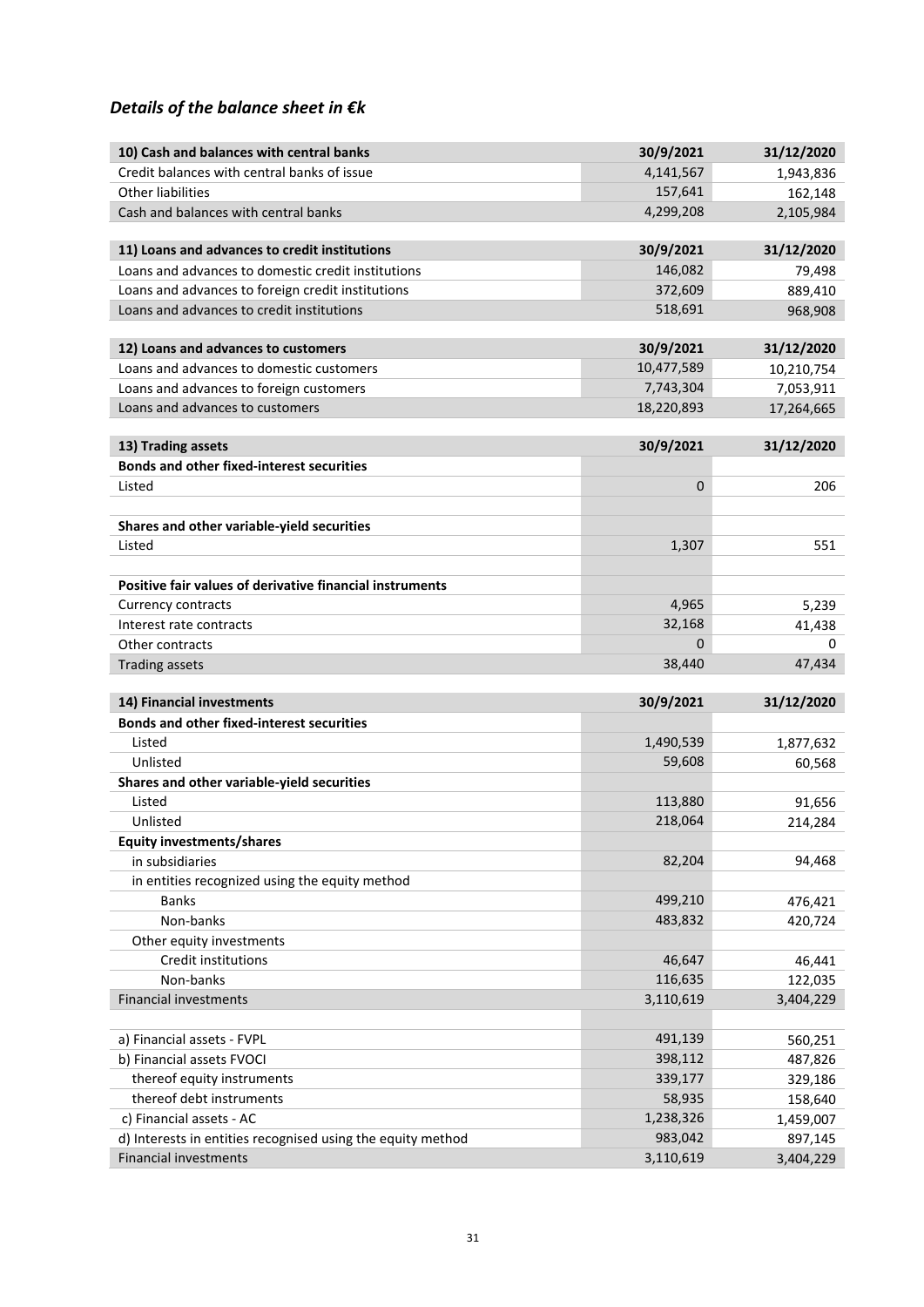# *Details of the balance sheet in €k*

| 10) Cash and balances with central banks                                                       | 30/9/2021            | 31/12/2020          |
|------------------------------------------------------------------------------------------------|----------------------|---------------------|
| Credit balances with central banks of issue                                                    | 4,141,567            | 1,943,836           |
| <b>Other liabilities</b>                                                                       | 157,641              | 162,148             |
| Cash and balances with central banks                                                           | 4,299,208            | 2,105,984           |
|                                                                                                |                      |                     |
| 11) Loans and advances to credit institutions                                                  | 30/9/2021            | 31/12/2020          |
| Loans and advances to domestic credit institutions                                             | 146,082<br>372,609   | 79,498              |
| Loans and advances to foreign credit institutions<br>Loans and advances to credit institutions | 518,691              | 889,410             |
|                                                                                                |                      | 968,908             |
| 12) Loans and advances to customers                                                            | 30/9/2021            | 31/12/2020          |
| Loans and advances to domestic customers                                                       | 10,477,589           | 10,210,754          |
| Loans and advances to foreign customers                                                        | 7,743,304            | 7,053,911           |
| Loans and advances to customers                                                                | 18,220,893           | 17,264,665          |
|                                                                                                |                      |                     |
| 13) Trading assets                                                                             | 30/9/2021            | 31/12/2020          |
| <b>Bonds and other fixed-interest securities</b>                                               |                      |                     |
| Listed                                                                                         | 0                    | 206                 |
|                                                                                                |                      |                     |
| Shares and other variable-yield securities<br>Listed                                           | 1,307                | 551                 |
|                                                                                                |                      |                     |
| Positive fair values of derivative financial instruments                                       |                      |                     |
| <b>Currency contracts</b>                                                                      | 4,965                | 5,239               |
| Interest rate contracts                                                                        | 32,168               | 41,438              |
| Other contracts                                                                                | 0                    | 0                   |
| <b>Trading assets</b>                                                                          | 38,440               | 47,434              |
|                                                                                                |                      |                     |
| 14) Financial investments<br><b>Bonds and other fixed-interest securities</b>                  | 30/9/2021            | 31/12/2020          |
| Listed                                                                                         | 1,490,539            |                     |
| Unlisted                                                                                       | 59,608               | 1,877,632<br>60,568 |
| Shares and other variable-yield securities                                                     |                      |                     |
| Listed                                                                                         | 113,880              | 91,656              |
| Unlisted                                                                                       | 218,064              | 214,284             |
| <b>Equity investments/shares</b>                                                               |                      |                     |
| in subsidiaries                                                                                | 82,204               | 94,468              |
| in entities recognized using the equity method                                                 |                      |                     |
| Banks                                                                                          | 499,210              | 476,421             |
| Non-banks                                                                                      | 483,832              | 420,724             |
| Other equity investments                                                                       |                      |                     |
| Credit institutions                                                                            | 46,647               | 46,441              |
| Non-banks                                                                                      | 116,635              | 122,035             |
| <b>Financial investments</b>                                                                   | 3,110,619            | 3,404,229           |
|                                                                                                |                      |                     |
| a) Financial assets - FVPL                                                                     | 491,139              | 560,251             |
| b) Financial assets FVOCI                                                                      | 398,112              | 487,826             |
| thereof equity instruments                                                                     | 339,177              | 329,186             |
| thereof debt instruments                                                                       | 58,935               | 158,640             |
| c) Financial assets - AC                                                                       | 1,238,326<br>983,042 | 1,459,007           |
| d) Interests in entities recognised using the equity method                                    |                      | 897,145             |
| <b>Financial investments</b>                                                                   | 3,110,619            | 3,404,229           |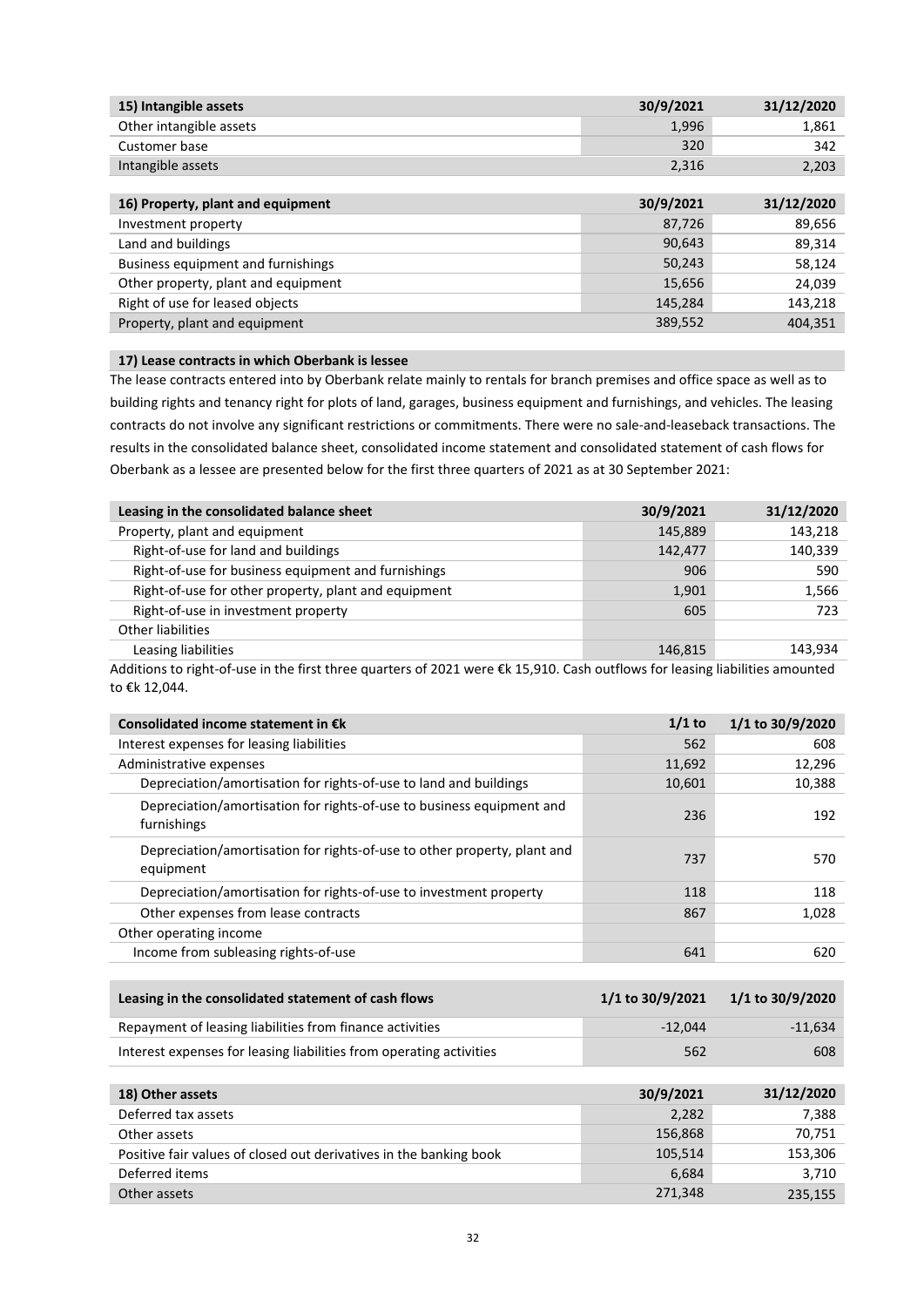| 15) Intangible assets   | 30/9/2021 | 31/12/2020 |
|-------------------------|-----------|------------|
| Other intangible assets | 1,996     | 1.861      |
| Customer base           | 320       | 342        |
| Intangible assets       | 2.316     | 2,203      |
|                         |           |            |

| 16) Property, plant and equipment   | 30/9/2021 | 31/12/2020 |
|-------------------------------------|-----------|------------|
| Investment property                 | 87,726    | 89,656     |
| Land and buildings                  | 90,643    | 89,314     |
| Business equipment and furnishings  | 50,243    | 58,124     |
| Other property, plant and equipment | 15,656    | 24,039     |
| Right of use for leased objects     | 145,284   | 143,218    |
| Property, plant and equipment       | 389,552   | 404,351    |
|                                     |           |            |

## **17) Lease contracts in which Oberbank is lessee**

The lease contracts entered into by Oberbank relate mainly to rentals for branch premises and office space as well as to building rights and tenancy right for plots of land, garages, business equipment and furnishings, and vehicles. The leasing contracts do not involve any significant restrictions or commitments. There were no sale-and-leaseback transactions. The results in the consolidated balance sheet, consolidated income statement and consolidated statement of cash flows for Oberbank as a lessee are presented below for the first three quarters of 2021 as at 30 September 2021:

| Leasing in the consolidated balance sheet            | 30/9/2021 | 31/12/2020 |
|------------------------------------------------------|-----------|------------|
| Property, plant and equipment                        | 145,889   | 143,218    |
| Right-of-use for land and buildings                  | 142,477   | 140,339    |
| Right-of-use for business equipment and furnishings  | 906       | 590        |
| Right-of-use for other property, plant and equipment | 1,901     | 1,566      |
| Right-of-use in investment property                  | 605       | 723        |
| Other liabilities                                    |           |            |
| Leasing liabilities                                  | 146,815   | 143,934    |

Additions to right-of-use in the first three quarters of 2021 were €k 15,910. Cash outflows for leasing liabilities amounted to €k 12,044.

| Consolidated income statement in $\epsilon$ k                                         | $1/1$ to | 1/1 to 30/9/2020 |
|---------------------------------------------------------------------------------------|----------|------------------|
| Interest expenses for leasing liabilities                                             | 562      | 608              |
| Administrative expenses                                                               | 11,692   | 12,296           |
| Depreciation/amortisation for rights-of-use to land and buildings                     | 10,601   | 10,388           |
| Depreciation/amortisation for rights-of-use to business equipment and<br>furnishings  | 236      | 192              |
| Depreciation/amortisation for rights-of-use to other property, plant and<br>equipment | 737      | 570              |
| Depreciation/amortisation for rights-of-use to investment property                    | 118      | 118              |
| Other expenses from lease contracts                                                   | 867      | 1,028            |
| Other operating income                                                                |          |                  |
| Income from subleasing rights-of-use                                                  | 641      | 620              |

| Leasing in the consolidated statement of cash flows                 | 1/1 to 30/9/2021 | 1/1 to 30/9/2020 |
|---------------------------------------------------------------------|------------------|------------------|
| Repayment of leasing liabilities from finance activities            | $-12.044$        | $-11.634$        |
| Interest expenses for leasing liabilities from operating activities | 562              | 608              |

| 18) Other assets                                                   | 30/9/2021 | 31/12/2020 |
|--------------------------------------------------------------------|-----------|------------|
| Deferred tax assets                                                | 2,282     | 7,388      |
| Other assets                                                       | 156,868   | 70,751     |
| Positive fair values of closed out derivatives in the banking book | 105,514   | 153,306    |
| Deferred items                                                     | 6.684     | 3,710      |
| Other assets                                                       | 271,348   | 235,155    |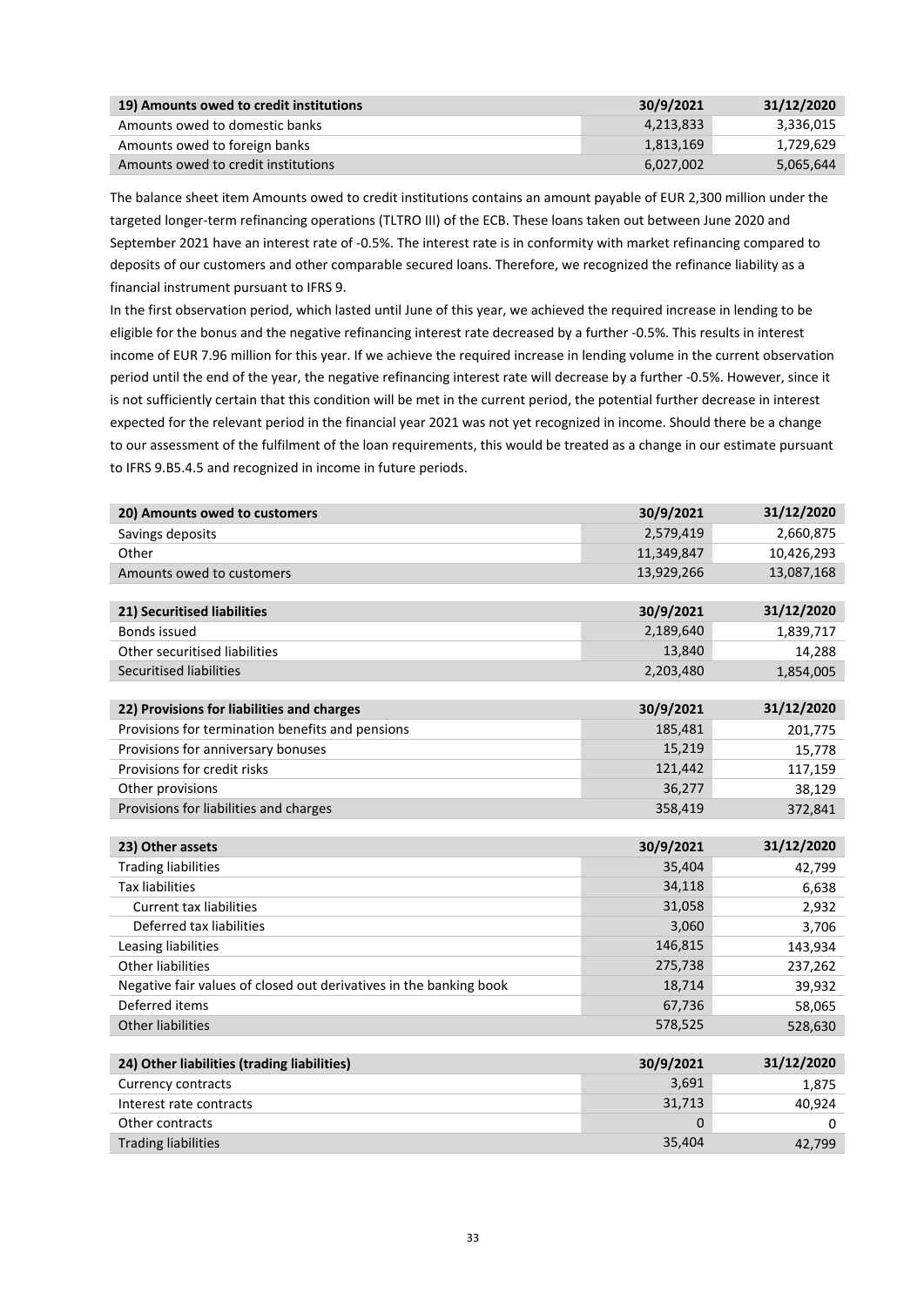| 19) Amounts owed to credit institutions | 30/9/2021 | 31/12/2020 |
|-----------------------------------------|-----------|------------|
| Amounts owed to domestic banks          | 4.213.833 | 3.336.015  |
| Amounts owed to foreign banks           | 1,813,169 | 1,729,629  |
| Amounts owed to credit institutions     | 6.027.002 | 5,065,644  |

The balance sheet item Amounts owed to credit institutions contains an amount payable of EUR 2,300 million under the targeted longer-term refinancing operations (TLTRO III) of the ECB. These loans taken out between June 2020 and September 2021 have an interest rate of -0.5%. The interest rate is in conformity with market refinancing compared to deposits of our customers and other comparable secured loans. Therefore, we recognized the refinance liability as a financial instrument pursuant to IFRS 9.

In the first observation period, which lasted until June of this year, we achieved the required increase in lending to be eligible for the bonus and the negative refinancing interest rate decreased by a further -0.5%. This results in interest income of EUR 7.96 million for this year. If we achieve the required increase in lending volume in the current observation period until the end of the year, the negative refinancing interest rate will decrease by a further -0.5%. However, since it is not sufficiently certain that this condition will be met in the current period, the potential further decrease in interest expected for the relevant period in the financial year 2021 was not yet recognized in income. Should there be a change to our assessment of the fulfilment of the loan requirements, this would be treated as a change in our estimate pursuant to IFRS 9.B5.4.5 and recognized in income in future periods.

| 20) Amounts owed to customers                                      | 30/9/2021   | 31/12/2020  |
|--------------------------------------------------------------------|-------------|-------------|
| Savings deposits                                                   | 2,579,419   | 2,660,875   |
| Other                                                              | 11,349,847  | 10,426,293  |
| Amounts owed to customers                                          | 13,929,266  | 13,087,168  |
|                                                                    |             |             |
| 21) Securitised liabilities                                        | 30/9/2021   | 31/12/2020  |
| <b>Bonds issued</b>                                                | 2,189,640   | 1,839,717   |
| Other securitised liabilities                                      | 13,840      | 14,288      |
| <b>Securitised liabilities</b>                                     | 2,203,480   | 1,854,005   |
|                                                                    |             |             |
| 22) Provisions for liabilities and charges                         | 30/9/2021   | 31/12/2020  |
| Provisions for termination benefits and pensions                   | 185,481     | 201,775     |
| Provisions for anniversary bonuses                                 | 15,219      | 15,778      |
| Provisions for credit risks                                        | 121,442     | 117,159     |
| Other provisions                                                   | 36,277      | 38,129      |
| Provisions for liabilities and charges                             | 358,419     | 372,841     |
|                                                                    |             |             |
|                                                                    |             |             |
| 23) Other assets                                                   | 30/9/2021   | 31/12/2020  |
| <b>Trading liabilities</b>                                         | 35,404      | 42,799      |
| <b>Tax liabilities</b>                                             | 34,118      | 6,638       |
| <b>Current tax liabilities</b>                                     | 31,058      | 2,932       |
| Deferred tax liabilities                                           | 3,060       | 3,706       |
| Leasing liabilities                                                | 146,815     | 143,934     |
| <b>Other liabilities</b>                                           | 275,738     | 237,262     |
| Negative fair values of closed out derivatives in the banking book | 18,714      | 39,932      |
| Deferred items                                                     | 67,736      | 58,065      |
| <b>Other liabilities</b>                                           | 578,525     | 528,630     |
|                                                                    |             |             |
| 24) Other liabilities (trading liabilities)                        | 30/9/2021   | 31/12/2020  |
| <b>Currency contracts</b>                                          | 3,691       | 1,875       |
| Interest rate contracts                                            | 31,713      | 40,924      |
| Other contracts<br><b>Trading liabilities</b>                      | 0<br>35,404 | 0<br>42,799 |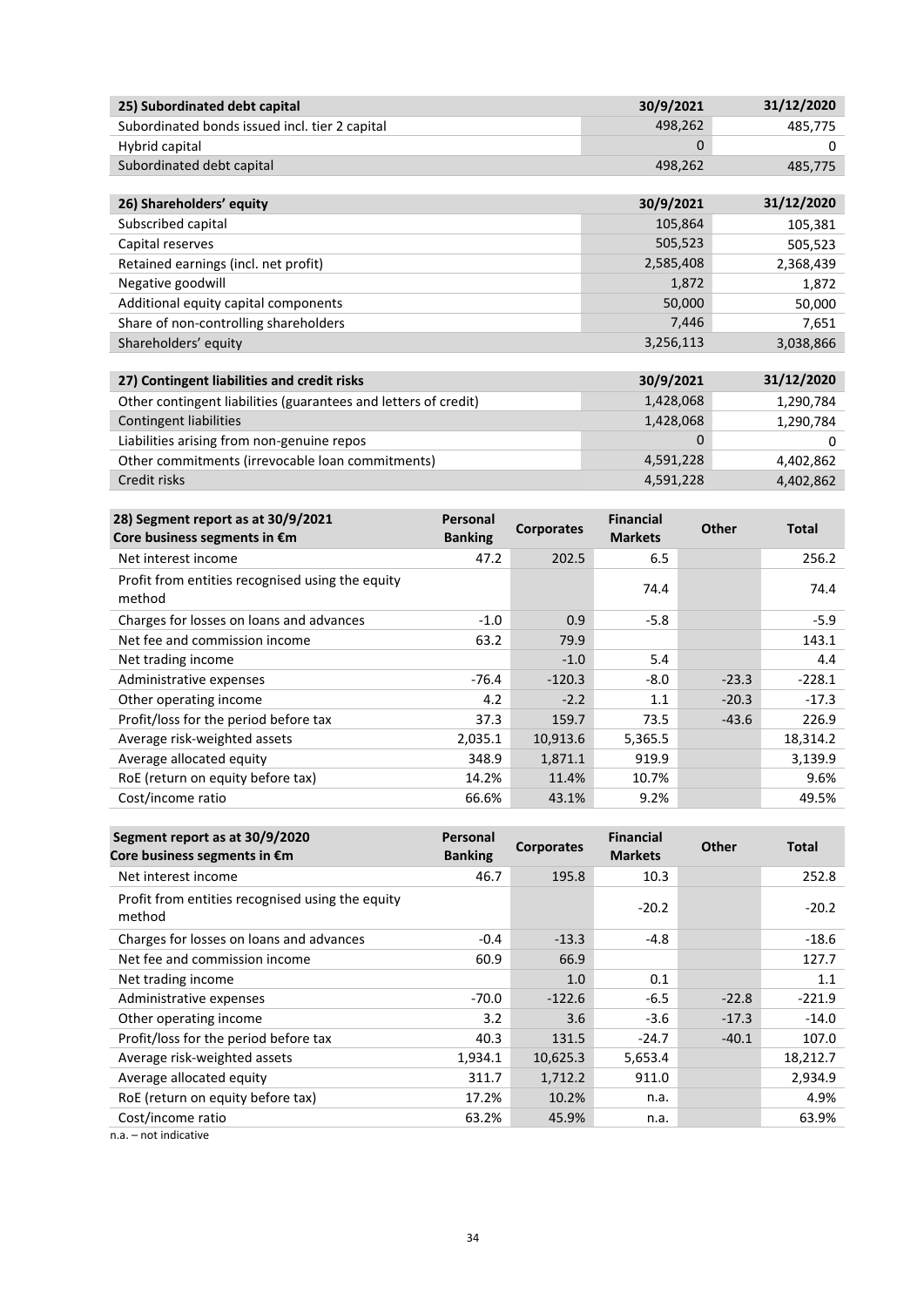| 25) Subordinated debt capital                  | 30/9/2021 | 31/12/2020 |
|------------------------------------------------|-----------|------------|
| Subordinated bonds issued incl. tier 2 capital | 498.262   | 485.775    |
| Hybrid capital                                 |           |            |
| Subordinated debt capital                      | 498.262   | 485.775    |

| 26) Shareholders' equity                                                                                        | 30/9/2021 | 31/12/2020 |
|-----------------------------------------------------------------------------------------------------------------|-----------|------------|
| Subscribed capital                                                                                              | 105,864   | 105,381    |
| Capital reserves                                                                                                | 505,523   | 505,523    |
| Retained earnings (incl. net profit)                                                                            | 2,585,408 | 2,368,439  |
| Negative goodwill                                                                                               | 1,872     | 1,872      |
| Additional equity capital components                                                                            | 50,000    | 50,000     |
| Share of non-controlling shareholders                                                                           | 7,446     | 7,651      |
| Shareholders' equity                                                                                            | 3,256,113 | 3,038,866  |
|                                                                                                                 |           |            |
| 27) Contingent liabilities and credit risks                                                                     | 30/9/2021 | 31/12/2020 |
| the contract of the contract of the contract of the contract of the contract of the contract of the contract of |           |            |

| Other contingent liabilities (guarantees and letters of credit) | 1,428,068 | 1,290,784 |
|-----------------------------------------------------------------|-----------|-----------|
| Contingent liabilities                                          | 1,428,068 | 1,290,784 |
| Liabilities arising from non-genuine repos                      | 0         |           |
| Other commitments (irrevocable loan commitments)                | 4,591,228 | 4.402.862 |
| Credit risks                                                    | 4,591,228 | 4,402,862 |

| 28) Segment report as at 30/9/2021<br>Core business segments in €m | Personal<br><b>Banking</b> | <b>Corporates</b> | <b>Financial</b><br><b>Markets</b> | Other   | <b>Total</b> |
|--------------------------------------------------------------------|----------------------------|-------------------|------------------------------------|---------|--------------|
| Net interest income                                                | 47.2                       | 202.5             | 6.5                                |         | 256.2        |
| Profit from entities recognised using the equity<br>method         |                            |                   | 74.4                               |         | 74.4         |
| Charges for losses on loans and advances                           | $-1.0$                     | 0.9               | $-5.8$                             |         | $-5.9$       |
| Net fee and commission income                                      | 63.2                       | 79.9              |                                    |         | 143.1        |
| Net trading income                                                 |                            | $-1.0$            | 5.4                                |         | 4.4          |
| Administrative expenses                                            | $-76.4$                    | $-120.3$          | $-8.0$                             | $-23.3$ | $-228.1$     |
| Other operating income                                             | 4.2                        | $-2.2$            | 1.1                                | $-20.3$ | $-17.3$      |
| Profit/loss for the period before tax                              | 37.3                       | 159.7             | 73.5                               | $-43.6$ | 226.9        |
| Average risk-weighted assets                                       | 2,035.1                    | 10,913.6          | 5,365.5                            |         | 18,314.2     |
| Average allocated equity                                           | 348.9                      | 1,871.1           | 919.9                              |         | 3,139.9      |
| RoE (return on equity before tax)                                  | 14.2%                      | 11.4%             | 10.7%                              |         | 9.6%         |
| Cost/income ratio                                                  | 66.6%                      | 43.1%             | 9.2%                               |         | 49.5%        |

| Segment report as at 30/9/2020<br>Core business segments in €m | Personal<br><b>Banking</b> | <b>Corporates</b> | <b>Financial</b><br><b>Markets</b> | <b>Other</b> | <b>Total</b> |
|----------------------------------------------------------------|----------------------------|-------------------|------------------------------------|--------------|--------------|
| Net interest income                                            | 46.7                       | 195.8             | 10.3                               |              | 252.8        |
| Profit from entities recognised using the equity<br>method     |                            |                   | $-20.2$                            |              | $-20.2$      |
| Charges for losses on loans and advances                       | $-0.4$                     | $-13.3$           | $-4.8$                             |              | $-18.6$      |
| Net fee and commission income                                  | 60.9                       | 66.9              |                                    |              | 127.7        |
| Net trading income                                             |                            | 1.0               | 0.1                                |              | 1.1          |
| Administrative expenses                                        | $-70.0$                    | $-122.6$          | $-6.5$                             | $-22.8$      | $-221.9$     |
| Other operating income                                         | 3.2                        | 3.6               | $-3.6$                             | $-17.3$      | $-14.0$      |
| Profit/loss for the period before tax                          | 40.3                       | 131.5             | $-24.7$                            | $-40.1$      | 107.0        |
| Average risk-weighted assets                                   | 1,934.1                    | 10,625.3          | 5,653.4                            |              | 18,212.7     |
| Average allocated equity                                       | 311.7                      | 1,712.2           | 911.0                              |              | 2,934.9      |
| RoE (return on equity before tax)                              | 17.2%                      | 10.2%             | n.a.                               |              | 4.9%         |
| Cost/income ratio                                              | 63.2%                      | 45.9%             | n.a.                               |              | 63.9%        |

n.a. – not indicative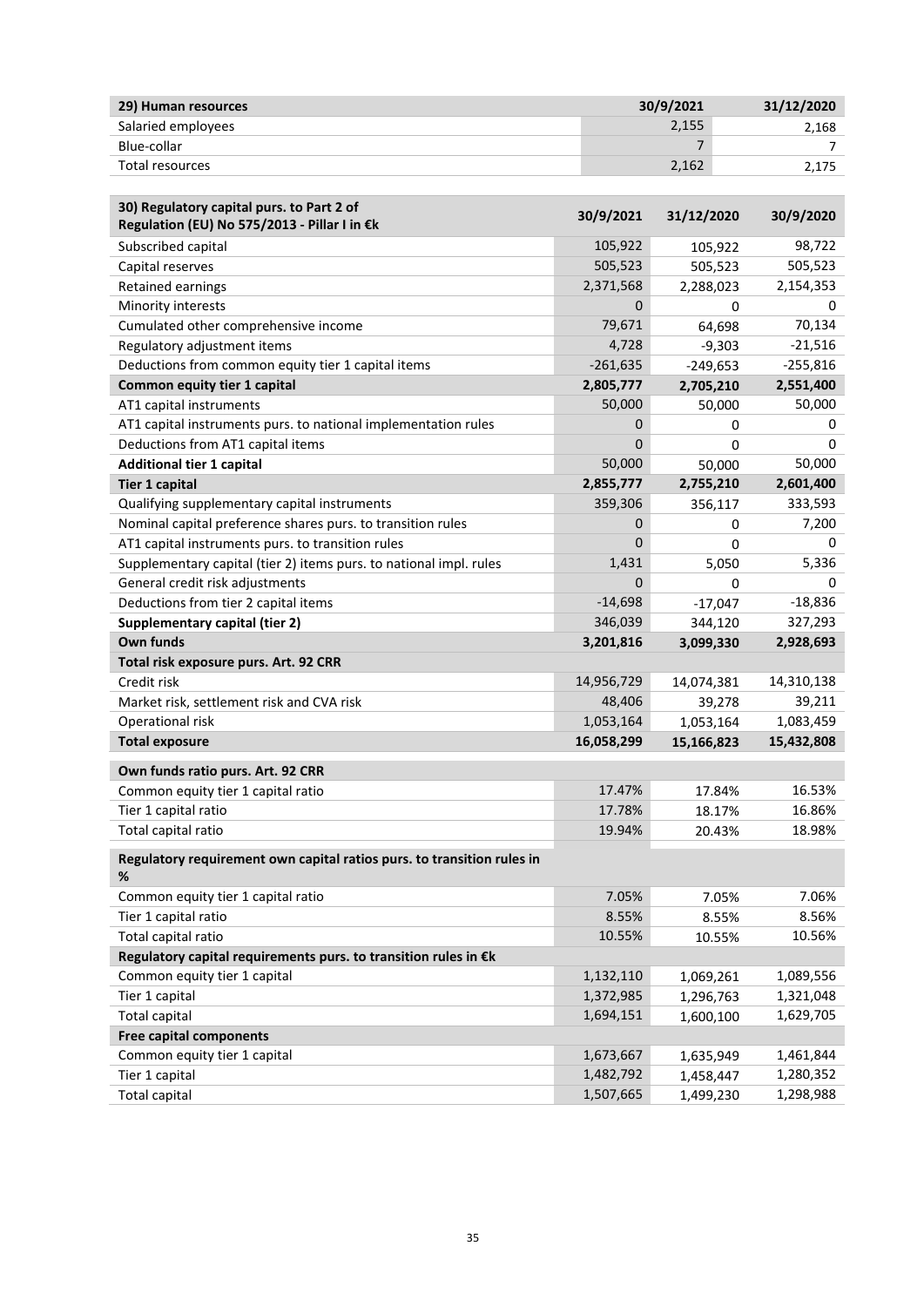| 29) Human resources | 30/9/2021 | 31/12/2020 |
|---------------------|-----------|------------|
| Salaried employees  | 2,155     | 2.168      |
| Blue-collar         |           |            |
| Total resources     | 2,162     | 2.175      |

| 30) Regulatory capital purs. to Part 2 of<br>Regulation (EU) No 575/2013 - Pillar I in €k | 30/9/2021  | 31/12/2020  | 30/9/2020  |
|-------------------------------------------------------------------------------------------|------------|-------------|------------|
| Subscribed capital                                                                        | 105,922    | 105,922     | 98,722     |
| Capital reserves                                                                          | 505,523    | 505,523     | 505,523    |
| <b>Retained earnings</b>                                                                  | 2,371,568  | 2,288,023   | 2,154,353  |
| Minority interests                                                                        | 0          | 0           | 0          |
| Cumulated other comprehensive income                                                      | 79,671     | 64,698      | 70,134     |
| Regulatory adjustment items                                                               | 4,728      | $-9,303$    | $-21,516$  |
| Deductions from common equity tier 1 capital items                                        | $-261,635$ | $-249,653$  | $-255,816$ |
| Common equity tier 1 capital                                                              | 2,805,777  | 2,705,210   | 2,551,400  |
| AT1 capital instruments                                                                   | 50,000     | 50,000      | 50,000     |
| AT1 capital instruments purs. to national implementation rules                            | 0          | 0           | 0          |
| Deductions from AT1 capital items                                                         | 0          | $\Omega$    | 0          |
| <b>Additional tier 1 capital</b>                                                          | 50,000     | 50,000      | 50,000     |
| <b>Tier 1 capital</b>                                                                     | 2,855,777  | 2,755,210   | 2,601,400  |
| Qualifying supplementary capital instruments                                              | 359,306    | 356,117     | 333,593    |
| Nominal capital preference shares purs. to transition rules                               | 0          | 0           | 7,200      |
| AT1 capital instruments purs. to transition rules                                         | $\Omega$   | 0           | 0          |
| Supplementary capital (tier 2) items purs. to national impl. rules                        | 1,431      | 5,050       | 5,336      |
| General credit risk adjustments                                                           | 0          | $\mathbf 0$ | 0          |
| Deductions from tier 2 capital items                                                      | $-14,698$  | $-17,047$   | $-18,836$  |
| Supplementary capital (tier 2)                                                            | 346,039    | 344,120     | 327,293    |
| Own funds                                                                                 | 3,201,816  | 3,099,330   | 2,928,693  |
| Total risk exposure purs. Art. 92 CRR                                                     |            |             |            |
| Credit risk                                                                               | 14,956,729 | 14,074,381  | 14,310,138 |
| Market risk, settlement risk and CVA risk                                                 | 48,406     | 39,278      | 39,211     |
| Operational risk                                                                          | 1,053,164  | 1,053,164   | 1,083,459  |
| <b>Total exposure</b>                                                                     | 16,058,299 | 15,166,823  | 15,432,808 |
| Own funds ratio purs. Art. 92 CRR                                                         |            |             |            |
| Common equity tier 1 capital ratio                                                        | 17.47%     | 17.84%      | 16.53%     |
| Tier 1 capital ratio                                                                      | 17.78%     | 18.17%      | 16.86%     |
| Total capital ratio                                                                       | 19.94%     | 20.43%      | 18.98%     |
| Regulatory requirement own capital ratios purs. to transition rules in<br>%               |            |             |            |
| Common equity tier 1 capital ratio                                                        | 7.05%      | 7.05%       | 7.06%      |
| Tier 1 capital ratio                                                                      | 8.55%      | 8.55%       | 8.56%      |
| Total capital ratio                                                                       | 10.55%     | 10.55%      | 10.56%     |
| Regulatory capital requirements purs. to transition rules in €k                           |            |             |            |
| Common equity tier 1 capital                                                              | 1,132,110  | 1,069,261   | 1,089,556  |
| Tier 1 capital                                                                            | 1,372,985  | 1,296,763   | 1,321,048  |
| <b>Total capital</b>                                                                      | 1,694,151  | 1,600,100   | 1,629,705  |
| <b>Free capital components</b>                                                            |            |             |            |
| Common equity tier 1 capital                                                              | 1,673,667  | 1,635,949   | 1,461,844  |
| Tier 1 capital                                                                            | 1,482,792  | 1,458,447   | 1,280,352  |
| <b>Total capital</b>                                                                      | 1,507,665  | 1,499,230   | 1,298,988  |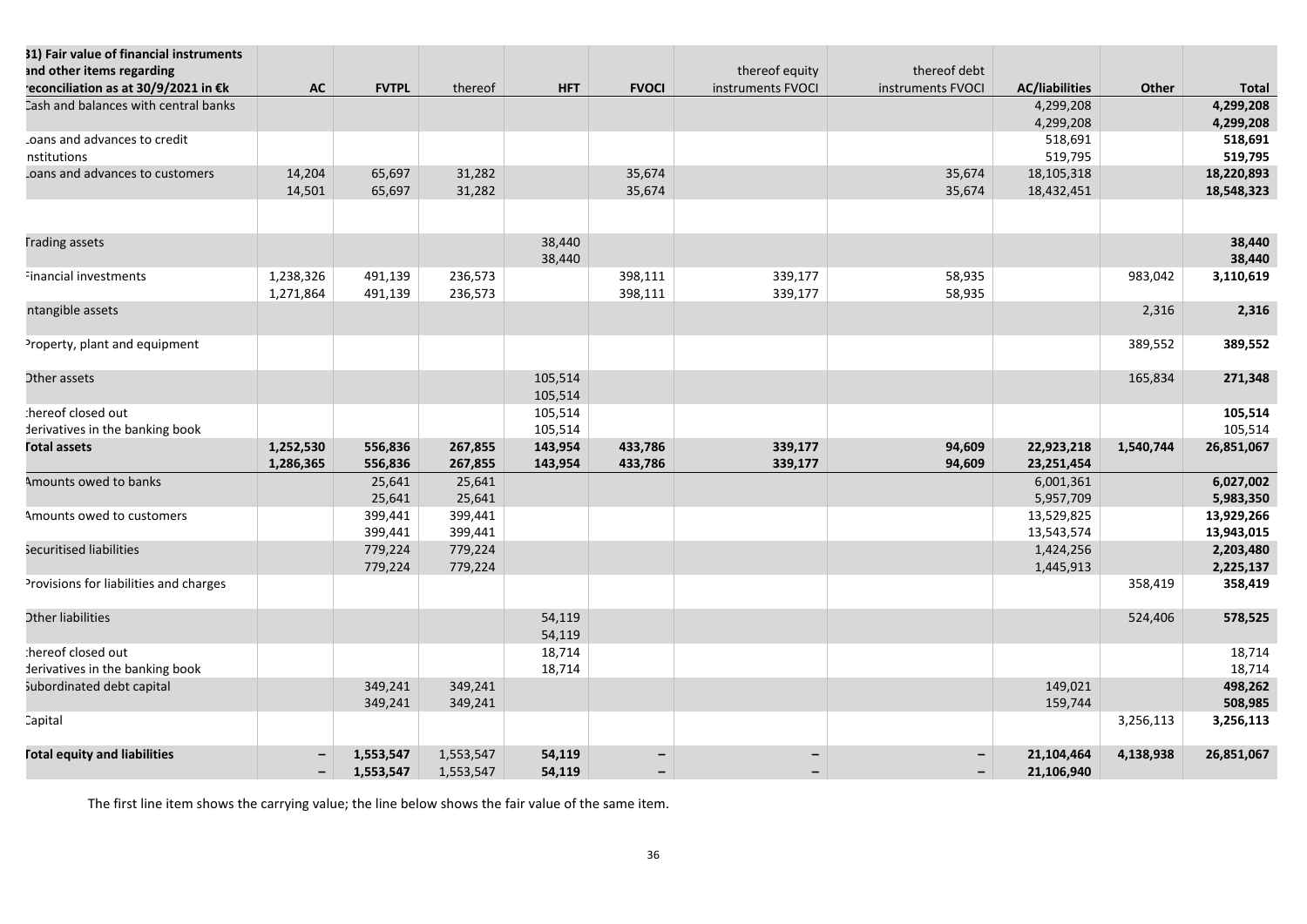| 31) Fair value of financial instruments<br>and other items regarding<br>econciliation as at 30/9/2021 in €k | <b>AC</b> | <b>FVTPL</b>           | thereof                | <b>HFT</b>         | <b>FVOCI</b> | thereof equity<br>instruments FVOCI | thereof debt<br>instruments FVOCI | <b>AC/liabilities</b>    | Other     | <b>Total</b> |
|-------------------------------------------------------------------------------------------------------------|-----------|------------------------|------------------------|--------------------|--------------|-------------------------------------|-----------------------------------|--------------------------|-----------|--------------|
| Cash and balances with central banks                                                                        |           |                        |                        |                    |              |                                     |                                   | 4,299,208                |           | 4,299,208    |
|                                                                                                             |           |                        |                        |                    |              |                                     |                                   | 4,299,208                |           | 4,299,208    |
| oans and advances to credit                                                                                 |           |                        |                        |                    |              |                                     |                                   | 518,691                  |           | 518,691      |
| nstitutions                                                                                                 |           |                        |                        |                    |              |                                     |                                   | 519,795                  |           | 519,795      |
| coans and advances to customers                                                                             | 14,204    | 65,697                 | 31,282                 |                    | 35,674       |                                     | 35,674                            | 18,105,318               |           | 18,220,893   |
|                                                                                                             | 14,501    | 65,697                 | 31,282                 |                    | 35,674       |                                     | 35,674                            | 18,432,451               |           | 18,548,323   |
|                                                                                                             |           |                        |                        |                    |              |                                     |                                   |                          |           |              |
| <b>Trading assets</b>                                                                                       |           |                        |                        | 38,440             |              |                                     |                                   |                          |           | 38,440       |
|                                                                                                             |           |                        |                        | 38,440             |              |                                     |                                   |                          |           | 38,440       |
| inancial investments                                                                                        | 1,238,326 | 491,139                | 236,573                |                    | 398,111      | 339,177                             | 58,935                            |                          | 983,042   | 3,110,619    |
|                                                                                                             | 1,271,864 | 491,139                | 236,573                |                    | 398,111      | 339,177                             | 58,935                            |                          |           |              |
| ntangible assets                                                                                            |           |                        |                        |                    |              |                                     |                                   |                          | 2,316     | 2,316        |
| Property, plant and equipment                                                                               |           |                        |                        |                    |              |                                     |                                   |                          | 389,552   | 389,552      |
| Other assets                                                                                                |           |                        |                        | 105,514            |              |                                     |                                   |                          | 165,834   | 271,348      |
| hereof closed out:                                                                                          |           |                        |                        | 105,514<br>105,514 |              |                                     |                                   |                          |           | 105,514      |
| derivatives in the banking book                                                                             |           |                        |                        | 105,514            |              |                                     |                                   |                          |           | 105,514      |
| <b>Fotal assets</b>                                                                                         | 1,252,530 | 556,836                | 267,855                | 143,954            | 433,786      | 339,177                             | 94,609                            | 22,923,218               | 1,540,744 | 26,851,067   |
|                                                                                                             | 1,286,365 | 556,836                | 267,855                | 143,954            | 433,786      | 339,177                             | 94,609                            | 23,251,454               |           |              |
| Amounts owed to banks                                                                                       |           | 25,641                 | 25,641                 |                    |              |                                     |                                   | 6,001,361                |           | 6,027,002    |
|                                                                                                             |           | 25,641                 | 25,641                 |                    |              |                                     |                                   | 5,957,709                |           | 5,983,350    |
| Amounts owed to customers                                                                                   |           | 399,441                | 399,441                |                    |              |                                     |                                   | 13,529,825               |           | 13,929,266   |
|                                                                                                             |           | 399,441                | 399,441                |                    |              |                                     |                                   | 13,543,574               |           | 13,943,015   |
| Securitised liabilities                                                                                     |           | 779,224                | 779,224                |                    |              |                                     |                                   | 1,424,256                |           | 2,203,480    |
|                                                                                                             |           | 779,224                | 779,224                |                    |              |                                     |                                   | 1,445,913                |           | 2,225,137    |
| Provisions for liabilities and charges                                                                      |           |                        |                        |                    |              |                                     |                                   |                          | 358,419   | 358,419      |
| <b>Other liabilities</b>                                                                                    |           |                        |                        | 54,119<br>54,119   |              |                                     |                                   |                          | 524,406   | 578,525      |
| :hereof closed out                                                                                          |           |                        |                        | 18,714             |              |                                     |                                   |                          |           | 18,714       |
| derivatives in the banking book                                                                             |           |                        |                        | 18,714             |              |                                     |                                   |                          |           | 18,714       |
| subordinated debt capital                                                                                   |           | 349,241                | 349,241                |                    |              |                                     |                                   | 149,021                  |           | 498,262      |
|                                                                                                             |           | 349,241                | 349,241                |                    |              |                                     |                                   | 159,744                  |           | 508,985      |
| Capital                                                                                                     |           |                        |                        |                    |              |                                     |                                   |                          | 3,256,113 | 3,256,113    |
| <b>Total equity and liabilities</b>                                                                         |           | 1,553,547<br>1,553,547 | 1,553,547<br>1,553,547 | 54,119<br>54,119   |              |                                     |                                   | 21,104,464<br>21,106,940 | 4,138,938 | 26,851,067   |

The first line item shows the carrying value; the line below shows the fair value of the same item.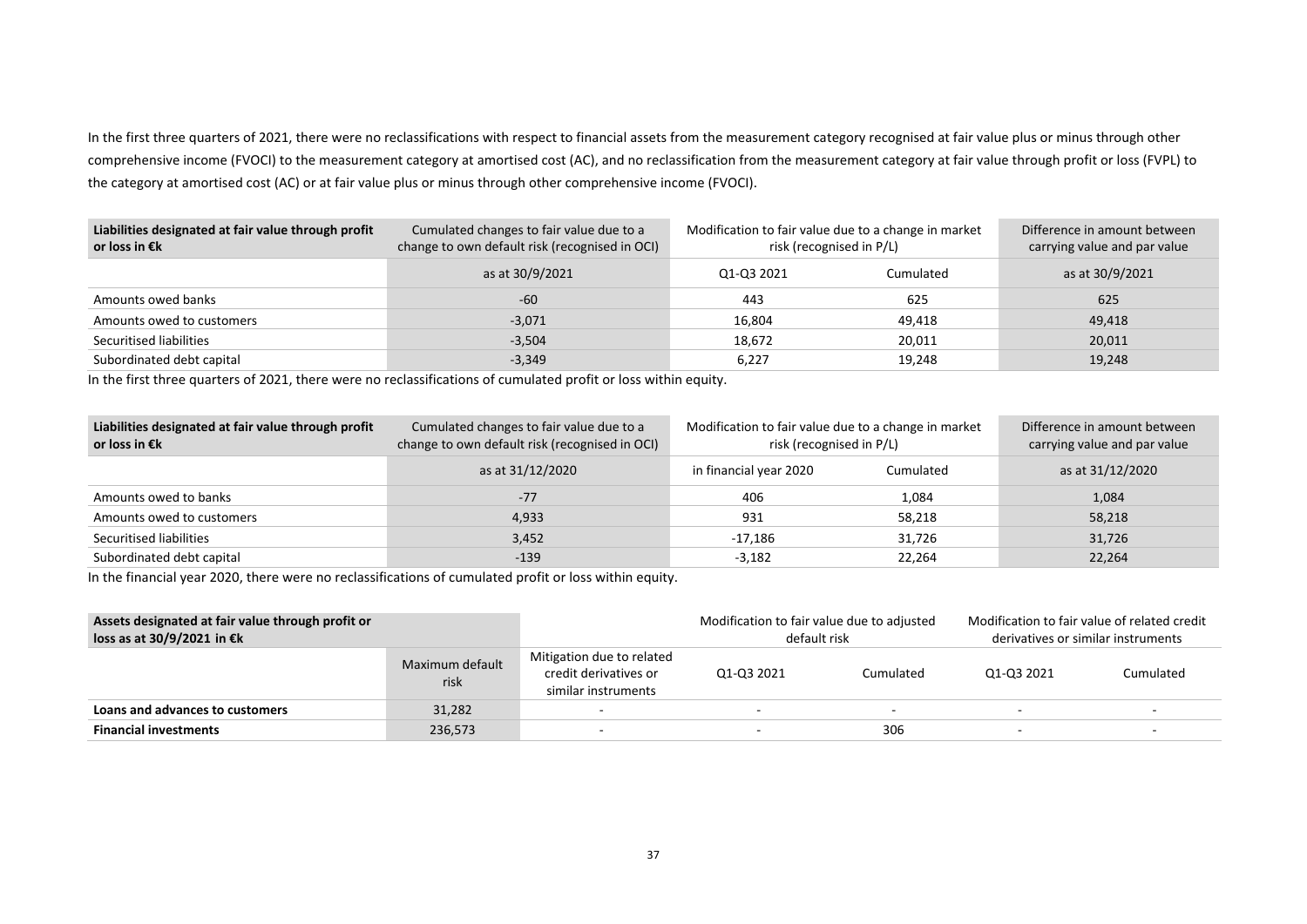In the first three quarters of 2021, there were no reclassifications with respect to financial assets from the measurement category recognised at fair value plus or minus through other comprehensive income (FVOCI) to the measurement category at amortised cost (AC), and no reclassification from the measurement category at fair value through profit or loss (FVPL) to the category at amortised cost (AC) or at fair value plus or minus through other comprehensive income (FVOCI).

| Liabilities designated at fair value through profit<br>or loss in $\epsilon$ k | Cumulated changes to fair value due to a<br>change to own default risk (recognised in OCI) | Modification to fair value due to a change in market<br>risk (recognised in P/L) | Difference in amount between<br>carrying value and par value |                 |
|--------------------------------------------------------------------------------|--------------------------------------------------------------------------------------------|----------------------------------------------------------------------------------|--------------------------------------------------------------|-----------------|
|                                                                                | as at 30/9/2021                                                                            | Q1-Q3 2021                                                                       | Cumulated                                                    | as at 30/9/2021 |
| Amounts owed banks                                                             | $-60$                                                                                      | 443                                                                              | 625                                                          | 625             |
| Amounts owed to customers                                                      | $-3,071$                                                                                   | 16.804                                                                           | 49.418                                                       | 49,418          |
| Securitised liabilities                                                        | $-3,504$                                                                                   | 18.672                                                                           | 20,011                                                       | 20,011          |
| Subordinated debt capital                                                      | $-3,349$                                                                                   | 6,227                                                                            | 19,248                                                       | 19,248          |

In the first three quarters of 2021, there were no reclassifications of cumulated profit or loss within equity.

| Liabilities designated at fair value through profit<br>or loss in $\epsilon$ k | Cumulated changes to fair value due to a<br>change to own default risk (recognised in OCI) | Modification to fair value due to a change in market<br>risk (recognised in P/L) | Difference in amount between<br>carrying value and par value |                  |
|--------------------------------------------------------------------------------|--------------------------------------------------------------------------------------------|----------------------------------------------------------------------------------|--------------------------------------------------------------|------------------|
|                                                                                | as at 31/12/2020                                                                           | Cumulated<br>in financial year 2020                                              |                                                              | as at 31/12/2020 |
| Amounts owed to banks                                                          | $-77$                                                                                      | 406                                                                              | 1,084                                                        | 1,084            |
| Amounts owed to customers                                                      | 4,933                                                                                      | 931                                                                              | 58,218                                                       | 58,218           |
| Securitised liabilities                                                        | 3,452                                                                                      | -17.186                                                                          | 31,726                                                       | 31,726           |
| Subordinated debt capital                                                      | $-139$                                                                                     | $-3,182$                                                                         | 22,264                                                       | 22,264           |

In the financial year 2020, there were no reclassifications of cumulated profit or loss within equity.

| Assets designated at fair value through profit or<br>loss as at 30/9/2021 in €k |                         | Modification to fair value due to adjusted<br>default risk                |            | Modification to fair value of related credit<br>derivatives or similar instruments |                          |           |
|---------------------------------------------------------------------------------|-------------------------|---------------------------------------------------------------------------|------------|------------------------------------------------------------------------------------|--------------------------|-----------|
|                                                                                 | Maximum default<br>risk | Mitigation due to related<br>credit derivatives or<br>similar instruments | 01-03 2021 | Cumulated                                                                          | 01-03 2021               | Cumulated |
| Loans and advances to customers                                                 | 31,282                  |                                                                           |            |                                                                                    | $\overline{\phantom{a}}$ |           |
| <b>Financial investments</b>                                                    | 236,573                 |                                                                           |            | 306                                                                                |                          |           |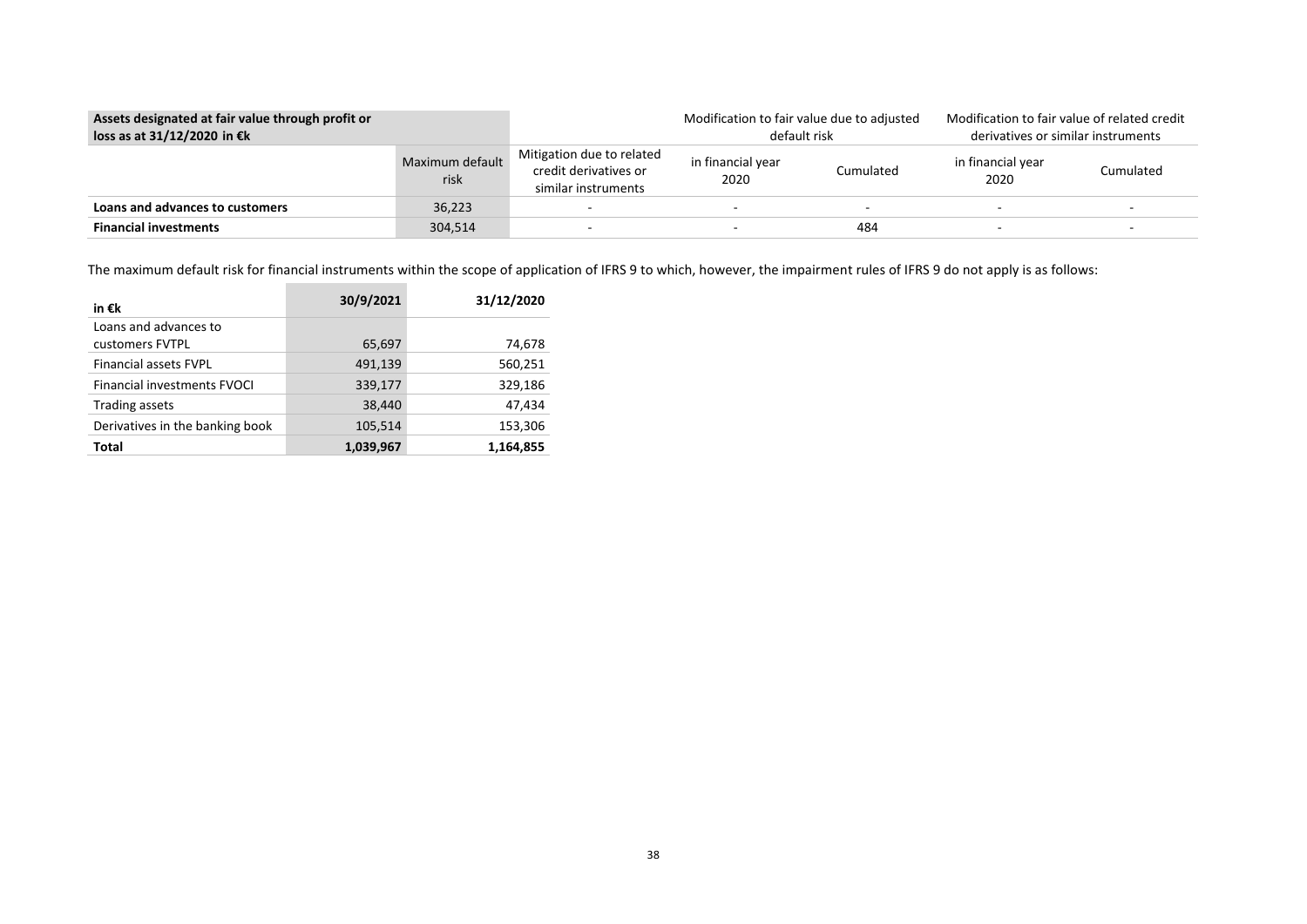| Assets designated at fair value through profit or<br>loss as at 31/12/2020 in €k |                         | Modification to fair value due to adjusted<br>default risk                |                                        | Modification to fair value of related credit<br>derivatives or similar instruments |                           |                          |
|----------------------------------------------------------------------------------|-------------------------|---------------------------------------------------------------------------|----------------------------------------|------------------------------------------------------------------------------------|---------------------------|--------------------------|
|                                                                                  | Maximum default<br>risk | Mitigation due to related<br>credit derivatives or<br>similar instruments | in financial year<br>Cumulated<br>2020 |                                                                                    | in financial year<br>2020 | Cumulated                |
| Loans and advances to customers                                                  | 36,223                  |                                                                           |                                        |                                                                                    |                           |                          |
| <b>Financial investments</b>                                                     | 304,514                 |                                                                           |                                        | 484                                                                                | $\overline{\phantom{0}}$  | $\overline{\phantom{a}}$ |

The maximum default risk for financial instruments within the scope of application of IFRS 9 to which, however, the impairment rules of IFRS 9 do not apply is as follows:

| in €k                                    | 30/9/2021 | 31/12/2020 |
|------------------------------------------|-----------|------------|
| Loans and advances to<br>customers FVTPL | 65,697    | 74,678     |
| <b>Financial assets FVPL</b>             | 491,139   | 560,251    |
| Financial investments FVOCI              | 339,177   | 329,186    |
| <b>Trading assets</b>                    | 38,440    | 47,434     |
| Derivatives in the banking book          | 105,514   | 153,306    |
| <b>Total</b>                             | 1,039,967 | 1,164,855  |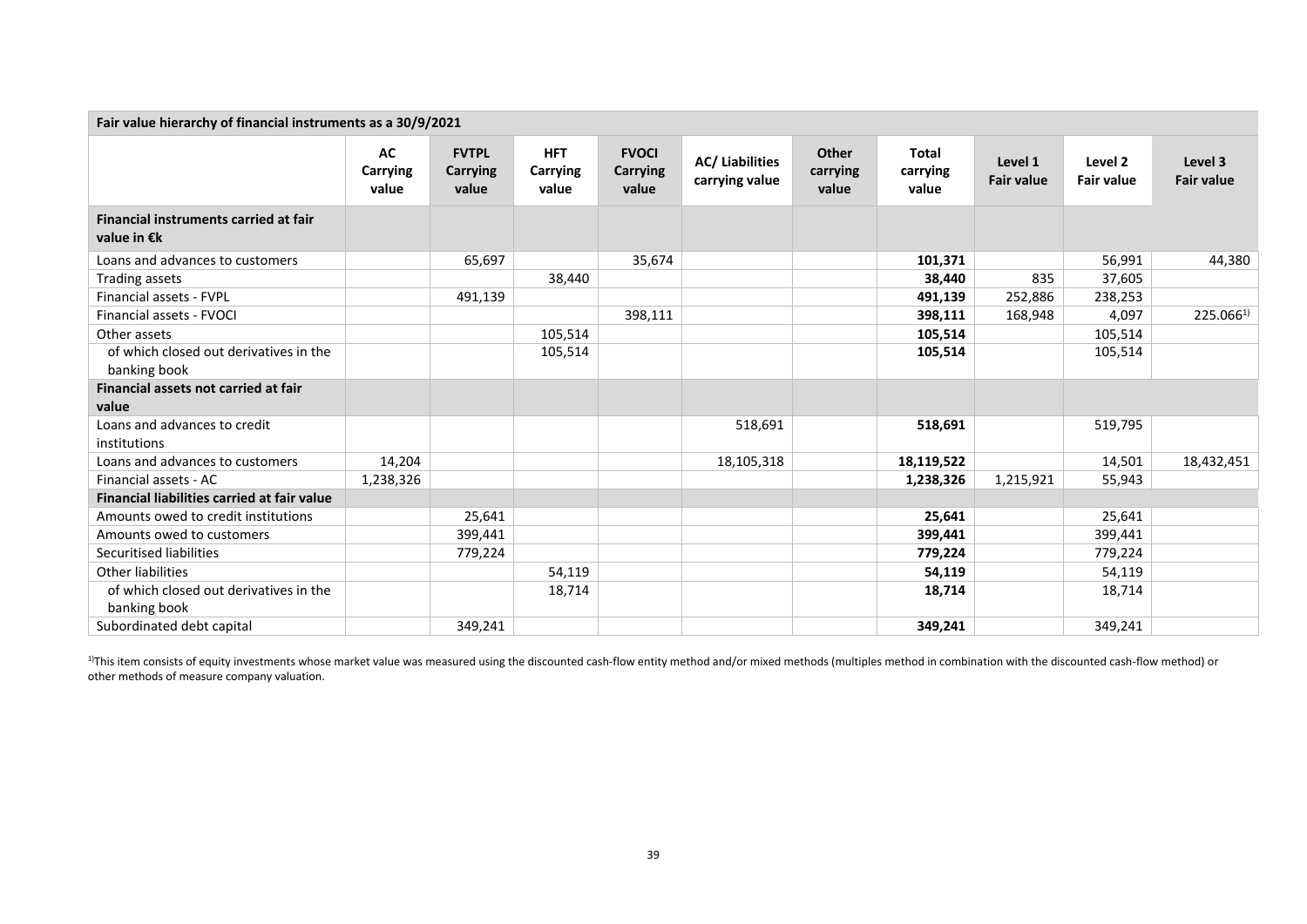| Fair value hierarchy of financial instruments as a 30/9/2021 |                         |                                   |                                 |                                          |                                         |                                   |                                   |                              |                              |                              |
|--------------------------------------------------------------|-------------------------|-----------------------------------|---------------------------------|------------------------------------------|-----------------------------------------|-----------------------------------|-----------------------------------|------------------------------|------------------------------|------------------------------|
|                                                              | AC<br>Carrying<br>value | <b>FVTPL</b><br>Carrying<br>value | <b>HFT</b><br>Carrying<br>value | <b>FVOCI</b><br><b>Carrying</b><br>value | <b>AC/Liabilities</b><br>carrying value | <b>Other</b><br>carrying<br>value | <b>Total</b><br>carrying<br>value | Level 1<br><b>Fair value</b> | Level 2<br><b>Fair value</b> | Level 3<br><b>Fair value</b> |
| Financial instruments carried at fair<br>value in €k         |                         |                                   |                                 |                                          |                                         |                                   |                                   |                              |                              |                              |
| Loans and advances to customers                              |                         | 65,697                            |                                 | 35,674                                   |                                         |                                   | 101,371                           |                              | 56,991                       | 44,380                       |
| Trading assets                                               |                         |                                   | 38,440                          |                                          |                                         |                                   | 38,440                            | 835                          | 37,605                       |                              |
| Financial assets - FVPL                                      |                         | 491,139                           |                                 |                                          |                                         |                                   | 491,139                           | 252,886                      | 238,253                      |                              |
| Financial assets - FVOCI                                     |                         |                                   |                                 | 398,111                                  |                                         |                                   | 398,111                           | 168,948                      | 4,097                        | $225.066^{1}$                |
| Other assets                                                 |                         |                                   | 105,514                         |                                          |                                         |                                   | 105,514                           |                              | 105,514                      |                              |
| of which closed out derivatives in the<br>banking book       |                         |                                   | 105,514                         |                                          |                                         |                                   | 105,514                           |                              | 105,514                      |                              |
| Financial assets not carried at fair<br>value                |                         |                                   |                                 |                                          |                                         |                                   |                                   |                              |                              |                              |
| Loans and advances to credit<br>institutions                 |                         |                                   |                                 |                                          | 518,691                                 |                                   | 518,691                           |                              | 519,795                      |                              |
| Loans and advances to customers                              | 14,204                  |                                   |                                 |                                          | 18,105,318                              |                                   | 18,119,522                        |                              | 14,501                       | 18,432,451                   |
| Financial assets - AC                                        | 1,238,326               |                                   |                                 |                                          |                                         |                                   | 1,238,326                         | 1,215,921                    | 55,943                       |                              |
| <b>Financial liabilities carried at fair value</b>           |                         |                                   |                                 |                                          |                                         |                                   |                                   |                              |                              |                              |
| Amounts owed to credit institutions                          |                         | 25,641                            |                                 |                                          |                                         |                                   | 25,641                            |                              | 25,641                       |                              |
| Amounts owed to customers                                    |                         | 399,441                           |                                 |                                          |                                         |                                   | 399,441                           |                              | 399,441                      |                              |
| Securitised liabilities                                      |                         | 779,224                           |                                 |                                          |                                         |                                   | 779,224                           |                              | 779,224                      |                              |
| <b>Other liabilities</b>                                     |                         |                                   | 54,119                          |                                          |                                         |                                   | 54,119                            |                              | 54,119                       |                              |
| of which closed out derivatives in the<br>banking book       |                         |                                   | 18,714                          |                                          |                                         |                                   | 18,714                            |                              | 18,714                       |                              |
| Subordinated debt capital                                    |                         | 349,241                           |                                 |                                          |                                         |                                   | 349,241                           |                              | 349,241                      |                              |

<sup>1)</sup>This item consists of equity investments whose market value was measured using the discounted cash-flow entity method and/or mixed methods (multiples method in combination with the discounted cash-flow method) or other methods of measure company valuation.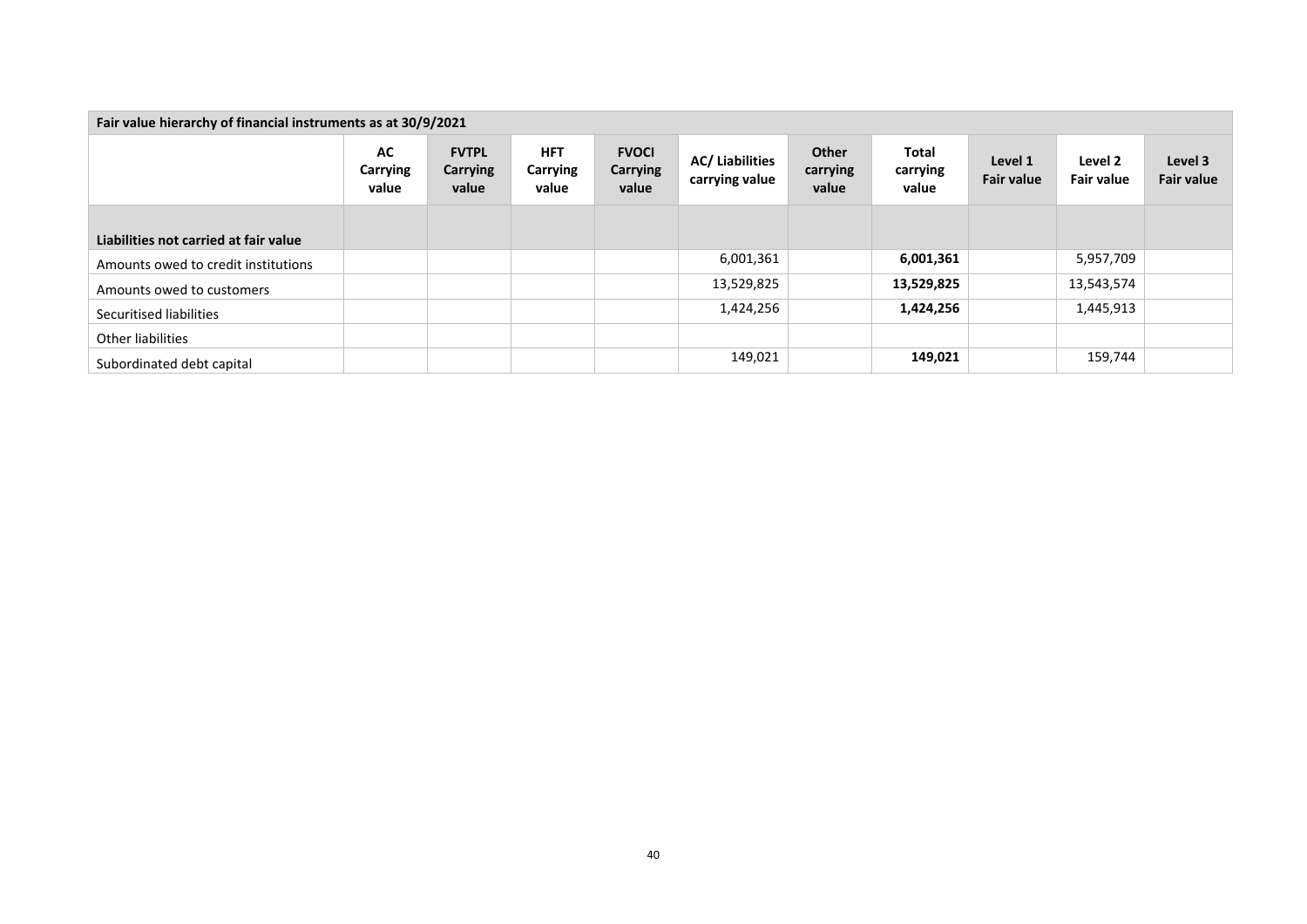| Fair value hierarchy of financial instruments as at 30/9/2021 |                                |                                          |                                        |                                          |                                          |                            |                                   |                              |                              |                              |
|---------------------------------------------------------------|--------------------------------|------------------------------------------|----------------------------------------|------------------------------------------|------------------------------------------|----------------------------|-----------------------------------|------------------------------|------------------------------|------------------------------|
|                                                               | <b>AC</b><br>Carrying<br>value | <b>FVTPL</b><br><b>Carrying</b><br>value | <b>HFT</b><br><b>Carrying</b><br>value | <b>FVOCI</b><br><b>Carrying</b><br>value | <b>AC/ Liabilities</b><br>carrying value | Other<br>carrying<br>value | <b>Total</b><br>carrying<br>value | Level 1<br><b>Fair value</b> | Level 2<br><b>Fair value</b> | Level 3<br><b>Fair value</b> |
|                                                               |                                |                                          |                                        |                                          |                                          |                            |                                   |                              |                              |                              |
| Liabilities not carried at fair value                         |                                |                                          |                                        |                                          |                                          |                            |                                   |                              |                              |                              |
| Amounts owed to credit institutions                           |                                |                                          |                                        |                                          | 6,001,361                                |                            | 6,001,361                         |                              | 5,957,709                    |                              |
| Amounts owed to customers                                     |                                |                                          |                                        |                                          | 13,529,825                               |                            | 13,529,825                        |                              | 13,543,574                   |                              |
| Securitised liabilities                                       |                                |                                          |                                        |                                          | 1,424,256                                |                            | 1,424,256                         |                              | 1,445,913                    |                              |
| Other liabilities                                             |                                |                                          |                                        |                                          |                                          |                            |                                   |                              |                              |                              |
| Subordinated debt capital                                     |                                |                                          |                                        |                                          | 149,021                                  |                            | 149,021                           |                              | 159,744                      |                              |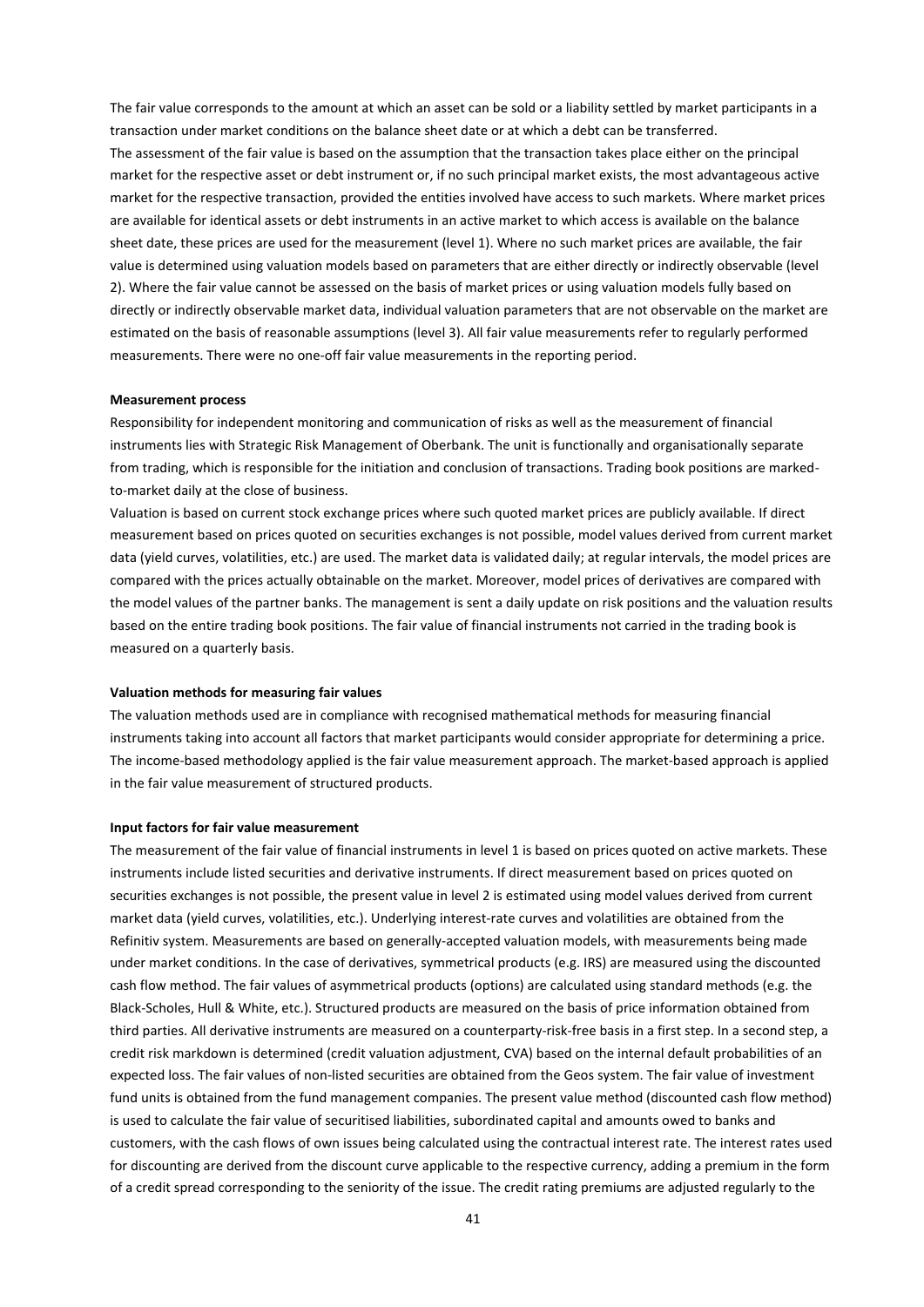The fair value corresponds to the amount at which an asset can be sold or a liability settled by market participants in a transaction under market conditions on the balance sheet date or at which a debt can be transferred. The assessment of the fair value is based on the assumption that the transaction takes place either on the principal market for the respective asset or debt instrument or, if no such principal market exists, the most advantageous active market for the respective transaction, provided the entities involved have access to such markets. Where market prices are available for identical assets or debt instruments in an active market to which access is available on the balance sheet date, these prices are used for the measurement (level 1). Where no such market prices are available, the fair value is determined using valuation models based on parameters that are either directly or indirectly observable (level 2). Where the fair value cannot be assessed on the basis of market prices or using valuation models fully based on directly or indirectly observable market data, individual valuation parameters that are not observable on the market are estimated on the basis of reasonable assumptions (level 3). All fair value measurements refer to regularly performed measurements. There were no one-off fair value measurements in the reporting period.

#### **Measurement process**

Responsibility for independent monitoring and communication of risks as well as the measurement of financial instruments lies with Strategic Risk Management of Oberbank. The unit is functionally and organisationally separate from trading, which is responsible for the initiation and conclusion of transactions. Trading book positions are markedto-market daily at the close of business.

Valuation is based on current stock exchange prices where such quoted market prices are publicly available. If direct measurement based on prices quoted on securities exchanges is not possible, model values derived from current market data (yield curves, volatilities, etc.) are used. The market data is validated daily; at regular intervals, the model prices are compared with the prices actually obtainable on the market. Moreover, model prices of derivatives are compared with the model values of the partner banks. The management is sent a daily update on risk positions and the valuation results based on the entire trading book positions. The fair value of financial instruments not carried in the trading book is measured on a quarterly basis.

#### **Valuation methods for measuring fair values**

The valuation methods used are in compliance with recognised mathematical methods for measuring financial instruments taking into account all factors that market participants would consider appropriate for determining a price. The income-based methodology applied is the fair value measurement approach. The market-based approach is applied in the fair value measurement of structured products.

#### **Input factors for fair value measurement**

The measurement of the fair value of financial instruments in level 1 is based on prices quoted on active markets. These instruments include listed securities and derivative instruments. If direct measurement based on prices quoted on securities exchanges is not possible, the present value in level 2 is estimated using model values derived from current market data (yield curves, volatilities, etc.). Underlying interest-rate curves and volatilities are obtained from the Refinitiv system. Measurements are based on generally-accepted valuation models, with measurements being made under market conditions. In the case of derivatives, symmetrical products (e.g. IRS) are measured using the discounted cash flow method. The fair values of asymmetrical products (options) are calculated using standard methods (e.g. the Black-Scholes, Hull & White, etc.). Structured products are measured on the basis of price information obtained from third parties. All derivative instruments are measured on a counterparty-risk-free basis in a first step. In a second step, a credit risk markdown is determined (credit valuation adjustment, CVA) based on the internal default probabilities of an expected loss. The fair values of non-listed securities are obtained from the Geos system. The fair value of investment fund units is obtained from the fund management companies. The present value method (discounted cash flow method) is used to calculate the fair value of securitised liabilities, subordinated capital and amounts owed to banks and customers, with the cash flows of own issues being calculated using the contractual interest rate. The interest rates used for discounting are derived from the discount curve applicable to the respective currency, adding a premium in the form of a credit spread corresponding to the seniority of the issue. The credit rating premiums are adjusted regularly to the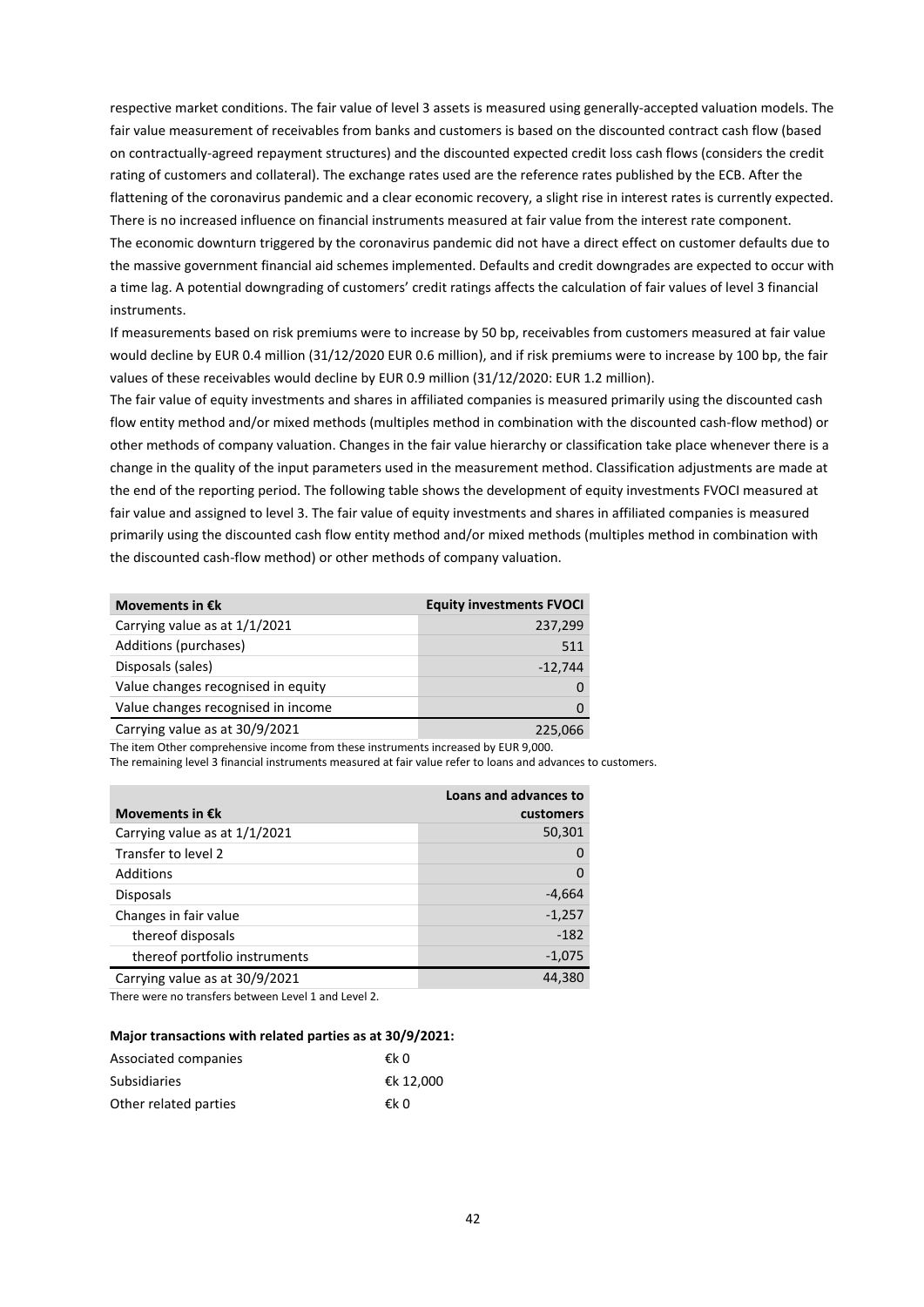respective market conditions. The fair value of level 3 assets is measured using generally-accepted valuation models. The fair value measurement of receivables from banks and customers is based on the discounted contract cash flow (based on contractually-agreed repayment structures) and the discounted expected credit loss cash flows (considers the credit rating of customers and collateral). The exchange rates used are the reference rates published by the ECB. After the flattening of the coronavirus pandemic and a clear economic recovery, a slight rise in interest rates is currently expected. There is no increased influence on financial instruments measured at fair value from the interest rate component. The economic downturn triggered by the coronavirus pandemic did not have a direct effect on customer defaults due to the massive government financial aid schemes implemented. Defaults and credit downgrades are expected to occur with a time lag. A potential downgrading of customers' credit ratings affects the calculation of fair values of level 3 financial instruments.

If measurements based on risk premiums were to increase by 50 bp, receivables from customers measured at fair value would decline by EUR 0.4 million (31/12/2020 EUR 0.6 million), and if risk premiums were to increase by 100 bp, the fair values of these receivables would decline by EUR 0.9 million (31/12/2020: EUR 1.2 million).

The fair value of equity investments and shares in affiliated companies is measured primarily using the discounted cash flow entity method and/or mixed methods (multiples method in combination with the discounted cash-flow method) or other methods of company valuation. Changes in the fair value hierarchy or classification take place whenever there is a change in the quality of the input parameters used in the measurement method. Classification adjustments are made at the end of the reporting period. The following table shows the development of equity investments FVOCI measured at fair value and assigned to level 3. The fair value of equity investments and shares in affiliated companies is measured primarily using the discounted cash flow entity method and/or mixed methods (multiples method in combination with the discounted cash-flow method) or other methods of company valuation.

| Movements in $\epsilon$ k          | <b>Equity investments FVOCI</b> |
|------------------------------------|---------------------------------|
| Carrying value as at 1/1/2021      | 237,299                         |
| Additions (purchases)              | 511                             |
| Disposals (sales)                  | $-12,744$                       |
| Value changes recognised in equity | 0                               |
| Value changes recognised in income | 0                               |
| Carrying value as at 30/9/2021     | 225,066                         |

The item Other comprehensive income from these instruments increased by EUR 9,000.

The remaining level 3 financial instruments measured at fair value refer to loans and advances to customers.

| Movements in $\epsilon$ k      | Loans and advances to<br>customers |
|--------------------------------|------------------------------------|
| Carrying value as at 1/1/2021  | 50,301                             |
| Transfer to level 2            | 0                                  |
| Additions                      | $\Omega$                           |
| <b>Disposals</b>               | $-4,664$                           |
| Changes in fair value          | $-1,257$                           |
| thereof disposals              | $-182$                             |
| thereof portfolio instruments  | $-1,075$                           |
| Carrying value as at 30/9/2021 | 44.380                             |

There were no transfers between Level 1 and Level 2.

#### **Major transactions with related parties as at 30/9/2021:**

| Associated companies  | €k 0      |
|-----------------------|-----------|
| <b>Subsidiaries</b>   | €k 12.000 |
| Other related parties | €k 0      |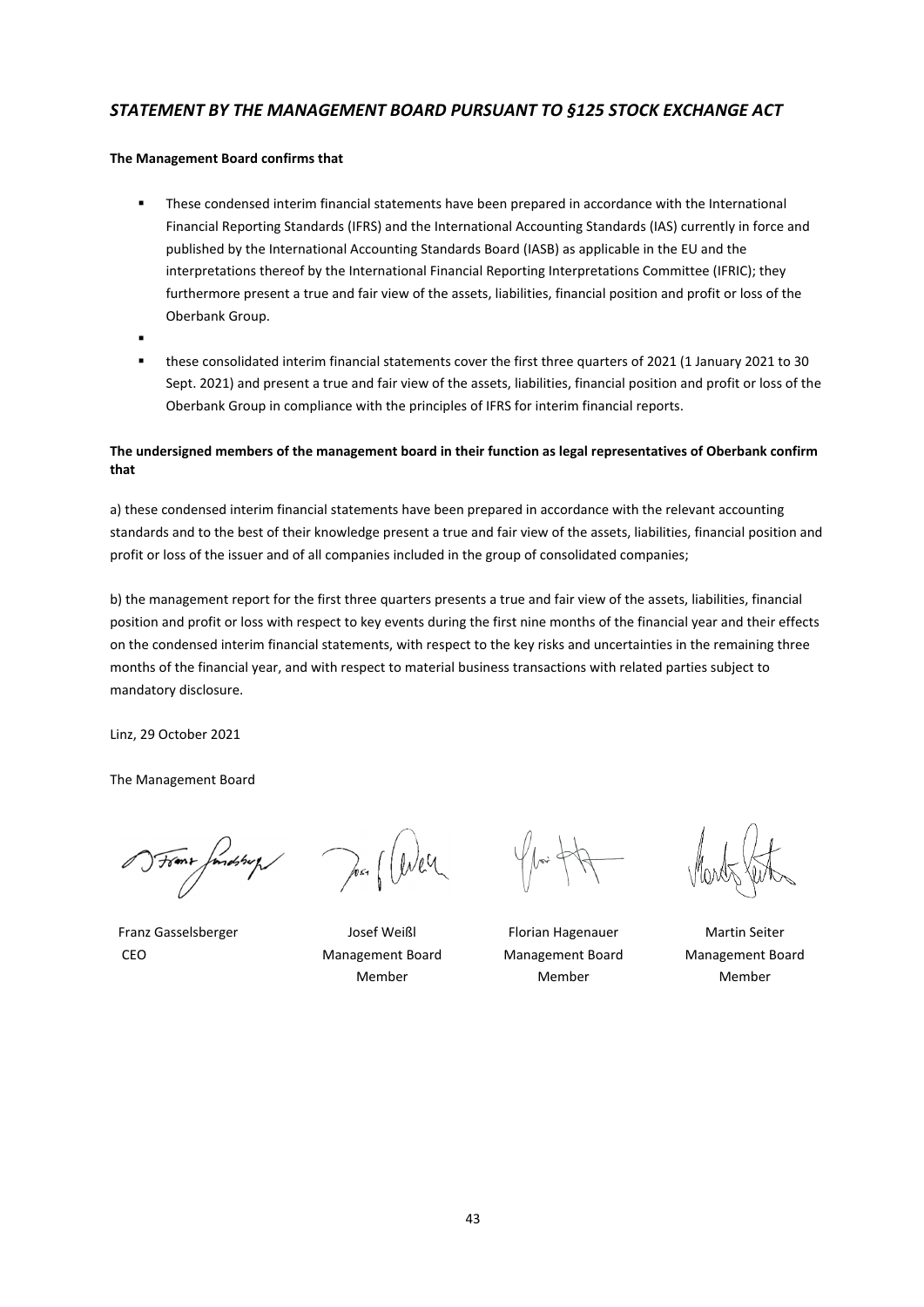# *STATEMENT BY THE MANAGEMENT BOARD PURSUANT TO §125 STOCK EXCHANGE ACT*

# **The Management Board confirms that**

- **These condensed interim financial statements have been prepared in accordance with the International** Financial Reporting Standards (IFRS) and the International Accounting Standards (IAS) currently in force and published by the International Accounting Standards Board (IASB) as applicable in the EU and the interpretations thereof by the International Financial Reporting Interpretations Committee (IFRIC); they furthermore present a true and fair view of the assets, liabilities, financial position and profit or loss of the Oberbank Group.
- .
- these consolidated interim financial statements cover the first three quarters of 2021 (1 January 2021 to 30 Sept. 2021) and present a true and fair view of the assets, liabilities, financial position and profit or loss of the Oberbank Group in compliance with the principles of IFRS for interim financial reports.

# **The undersigned members of the management board in their function as legal representatives of Oberbank confirm that**

a) these condensed interim financial statements have been prepared in accordance with the relevant accounting standards and to the best of their knowledge present a true and fair view of the assets, liabilities, financial position and profit or loss of the issuer and of all companies included in the group of consolidated companies;

b) the management report for the first three quarters presents a true and fair view of the assets, liabilities, financial position and profit or loss with respect to key events during the first nine months of the financial year and their effects on the condensed interim financial statements, with respect to the key risks and uncertainties in the remaining three months of the financial year, and with respect to material business transactions with related parties subject to mandatory disclosure.

Linz, 29 October 2021

The Management Board

(Fome fondship)

Franz Gasselsberger The Josef Weißl Florian Hagenauer Franz Gasselsberger Nartin Seiter CEO Management Board

Member

Management Board Member

Management Board Member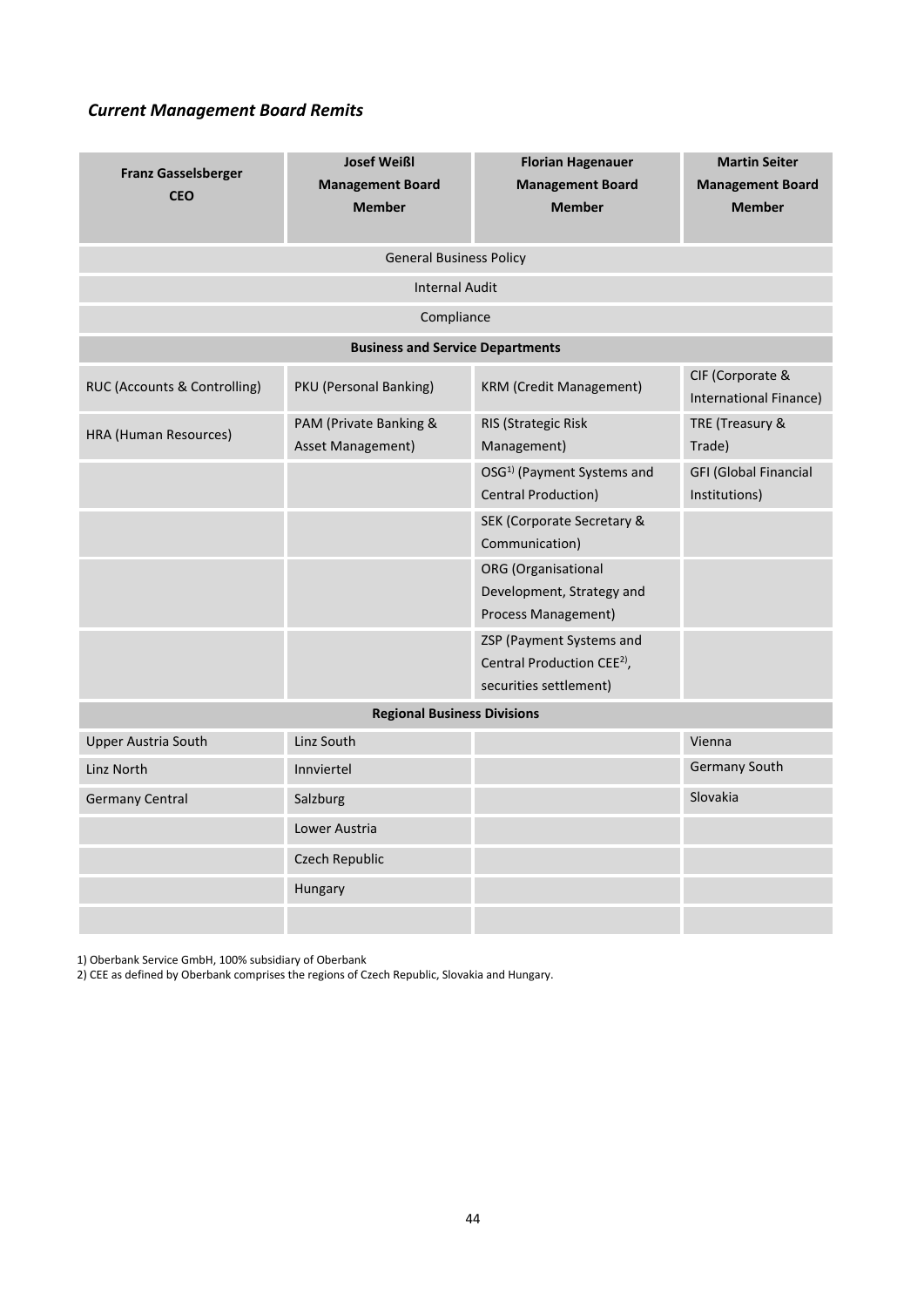# *Current Management Board Remits*

| <b>Franz Gasselsberger</b><br><b>CEO</b> | <b>Josef Weißl</b><br><b>Management Board</b><br><b>Member</b> | <b>Florian Hagenauer</b><br><b>Management Board</b><br><b>Member</b>                         | <b>Martin Seiter</b><br><b>Management Board</b><br><b>Member</b> |  |  |
|------------------------------------------|----------------------------------------------------------------|----------------------------------------------------------------------------------------------|------------------------------------------------------------------|--|--|
| <b>General Business Policy</b>           |                                                                |                                                                                              |                                                                  |  |  |
| <b>Internal Audit</b>                    |                                                                |                                                                                              |                                                                  |  |  |
| Compliance                               |                                                                |                                                                                              |                                                                  |  |  |
| <b>Business and Service Departments</b>  |                                                                |                                                                                              |                                                                  |  |  |
| RUC (Accounts & Controlling)             | PKU (Personal Banking)                                         | <b>KRM (Credit Management)</b>                                                               | CIF (Corporate &<br>International Finance)                       |  |  |
| HRA (Human Resources)                    | PAM (Private Banking &<br>Asset Management)                    | RIS (Strategic Risk<br>Management)                                                           | TRE (Treasury &<br>Trade)                                        |  |  |
|                                          |                                                                | OSG <sup>1)</sup> (Payment Systems and<br>Central Production)                                | <b>GFI (Global Financial</b><br>Institutions)                    |  |  |
|                                          |                                                                | <b>SEK (Corporate Secretary &amp;</b><br>Communication)                                      |                                                                  |  |  |
|                                          |                                                                | <b>ORG</b> (Organisational<br>Development, Strategy and<br>Process Management)               |                                                                  |  |  |
|                                          |                                                                | ZSP (Payment Systems and<br>Central Production CEE <sup>2)</sup> ,<br>securities settlement) |                                                                  |  |  |
| <b>Regional Business Divisions</b>       |                                                                |                                                                                              |                                                                  |  |  |
| <b>Upper Austria South</b>               | Linz South                                                     |                                                                                              | Vienna                                                           |  |  |
| Linz North                               | Innviertel                                                     |                                                                                              | Germany South                                                    |  |  |
| <b>Germany Central</b>                   | Salzburg                                                       |                                                                                              | Slovakia                                                         |  |  |
|                                          | Lower Austria                                                  |                                                                                              |                                                                  |  |  |
|                                          | Czech Republic                                                 |                                                                                              |                                                                  |  |  |
|                                          | Hungary                                                        |                                                                                              |                                                                  |  |  |
|                                          |                                                                |                                                                                              |                                                                  |  |  |

1) Oberbank Service GmbH, 100% subsidiary of Oberbank

2) CEE as defined by Oberbank comprises the regions of Czech Republic, Slovakia and Hungary.